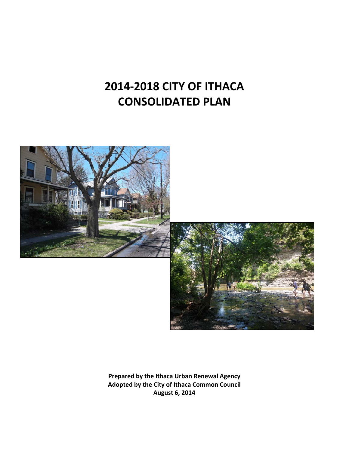# **2014‐2018 CITY OF ITHACA CONSOLIDATED PLAN**



**Prepared by the Ithaca Urban Renewal Agency Adopted by the City of Ithaca Common Council August 6, 2014**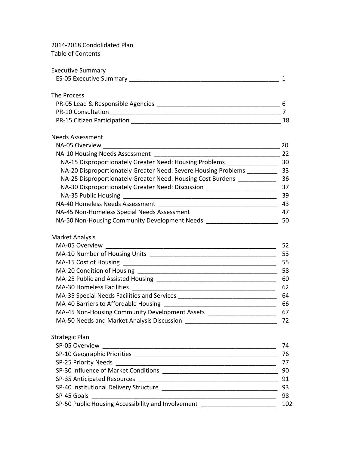#### 2014-2018 Condolidated Plan Table of Contents

| <b>Executive Summary</b>       |  |
|--------------------------------|--|
| <b>ES-05 Executive Summary</b> |  |

#### The Process

| PR-05 Lead & Responsible Agencies |  |
|-----------------------------------|--|
| <b>PR-10 Consultation</b>         |  |
| PR-15 Citizen Participation       |  |

#### Needs Assessment

| NA-05 Overview                                                 | 20 |
|----------------------------------------------------------------|----|
| NA-10 Housing Needs Assessment                                 | 22 |
| NA-15 Disproportionately Greater Need: Housing Problems        | 30 |
| NA-20 Disproportionately Greater Need: Severe Housing Problems | 33 |
| NA-25 Disproportionately Greater Need: Housing Cost Burdens    | 36 |
| NA-30 Disproportionately Greater Need: Discussion              | 37 |
| NA-35 Public Housing                                           | 39 |
| NA-40 Homeless Needs Assessment                                | 43 |
| NA-45 Non-Homeless Special Needs Assessment                    | 47 |
| NA-50 Non-Housing Community Development Needs                  | 50 |

#### Market Analysis

| MA-05 Overview                                 | 52 |
|------------------------------------------------|----|
| MA-10 Number of Housing Units                  | 53 |
|                                                | 55 |
| MA-20 Condition of Housing                     | 58 |
| MA-25 Public and Assisted Housing              | 60 |
| MA-30 Homeless Facilities                      | 62 |
| MA-35 Special Needs Facilities and Services    | 64 |
| MA-40 Barriers to Affordable Housing           | 66 |
| MA-45 Non-Housing Community Development Assets | 67 |
| MA-50 Needs and Market Analysis Discussion     | 72 |

### Strategic Plan SP‐05 [Overview](https://www21.hud.gov/idis/cpStrategicPlanOverview.do?submit=Edit&cpId=900000000011682) \_\_\_\_\_\_\_\_\_\_\_\_\_\_\_\_\_\_\_\_\_\_\_\_\_\_\_\_\_\_\_\_\_\_\_\_\_\_\_\_\_\_\_\_\_\_\_\_\_\_\_ 74 SP‐10 [Geographic](https://www21.hud.gov/idis/cpStrategicPlanGeographicPriorities.do?submit=Edit&cpId=900000000011682&returnMapping=conPlanMenu) Priorities \_\_\_\_\_\_\_\_\_\_\_\_\_\_\_\_\_\_\_\_\_\_\_\_\_\_\_\_\_\_\_\_\_\_\_\_\_\_\_\_\_\_ 76 SP‐25 [Priority](https://www21.hud.gov/idis/cpPriorityNeeds.do?submit=Edit&cpId=900000000011682&returnMapping=conPlanMenu) Needs \_\_\_\_\_\_\_\_\_\_\_\_\_\_\_\_\_\_\_\_\_\_\_\_\_\_\_\_\_\_\_\_\_\_\_\_\_\_\_\_\_\_\_\_\_\_\_ 77 SP‐30 Influence of Market [Conditions](https://www21.hud.gov/idis/cpInfluenceOfMarket.do?submit=Edit&cpId=900000000011682) \_\_\_\_\_\_\_\_\_\_\_\_\_\_\_\_\_\_\_\_\_\_\_\_\_\_\_\_\_\_\_\_\_\_ 90 SP-35 [Anticipated](https://www21.hud.gov/idis/cpStrategicPlanAnticipatedResources.do?submit=Edit&cpId=900000000011682&returnMapping=conPlanMenu) Resources **Exercise 2018** SP-35 Anticipated Resources SP‐40 [Institutional](https://www21.hud.gov/idis/cpInstitutionalDeliveryStructure.do?submit=Edit&cpId=900000000011682) Delivery Structure \_\_\_\_\_\_\_\_\_\_\_\_\_\_\_\_\_\_\_\_\_\_\_\_\_\_\_\_\_\_\_\_\_\_ 93 SP‐45 [Goals](https://www21.hud.gov/idis/cpStrategicPlanGoals.do?submit=Edit&cpId=900000000011682&returnMapping=conPlanMenu) \_\_\_\_\_\_\_\_\_\_\_\_\_\_\_\_\_\_\_\_\_\_\_\_\_\_\_\_\_\_\_\_\_\_\_\_\_\_\_\_\_\_\_\_\_\_\_\_\_\_\_\_\_\_ 98 SP-50 Public Housing Accessibility and [Involvement](https://www21.hud.gov/idis/cpStrategicPlanPublicHousing.do?submit=Edit&cpId=900000000011682) \_\_\_\_\_\_\_\_\_\_\_\_\_\_\_\_\_\_\_\_\_\_\_\_\_ 102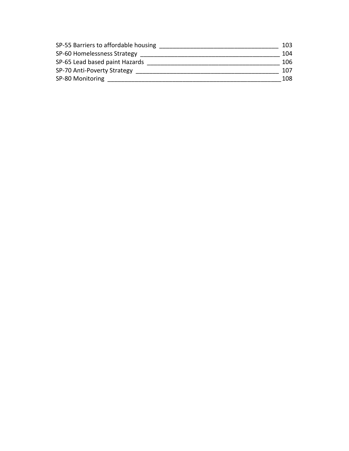| SP-55 Barriers to affordable housing | 103. |
|--------------------------------------|------|
| SP-60 Homelessness Strategy          | 104  |
| SP-65 Lead based paint Hazards       | 106  |
| SP-70 Anti-Poverty Strategy          | 107  |
| SP-80 Monitoring                     | 108  |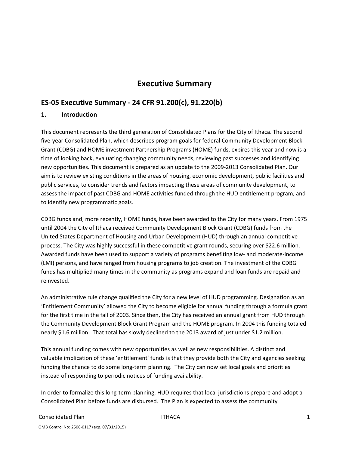# **Executive Summary**

# **ES‐05 Executive Summary ‐ 24 CFR 91.200(c), 91.220(b)**

#### **1. Introduction**

This document represents the third generation of Consolidated Plans for the City of Ithaca. The second five‐year Consolidated Plan, which describes program goals for federal Community Development Block Grant (CDBG) and HOME investment Partnership Programs (HOME) funds, expires this year and now is a time of looking back, evaluating changing community needs, reviewing past successes and identifying new opportunities. This document is prepared as an update to the 2009‐2013 Consolidated Plan. Our aim is to review existing conditions in the areas of housing, economic development, public facilities and public services, to consider trends and factors impacting these areas of community development, to assess the impact of past CDBG and HOME activities funded through the HUD entitlement program, and to identify new programmatic goals.

CDBG funds and, more recently, HOME funds, have been awarded to the City for many years. From 1975 until 2004 the City of Ithaca received Community Development Block Grant (CDBG) funds from the United States Department of Housing and Urban Development (HUD) through an annual competitive process. The City was highly successful in these competitive grant rounds, securing over \$22.6 million. Awarded funds have been used to support a variety of programs benefiting low‐ and moderate‐income (LMI) persons, and have ranged from housing programs to job creation. The investment of the CDBG funds has multiplied many times in the community as programs expand and loan funds are repaid and reinvested.

An administrative rule change qualified the City for a new level of HUD programming. Designation as an 'Entitlement Community' allowed the City to become eligible for annual funding through a formula grant for the first time in the fall of 2003. Since then, the City has received an annual grant from HUD through the Community Development Block Grant Program and the HOME program. In 2004 this funding totaled nearly \$1.6 million. That total has slowly declined to the 2013 award of just under \$1.2 million.

This annual funding comes with new opportunities as well as new responsibilities. A distinct and valuable implication of these 'entitlement' funds is that they provide both the City and agencies seeking funding the chance to do some long-term planning. The City can now set local goals and priorities instead of responding to periodic notices of funding availability.

In order to formalize this long‐term planning, HUD requires that local jurisdictions prepare and adopt a Consolidated Plan before funds are disbursed. The Plan is expected to assess the community

# Consolidated Plan **ITHACA ITHACA ITHACA 1**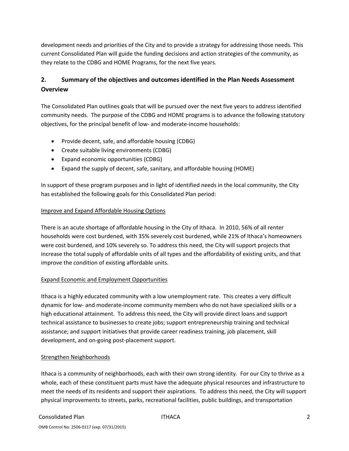development needs and priorities of the City and to provide a strategy for addressing those needs. This current Consolidated Plan will guide the funding decisions and action strategies of the community, as they relate to the CDBG and HOME Programs, for the next five years.

# **2. Summary of the objectives and outcomes identified in the Plan Needs Assessment Overview**

The Consolidated Plan outlines goals that will be pursued over the next five years to address identified community needs. The purpose of the CDBG and HOME programs is to advance the following statutory objectives, for the principal benefit of low‐ and moderate‐income households:

- Provide decent, safe, and affordable housing (CDBG)
- Create suitable living environments (CDBG)
- Expand economic opportunities (CDBG)
- Expand the supply of decent, safe, sanitary, and affordable housing (HOME)

In support of these program purposes and in light of identified needs in the local community, the City has established the following goals for this Consolidated Plan period:

### Improve and Expand Affordable Housing Options

There is an acute shortage of affordable housing in the City of Ithaca. In 2010, 56% of all renter households were cost burdened, with 35% severely cost burdened, while 21% of Ithaca's homeowners were cost burdened, and 10% severely so. To address this need, the City will support projects that increase the total supply of affordable units of all types and the affordability of existing units, and that improve the condition of existing affordable units.

### Expand Economic and Employment Opportunities

Ithaca is a highly educated community with a low unemployment rate. This creates a very difficult dynamic for low‐ and moderate‐income community members who do not have specialized skills or a high educational attainment. To address this need, the City will provide direct loans and support technical assistance to businesses to create jobs; support entrepreneurship training and technical assistance; and support initiatives that provide career readiness training, job placement, skill development, and on‐going post‐placement support.

#### Strengthen Neighborhoods

Ithaca is a community of neighborhoods, each with their own strong identity. For our City to thrive as a whole, each of these constituent parts must have the adequate physical resources and infrastructure to meet the needs of its residents and support their aspirations. To address this need, the City will support physical improvements to streets, parks, recreational facilities, public buildings, and transportation

#### Consolidated Plan **ITHACA Consolidated Plan** ITHACA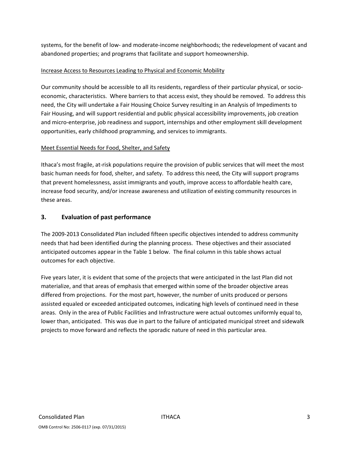systems, for the benefit of low‐ and moderate‐income neighborhoods; the redevelopment of vacant and abandoned properties; and programs that facilitate and support homeownership.

### Increase Access to Resources Leading to Physical and Economic Mobility

Our community should be accessible to all its residents, regardless of their particular physical, or socio‐ economic, characteristics. Where barriers to that access exist, they should be removed. To address this need, the City will undertake a Fair Housing Choice Survey resulting in an Analysis of Impediments to Fair Housing, and will support residential and public physical accessibility improvements, job creation and micro‐enterprise, job readiness and support, internships and other employment skill development opportunities, early childhood programming, and services to immigrants.

### Meet Essential Needs for Food, Shelter, and Safety

Ithaca's most fragile, at-risk populations require the provision of public services that will meet the most basic human needs for food, shelter, and safety. To address this need, the City will support programs that prevent homelessness, assist immigrants and youth, improve access to affordable health care, increase food security, and/or increase awareness and utilization of existing community resources in these areas.

### **3. Evaluation of past performance**

The 2009‐2013 Consolidated Plan included fifteen specific objectives intended to address community needs that had been identified during the planning process. These objectives and their associated anticipated outcomes appear in the Table 1 below. The final column in this table shows actual outcomes for each objective.

Five years later, it is evident that some of the projects that were anticipated in the last Plan did not materialize, and that areas of emphasis that emerged within some of the broader objective areas differed from projections. For the most part, however, the number of units produced or persons assisted equaled or exceeded anticipated outcomes, indicating high levels of continued need in these areas. Only in the area of Public Facilities and Infrastructure were actual outcomes uniformly equal to, lower than, anticipated. This was due in part to the failure of anticipated municipal street and sidewalk projects to move forward and reflects the sporadic nature of need in this particular area.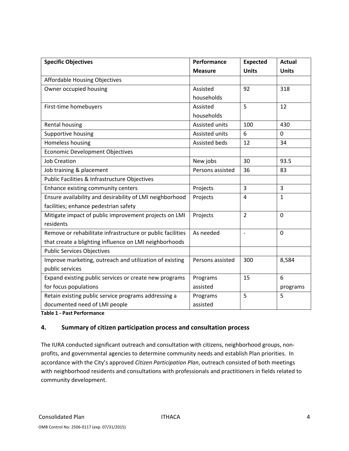| <b>Specific Objectives</b>                                 | Performance      | <b>Expected</b> | <b>Actual</b>  |
|------------------------------------------------------------|------------------|-----------------|----------------|
|                                                            | <b>Measure</b>   | <b>Units</b>    | <b>Units</b>   |
| Affordable Housing Objectives                              |                  |                 |                |
| Owner occupied housing                                     | Assisted         | 92              | 318            |
|                                                            | households       |                 |                |
| First-time homebuyers                                      | Assisted         | 5               | 12             |
|                                                            | households       |                 |                |
| Rental housing                                             | Assisted units   | 100             | 430            |
| Supportive housing                                         | Assisted units   | 6               | $\mathbf 0$    |
| Homeless housing                                           | Assisted beds    | 12              | 34             |
| <b>Economic Development Objectives</b>                     |                  |                 |                |
| <b>Job Creation</b>                                        | New jobs         | 30              | 93.5           |
| Job training & placement                                   | Persons assisted | 36              | 83             |
| Public Facilities & Infrastructure Objectives              |                  |                 |                |
| Enhance existing community centers                         | Projects         | $\overline{3}$  | $\overline{3}$ |
| Ensure availability and desirability of LMI neighborhood   | Projects         | 4               | $\mathbf{1}$   |
| facilities; enhance pedestrian safety                      |                  |                 |                |
| Mitigate impact of public improvement projects on LMI      | Projects         | $\overline{2}$  | $\Omega$       |
| residents                                                  |                  |                 |                |
| Remove or rehabilitate infrastructure or public facilities | As needed        | $\frac{1}{2}$   | $\mathbf 0$    |
| that create a blighting influence on LMI neighborhoods     |                  |                 |                |
| <b>Public Services Objectives</b>                          |                  |                 |                |
| Improve marketing, outreach and utilization of existing    | Persons assisted | 300             | 8,584          |
| public services                                            |                  |                 |                |
| Expand existing public services or create new programs     | Programs         | 15              | 6              |
| for focus populations                                      | assisted         |                 | programs       |
| Retain existing public service programs addressing a       | Programs         | 5               | 5              |
| documented need of LMI people                              | assisted         |                 |                |

**Table 1 ‐ Past Performance**

#### **4. Summary of citizen participation process and consultation process**

The IURA conducted significant outreach and consultation with citizens, neighborhood groups, non‐ profits, and governmental agencies to determine community needs and establish Plan priorities. In accordance with the City's approved *Citizen Participation Plan*, outreach consisted of both meetings with neighborhood residents and consultations with professionals and practitioners in fields related to community development.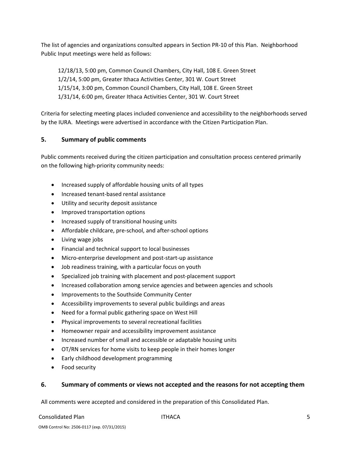The list of agencies and organizations consulted appears in Section PR‐10 of this Plan. Neighborhood Public Input meetings were held as follows:

 12/18/13, 5:00 pm, Common Council Chambers, City Hall, 108 E. Green Street 1/2/14, 5:00 pm, Greater Ithaca Activities Center, 301 W. Court Street 1/15/14, 3:00 pm, Common Council Chambers, City Hall, 108 E. Green Street 1/31/14, 6:00 pm, Greater Ithaca Activities Center, 301 W. Court Street

Criteria for selecting meeting places included convenience and accessibility to the neighborhoods served by the IURA. Meetings were advertised in accordance with the Citizen Participation Plan.

### **5. Summary of public comments**

Public comments received during the citizen participation and consultation process centered primarily on the following high‐priority community needs:

- Increased supply of affordable housing units of all types
- Increased tenant‐based rental assistance
- Utility and security deposit assistance
- Improved transportation options
- Increased supply of transitional housing units
- Affordable childcare, pre‐school, and after‐school options
- Living wage jobs
- Financial and technical support to local businesses
- Micro‐enterprise development and post‐start‐up assistance
- Job readiness training, with a particular focus on youth
- Specialized job training with placement and post‐placement support
- Increased collaboration among service agencies and between agencies and schools
- Improvements to the Southside Community Center
- Accessibility improvements to several public buildings and areas
- Need for a formal public gathering space on West Hill
- Physical improvements to several recreational facilities
- Homeowner repair and accessibility improvement assistance
- Increased number of small and accessible or adaptable housing units
- OT/RN services for home visits to keep people in their homes longer
- Early childhood development programming
- Food security

#### **6. Summary of comments or views not accepted and the reasons for not accepting them**

All comments were accepted and considered in the preparation of this Consolidated Plan.

#### Consolidated Plan ITHACA 5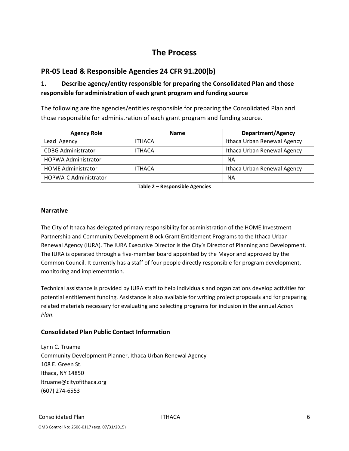# **The Process**

# **PR‐05 Lead & Responsible Agencies 24 CFR 91.200(b)**

# **1. Describe agency/entity responsible for preparing the Consolidated Plan and those responsible for administration of each grant program and funding source**

The following are the agencies/entities responsible for preparing the Consolidated Plan and those responsible for administration of each grant program and funding source.

| <b>Agency Role</b>           | <b>Name</b>   | <b>Department/Agency</b>    |
|------------------------------|---------------|-----------------------------|
| Lead Agency                  | <b>ITHACA</b> | Ithaca Urban Renewal Agency |
| <b>CDBG Administrator</b>    | <b>ITHACA</b> | Ithaca Urban Renewal Agency |
| <b>HOPWA Administrator</b>   |               | ΝA                          |
| <b>HOME Administrator</b>    | <b>ITHACA</b> | Ithaca Urban Renewal Agency |
| <b>HOPWA-C Administrator</b> |               | ΝA                          |

**Table 2 – Responsible Agencies**

#### **Narrative**

The City of Ithaca has delegated primary responsibility for administration of the HOME Investment Partnership and Community Development Block Grant Entitlement Programs to the Ithaca Urban Renewal Agency (IURA). The IURA Executive Director is the City's Director of Planning and Development. The IURA is operated through a five‐member board appointed by the Mayor and approved by the Common Council. It currently has a staff of four people directly responsible for program development, monitoring and implementation.

Technical assistance is provided by IURA staff to help individuals and organizations develop activities for potential entitlement funding. Assistance is also available for writing project proposals and for preparing related materials necessary for evaluating and selecting programs for inclusion in the annual *Action Plan*.

### **Consolidated Plan Public Contact Information**

Lynn C. Truame Community Development Planner, Ithaca Urban Renewal Agency 108 E. Green St. Ithaca, NY 14850 ltruame@cityofithaca.org (607) 274‐6553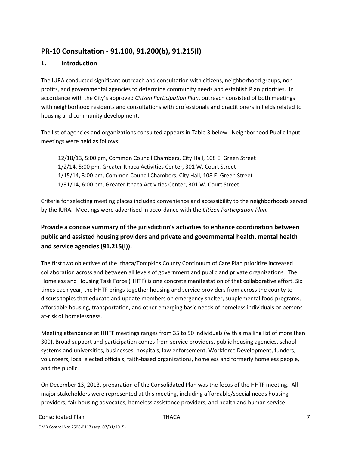# **PR‐10 Consultation ‐ 91.100, 91.200(b), 91.215(l)**

### **1. Introduction**

The IURA conducted significant outreach and consultation with citizens, neighborhood groups, non‐ profits, and governmental agencies to determine community needs and establish Plan priorities. In accordance with the City's approved *Citizen Participation Plan*, outreach consisted of both meetings with neighborhood residents and consultations with professionals and practitioners in fields related to housing and community development.

The list of agencies and organizations consulted appears in Table 3 below. Neighborhood Public Input meetings were held as follows:

 12/18/13, 5:00 pm, Common Council Chambers, City Hall, 108 E. Green Street 1/2/14, 5:00 pm, Greater Ithaca Activities Center, 301 W. Court Street 1/15/14, 3:00 pm, Common Council Chambers, City Hall, 108 E. Green Street 1/31/14, 6:00 pm, Greater Ithaca Activities Center, 301 W. Court Street

Criteria for selecting meeting places included convenience and accessibility to the neighborhoods served by the IURA. Meetings were advertised in accordance with the *Citizen Participation Plan.*

# **Provide a concise summary of the jurisdiction's activities to enhance coordination between public and assisted housing providers and private and governmental health, mental health and service agencies (91.215(I)).**

The first two objectives of the Ithaca/Tompkins County Continuum of Care Plan prioritize increased collaboration across and between all levels of government and public and private organizations. The Homeless and Housing Task Force (HHTF) is one concrete manifestation of that collaborative effort. Six times each year, the HHTF brings together housing and service providers from across the county to discuss topics that educate and update members on emergency shelter, supplemental food programs, affordable housing, transportation, and other emerging basic needs of homeless individuals or persons at‐risk of homelessness.

Meeting attendance at HHTF meetings ranges from 35 to 50 individuals (with a mailing list of more than 300). Broad support and participation comes from service providers, public housing agencies, school systems and universities, businesses, hospitals, law enforcement, Workforce Development, funders, volunteers, local elected officials, faith‐based organizations, homeless and formerly homeless people, and the public.

On December 13, 2013, preparation of the Consolidated Plan was the focus of the HHTF meeting. All major stakeholders were represented at this meeting, including affordable/special needs housing providers, fair housing advocates, homeless assistance providers, and health and human service

# Consolidated Plan **ITHACA ITHACA ITHACA ITHACA 17**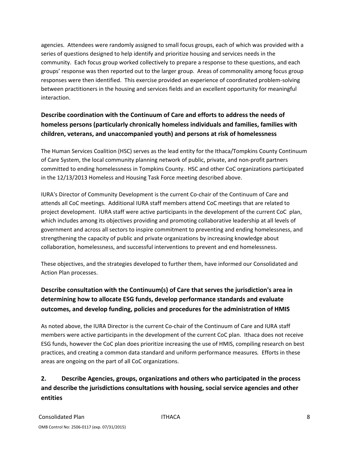agencies. Attendees were randomly assigned to small focus groups, each of which was provided with a series of questions designed to help identify and prioritize housing and services needs in the community. Each focus group worked collectively to prepare a response to these questions, and each groups' response was then reported out to the larger group. Areas of commonality among focus group responses were then identified. This exercise provided an experience of coordinated problem‐solving between practitioners in the housing and services fields and an excellent opportunity for meaningful interaction.

# **Describe coordination with the Continuum of Care and efforts to address the needs of homeless persons (particularly chronically homeless individuals and families, families with children, veterans, and unaccompanied youth) and persons at risk of homelessness**

The Human Services Coalition (HSC) serves as the lead entity for the Ithaca/Tompkins County Continuum of Care System, the local community planning network of public, private, and non‐profit partners committed to ending homelessness in Tompkins County. HSC and other CoC organizations participated in the 12/13/2013 Homeless and Housing Task Force meeting described above.

IURA's Director of Community Development is the current Co‐chair of the Continuum of Care and attends all CoC meetings. Additional IURA staff members attend CoC meetings that are related to project development. IURA staff were active participants in the development of the current CoC plan, which includes among its objectives providing and promoting collaborative leadership at all levels of government and across all sectors to inspire commitment to preventing and ending homelessness, and strengthening the capacity of public and private organizations by increasing knowledge about collaboration, homelessness, and successful interventions to prevent and end homelessness.

These objectives, and the strategies developed to further them, have informed our Consolidated and Action Plan processes.

# **Describe consultation with the Continuum(s) of Care that serves the jurisdiction's area in determining how to allocate ESG funds, develop performance standards and evaluate outcomes, and develop funding, policies and procedures for the administration of HMIS**

As noted above, the IURA Director is the current Co-chair of the Continuum of Care and IURA staff members were active participants in the development of the current CoC plan. Ithaca does not receive ESG funds, however the CoC plan does prioritize increasing the use of HMIS, compiling research on best practices, and creating a common data standard and uniform performance measures*.* Efforts in these areas are ongoing on the part of all CoC organizations.

# **2. Describe Agencies, groups, organizations and others who participated in the process and describe the jurisdictions consultations with housing, social service agencies and other entities**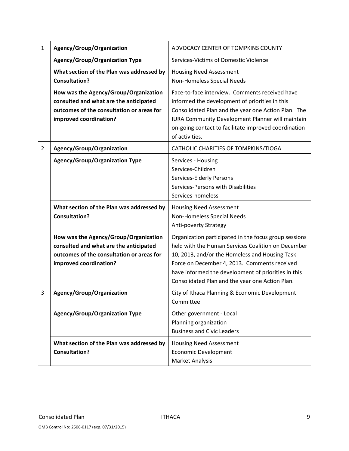| 1              | Agency/Group/Organization                                                                                                                              | ADVOCACY CENTER OF TOMPKINS COUNTY                                                                                                                                                                                                                                                                                      |
|----------------|--------------------------------------------------------------------------------------------------------------------------------------------------------|-------------------------------------------------------------------------------------------------------------------------------------------------------------------------------------------------------------------------------------------------------------------------------------------------------------------------|
|                | <b>Agency/Group/Organization Type</b>                                                                                                                  | Services-Victims of Domestic Violence                                                                                                                                                                                                                                                                                   |
|                | What section of the Plan was addressed by<br><b>Consultation?</b>                                                                                      | <b>Housing Need Assessment</b><br>Non-Homeless Special Needs                                                                                                                                                                                                                                                            |
|                | How was the Agency/Group/Organization<br>consulted and what are the anticipated<br>outcomes of the consultation or areas for<br>improved coordination? | Face-to-face interview. Comments received have<br>informed the development of priorities in this<br>Consolidated Plan and the year one Action Plan. The<br><b>IURA Community Development Planner will maintain</b><br>on-going contact to facilitate improved coordination<br>of activities.                            |
| $\overline{2}$ | Agency/Group/Organization                                                                                                                              | CATHOLIC CHARITIES OF TOMPKINS/TIOGA                                                                                                                                                                                                                                                                                    |
|                | <b>Agency/Group/Organization Type</b>                                                                                                                  | Services - Housing<br>Services-Children<br>Services-Elderly Persons<br>Services-Persons with Disabilities<br>Services-homeless                                                                                                                                                                                          |
|                | What section of the Plan was addressed by<br><b>Consultation?</b>                                                                                      | <b>Housing Need Assessment</b><br>Non-Homeless Special Needs<br>Anti-poverty Strategy                                                                                                                                                                                                                                   |
|                | How was the Agency/Group/Organization<br>consulted and what are the anticipated<br>outcomes of the consultation or areas for<br>improved coordination? | Organization participated in the focus group sessions<br>held with the Human Services Coalition on December<br>10, 2013, and/or the Homeless and Housing Task<br>Force on December 4, 2013. Comments received<br>have informed the development of priorities in this<br>Consolidated Plan and the year one Action Plan. |
| 3              | Agency/Group/Organization                                                                                                                              | City of Ithaca Planning & Economic Development<br>Committee                                                                                                                                                                                                                                                             |
|                | <b>Agency/Group/Organization Type</b>                                                                                                                  | Other government - Local<br>Planning organization<br><b>Business and Civic Leaders</b>                                                                                                                                                                                                                                  |
|                | What section of the Plan was addressed by<br><b>Consultation?</b>                                                                                      | <b>Housing Need Assessment</b><br><b>Economic Development</b><br>Market Analysis                                                                                                                                                                                                                                        |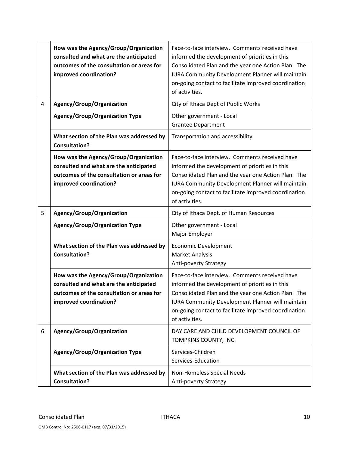|   | How was the Agency/Group/Organization<br>consulted and what are the anticipated<br>outcomes of the consultation or areas for<br>improved coordination? | Face-to-face interview. Comments received have<br>informed the development of priorities in this<br>Consolidated Plan and the year one Action Plan. The<br>IURA Community Development Planner will maintain<br>on-going contact to facilitate improved coordination<br>of activities.        |
|---|--------------------------------------------------------------------------------------------------------------------------------------------------------|----------------------------------------------------------------------------------------------------------------------------------------------------------------------------------------------------------------------------------------------------------------------------------------------|
| 4 | Agency/Group/Organization                                                                                                                              | City of Ithaca Dept of Public Works                                                                                                                                                                                                                                                          |
|   | Agency/Group/Organization Type                                                                                                                         | Other government - Local<br><b>Grantee Department</b>                                                                                                                                                                                                                                        |
|   | What section of the Plan was addressed by<br><b>Consultation?</b>                                                                                      | Transportation and accessibility                                                                                                                                                                                                                                                             |
|   | How was the Agency/Group/Organization<br>consulted and what are the anticipated<br>outcomes of the consultation or areas for<br>improved coordination? | Face-to-face interview. Comments received have<br>informed the development of priorities in this<br>Consolidated Plan and the year one Action Plan. The<br>IURA Community Development Planner will maintain<br>on-going contact to facilitate improved coordination<br>of activities.        |
| 5 | Agency/Group/Organization                                                                                                                              | City of Ithaca Dept. of Human Resources                                                                                                                                                                                                                                                      |
|   | <b>Agency/Group/Organization Type</b>                                                                                                                  | Other government - Local<br>Major Employer                                                                                                                                                                                                                                                   |
|   | What section of the Plan was addressed by<br><b>Consultation?</b>                                                                                      | <b>Economic Development</b><br><b>Market Analysis</b><br>Anti-poverty Strategy                                                                                                                                                                                                               |
|   | How was the Agency/Group/Organization<br>consulted and what are the anticipated<br>outcomes of the consultation or areas for<br>improved coordination? | Face-to-face interview. Comments received have<br>informed the development of priorities in this<br>Consolidated Plan and the year one Action Plan. The<br><b>IURA Community Development Planner will maintain</b><br>on-going contact to facilitate improved coordination<br>of activities. |
| 6 | Agency/Group/Organization                                                                                                                              | DAY CARE AND CHILD DEVELOPMENT COUNCIL OF<br>TOMPKINS COUNTY, INC.                                                                                                                                                                                                                           |
|   | <b>Agency/Group/Organization Type</b>                                                                                                                  | Services-Children<br>Services-Education                                                                                                                                                                                                                                                      |
|   | What section of the Plan was addressed by<br><b>Consultation?</b>                                                                                      | Non-Homeless Special Needs<br>Anti-poverty Strategy                                                                                                                                                                                                                                          |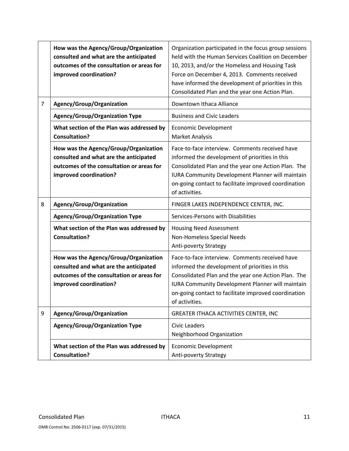|   | How was the Agency/Group/Organization<br>consulted and what are the anticipated<br>outcomes of the consultation or areas for<br>improved coordination? | Organization participated in the focus group sessions<br>held with the Human Services Coalition on December<br>10, 2013, and/or the Homeless and Housing Task<br>Force on December 4, 2013. Comments received<br>have informed the development of priorities in this<br>Consolidated Plan and the year one Action Plan. |
|---|--------------------------------------------------------------------------------------------------------------------------------------------------------|-------------------------------------------------------------------------------------------------------------------------------------------------------------------------------------------------------------------------------------------------------------------------------------------------------------------------|
| 7 | Agency/Group/Organization                                                                                                                              | Downtown Ithaca Alliance                                                                                                                                                                                                                                                                                                |
|   | <b>Agency/Group/Organization Type</b>                                                                                                                  | <b>Business and Civic Leaders</b>                                                                                                                                                                                                                                                                                       |
|   | What section of the Plan was addressed by<br><b>Consultation?</b>                                                                                      | <b>Economic Development</b><br><b>Market Analysis</b>                                                                                                                                                                                                                                                                   |
|   | How was the Agency/Group/Organization<br>consulted and what are the anticipated<br>outcomes of the consultation or areas for<br>improved coordination? | Face-to-face interview. Comments received have<br>informed the development of priorities in this<br>Consolidated Plan and the year one Action Plan. The<br>IURA Community Development Planner will maintain<br>on-going contact to facilitate improved coordination<br>of activities.                                   |
| 8 | Agency/Group/Organization                                                                                                                              | FINGER LAKES INDEPENDENCE CENTER, INC.                                                                                                                                                                                                                                                                                  |
|   | <b>Agency/Group/Organization Type</b>                                                                                                                  | Services-Persons with Disabilities                                                                                                                                                                                                                                                                                      |
|   | What section of the Plan was addressed by<br><b>Consultation?</b>                                                                                      | <b>Housing Need Assessment</b><br>Non-Homeless Special Needs<br>Anti-poverty Strategy                                                                                                                                                                                                                                   |
|   | How was the Agency/Group/Organization<br>consulted and what are the anticipated<br>outcomes of the consultation or areas for<br>improved coordination? | Face-to-face interview. Comments received have<br>informed the development of priorities in this<br>Consolidated Plan and the year one Action Plan. The<br><b>IURA Community Development Planner will maintain</b><br>on-going contact to facilitate improved coordination<br>of activities.                            |
| 9 | Agency/Group/Organization                                                                                                                              | GREATER ITHACA ACTIVITIES CENTER, INC                                                                                                                                                                                                                                                                                   |
|   | <b>Agency/Group/Organization Type</b>                                                                                                                  | <b>Civic Leaders</b><br>Neighborhood Organization                                                                                                                                                                                                                                                                       |
|   | What section of the Plan was addressed by<br><b>Consultation?</b>                                                                                      | <b>Economic Development</b><br>Anti-poverty Strategy                                                                                                                                                                                                                                                                    |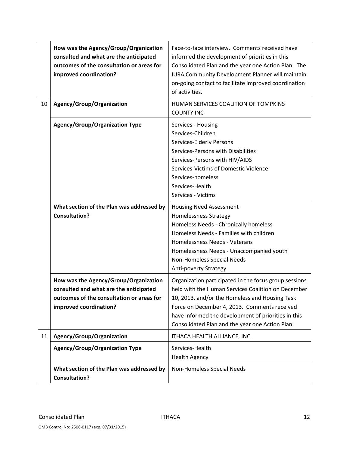|    | How was the Agency/Group/Organization<br>consulted and what are the anticipated<br>outcomes of the consultation or areas for<br>improved coordination? | Face-to-face interview. Comments received have<br>informed the development of priorities in this<br>Consolidated Plan and the year one Action Plan. The<br>IURA Community Development Planner will maintain<br>on-going contact to facilitate improved coordination<br>of activities.                                   |
|----|--------------------------------------------------------------------------------------------------------------------------------------------------------|-------------------------------------------------------------------------------------------------------------------------------------------------------------------------------------------------------------------------------------------------------------------------------------------------------------------------|
| 10 | Agency/Group/Organization                                                                                                                              | HUMAN SERVICES COALITION OF TOMPKINS<br><b>COUNTY INC</b>                                                                                                                                                                                                                                                               |
|    | <b>Agency/Group/Organization Type</b>                                                                                                                  | Services - Housing<br>Services-Children<br>Services-Elderly Persons<br>Services-Persons with Disabilities<br>Services-Persons with HIV/AIDS<br>Services-Victims of Domestic Violence<br>Services-homeless<br>Services-Health<br>Services - Victims                                                                      |
|    | What section of the Plan was addressed by<br><b>Consultation?</b>                                                                                      | <b>Housing Need Assessment</b><br><b>Homelessness Strategy</b><br>Homeless Needs - Chronically homeless<br>Homeless Needs - Families with children<br>Homelessness Needs - Veterans<br>Homelessness Needs - Unaccompanied youth<br>Non-Homeless Special Needs<br><b>Anti-poverty Strategy</b>                           |
|    | How was the Agency/Group/Organization<br>consulted and what are the anticipated<br>outcomes of the consultation or areas for<br>improved coordination? | Organization participated in the focus group sessions<br>held with the Human Services Coalition on December<br>10, 2013, and/or the Homeless and Housing Task<br>Force on December 4, 2013. Comments received<br>have informed the development of priorities in this<br>Consolidated Plan and the year one Action Plan. |
| 11 | Agency/Group/Organization                                                                                                                              | ITHACA HEALTH ALLIANCE, INC.                                                                                                                                                                                                                                                                                            |
|    | <b>Agency/Group/Organization Type</b>                                                                                                                  | Services-Health<br><b>Health Agency</b>                                                                                                                                                                                                                                                                                 |
|    | What section of the Plan was addressed by<br><b>Consultation?</b>                                                                                      | Non-Homeless Special Needs                                                                                                                                                                                                                                                                                              |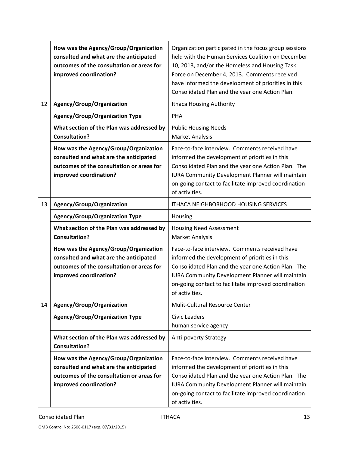|    | How was the Agency/Group/Organization<br>consulted and what are the anticipated<br>outcomes of the consultation or areas for<br>improved coordination? | Organization participated in the focus group sessions<br>held with the Human Services Coalition on December<br>10, 2013, and/or the Homeless and Housing Task<br>Force on December 4, 2013. Comments received<br>have informed the development of priorities in this<br>Consolidated Plan and the year one Action Plan. |
|----|--------------------------------------------------------------------------------------------------------------------------------------------------------|-------------------------------------------------------------------------------------------------------------------------------------------------------------------------------------------------------------------------------------------------------------------------------------------------------------------------|
| 12 | Agency/Group/Organization                                                                                                                              | <b>Ithaca Housing Authority</b>                                                                                                                                                                                                                                                                                         |
|    | <b>Agency/Group/Organization Type</b>                                                                                                                  | PHA                                                                                                                                                                                                                                                                                                                     |
|    | What section of the Plan was addressed by<br><b>Consultation?</b>                                                                                      | <b>Public Housing Needs</b><br><b>Market Analysis</b>                                                                                                                                                                                                                                                                   |
|    | How was the Agency/Group/Organization<br>consulted and what are the anticipated<br>outcomes of the consultation or areas for<br>improved coordination? | Face-to-face interview. Comments received have<br>informed the development of priorities in this<br>Consolidated Plan and the year one Action Plan. The<br>IURA Community Development Planner will maintain<br>on-going contact to facilitate improved coordination<br>of activities.                                   |
| 13 | Agency/Group/Organization                                                                                                                              | <b>ITHACA NEIGHBORHOOD HOUSING SERVICES</b>                                                                                                                                                                                                                                                                             |
|    | <b>Agency/Group/Organization Type</b>                                                                                                                  | Housing                                                                                                                                                                                                                                                                                                                 |
|    | What section of the Plan was addressed by                                                                                                              | <b>Housing Need Assessment</b>                                                                                                                                                                                                                                                                                          |
|    | <b>Consultation?</b>                                                                                                                                   | <b>Market Analysis</b>                                                                                                                                                                                                                                                                                                  |
|    | How was the Agency/Group/Organization<br>consulted and what are the anticipated<br>outcomes of the consultation or areas for<br>improved coordination? | Face-to-face interview. Comments received have<br>informed the development of priorities in this<br>Consolidated Plan and the year one Action Plan. The<br><b>IURA Community Development Planner will maintain</b><br>on-going contact to facilitate improved coordination<br>of activities.                            |
| 14 | Agency/Group/Organization                                                                                                                              | Mulit-Cultural Resource Center                                                                                                                                                                                                                                                                                          |
|    | <b>Agency/Group/Organization Type</b>                                                                                                                  | <b>Civic Leaders</b><br>human service agency                                                                                                                                                                                                                                                                            |
|    | What section of the Plan was addressed by<br><b>Consultation?</b>                                                                                      | <b>Anti-poverty Strategy</b>                                                                                                                                                                                                                                                                                            |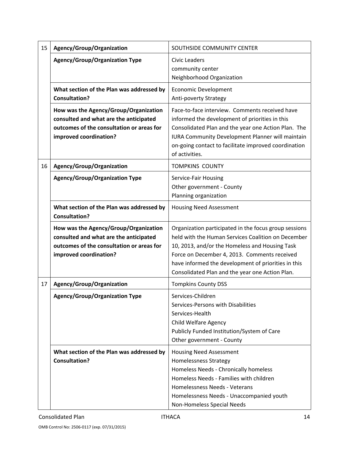| 15 | Agency/Group/Organization                                                                                                                              | SOUTHSIDE COMMUNITY CENTER                                                                                                                                                                                                                                                                                              |
|----|--------------------------------------------------------------------------------------------------------------------------------------------------------|-------------------------------------------------------------------------------------------------------------------------------------------------------------------------------------------------------------------------------------------------------------------------------------------------------------------------|
|    | <b>Agency/Group/Organization Type</b>                                                                                                                  | <b>Civic Leaders</b><br>community center<br>Neighborhood Organization                                                                                                                                                                                                                                                   |
|    | What section of the Plan was addressed by<br><b>Consultation?</b>                                                                                      | <b>Economic Development</b><br>Anti-poverty Strategy                                                                                                                                                                                                                                                                    |
|    | How was the Agency/Group/Organization<br>consulted and what are the anticipated<br>outcomes of the consultation or areas for<br>improved coordination? | Face-to-face interview. Comments received have<br>informed the development of priorities in this<br>Consolidated Plan and the year one Action Plan. The<br><b>IURA Community Development Planner will maintain</b><br>on-going contact to facilitate improved coordination<br>of activities.                            |
| 16 | Agency/Group/Organization                                                                                                                              | <b>TOMPKINS COUNTY</b>                                                                                                                                                                                                                                                                                                  |
|    | <b>Agency/Group/Organization Type</b>                                                                                                                  | Service-Fair Housing<br>Other government - County<br>Planning organization                                                                                                                                                                                                                                              |
|    | What section of the Plan was addressed by<br><b>Consultation?</b>                                                                                      | <b>Housing Need Assessment</b>                                                                                                                                                                                                                                                                                          |
|    | How was the Agency/Group/Organization<br>consulted and what are the anticipated<br>outcomes of the consultation or areas for<br>improved coordination? | Organization participated in the focus group sessions<br>held with the Human Services Coalition on December<br>10, 2013, and/or the Homeless and Housing Task<br>Force on December 4, 2013. Comments received<br>have informed the development of priorities in this<br>Consolidated Plan and the year one Action Plan. |
| 17 | Agency/Group/Organization                                                                                                                              | <b>Tompkins County DSS</b>                                                                                                                                                                                                                                                                                              |
|    | <b>Agency/Group/Organization Type</b>                                                                                                                  | Services-Children<br>Services-Persons with Disabilities<br>Services-Health<br>Child Welfare Agency<br>Publicly Funded Institution/System of Care<br>Other government - County                                                                                                                                           |
|    | What section of the Plan was addressed by<br><b>Consultation?</b>                                                                                      | <b>Housing Need Assessment</b><br><b>Homelessness Strategy</b><br>Homeless Needs - Chronically homeless<br>Homeless Needs - Families with children<br>Homelessness Needs - Veterans<br>Homelessness Needs - Unaccompanied youth<br>Non-Homeless Special Needs                                                           |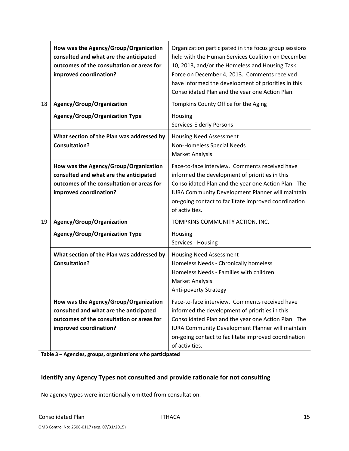|    | How was the Agency/Group/Organization<br>consulted and what are the anticipated<br>outcomes of the consultation or areas for<br>improved coordination? | Organization participated in the focus group sessions<br>held with the Human Services Coalition on December<br>10, 2013, and/or the Homeless and Housing Task<br>Force on December 4, 2013. Comments received<br>have informed the development of priorities in this<br>Consolidated Plan and the year one Action Plan. |
|----|--------------------------------------------------------------------------------------------------------------------------------------------------------|-------------------------------------------------------------------------------------------------------------------------------------------------------------------------------------------------------------------------------------------------------------------------------------------------------------------------|
| 18 | Agency/Group/Organization                                                                                                                              | Tompkins County Office for the Aging                                                                                                                                                                                                                                                                                    |
|    | <b>Agency/Group/Organization Type</b>                                                                                                                  | Housing<br>Services-Elderly Persons                                                                                                                                                                                                                                                                                     |
|    | What section of the Plan was addressed by<br><b>Consultation?</b>                                                                                      | <b>Housing Need Assessment</b><br>Non-Homeless Special Needs<br><b>Market Analysis</b>                                                                                                                                                                                                                                  |
|    | How was the Agency/Group/Organization<br>consulted and what are the anticipated<br>outcomes of the consultation or areas for<br>improved coordination? | Face-to-face interview. Comments received have<br>informed the development of priorities in this<br>Consolidated Plan and the year one Action Plan. The<br><b>IURA Community Development Planner will maintain</b><br>on-going contact to facilitate improved coordination<br>of activities.                            |
| 19 | Agency/Group/Organization                                                                                                                              | TOMPKINS COMMUNITY ACTION, INC.                                                                                                                                                                                                                                                                                         |
|    | <b>Agency/Group/Organization Type</b>                                                                                                                  | Housing<br>Services - Housing                                                                                                                                                                                                                                                                                           |
|    | What section of the Plan was addressed by<br><b>Consultation?</b>                                                                                      | <b>Housing Need Assessment</b><br>Homeless Needs - Chronically homeless<br>Homeless Needs - Families with children<br><b>Market Analysis</b><br>Anti-poverty Strategy                                                                                                                                                   |
|    | How was the Agency/Group/Organization<br>consulted and what are the anticipated<br>outcomes of the consultation or areas for<br>improved coordination? | Face-to-face interview. Comments received have<br>informed the development of priorities in this<br>Consolidated Plan and the year one Action Plan. The<br><b>IURA Community Development Planner will maintain</b><br>on-going contact to facilitate improved coordination<br>of activities.                            |

**Table 3 – Agencies, groups, organizations who participated**

### **Identify any Agency Types not consulted and provide rationale for not consulting**

No agency types were intentionally omitted from consultation.

OMB Control No: 2506‐0117 (exp. 07/31/2015)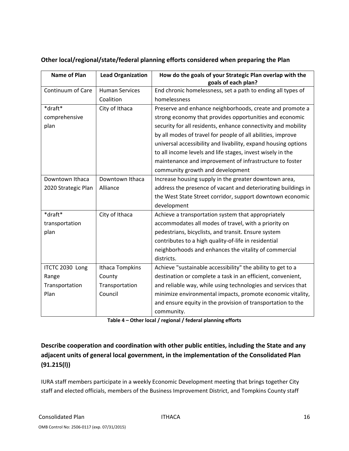| <b>Name of Plan</b> | <b>Lead Organization</b> | How do the goals of your Strategic Plan overlap with the<br>goals of each plan? |
|---------------------|--------------------------|---------------------------------------------------------------------------------|
| Continuum of Care   | <b>Human Services</b>    | End chronic homelessness, set a path to ending all types of                     |
|                     | Coalition                | homelessness                                                                    |
| *draft*             | City of Ithaca           | Preserve and enhance neighborhoods, create and promote a                        |
| comprehensive       |                          | strong economy that provides opportunities and economic                         |
| plan                |                          | security for all residents, enhance connectivity and mobility                   |
|                     |                          | by all modes of travel for people of all abilities, improve                     |
|                     |                          | universal accessibility and livability, expand housing options                  |
|                     |                          | to all income levels and life stages, invest wisely in the                      |
|                     |                          | maintenance and improvement of infrastructure to foster                         |
|                     |                          | community growth and development                                                |
| Downtown Ithaca     | Downtown Ithaca          | Increase housing supply in the greater downtown area,                           |
| 2020 Strategic Plan | Alliance                 | address the presence of vacant and deteriorating buildings in                   |
|                     |                          | the West State Street corridor, support downtown economic                       |
|                     |                          | development                                                                     |
| *draft*             | City of Ithaca           | Achieve a transportation system that appropriately                              |
| transportation      |                          | accommodates all modes of travel, with a priority on                            |
| plan                |                          | pedestrians, bicyclists, and transit. Ensure system                             |
|                     |                          | contributes to a high quality-of-life in residential                            |
|                     |                          | neighborhoods and enhances the vitality of commercial                           |
|                     |                          | districts.                                                                      |
| ITCTC 2030 Long     | Ithaca Tompkins          | Achieve "sustainable accessibility" the ability to get to a                     |
| Range               | County                   | destination or complete a task in an efficient, convenient,                     |
| Transportation      | Transportation           | and reliable way, while using technologies and services that                    |
| Plan                | Council                  | minimize environmental impacts, promote economic vitality,                      |
|                     |                          | and ensure equity in the provision of transportation to the                     |
|                     |                          | community.                                                                      |

### **Other local/regional/state/federal planning efforts considered when preparing the Plan**

**Table 4 – Other local / regional / federal planning efforts**

# **Describe cooperation and coordination with other public entities, including the State and any adjacent units of general local government, in the implementation of the Consolidated Plan (91.215(l))**

IURA staff members participate in a weekly Economic Development meeting that brings together City staff and elected officials, members of the Business Improvement District, and Tompkins County staff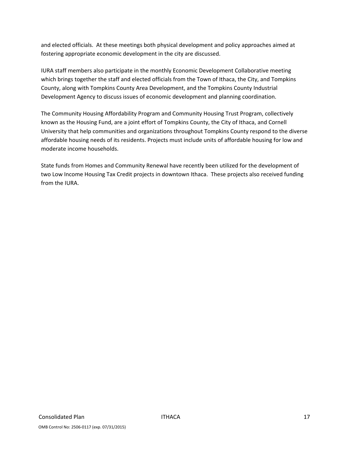and elected officials. At these meetings both physical development and policy approaches aimed at fostering appropriate economic development in the city are discussed.

IURA staff members also participate in the monthly Economic Development Collaborative meeting which brings together the staff and elected officials from the Town of Ithaca, the City, and Tompkins County, along with Tompkins County Area Development, and the Tompkins County Industrial Development Agency to discuss issues of economic development and planning coordination.

The Community Housing Affordability Program and Community Housing Trust Program, collectively known as the Housing Fund, are a joint effort of Tompkins County, the City of Ithaca, and Cornell University that help communities and organizations throughout Tompkins County respond to the diverse affordable housing needs of its residents. Projects must include units of affordable housing for low and moderate income households.

State funds from Homes and Community Renewal have recently been utilized for the development of two Low Income Housing Tax Credit projects in downtown Ithaca. These projects also received funding from the IURA.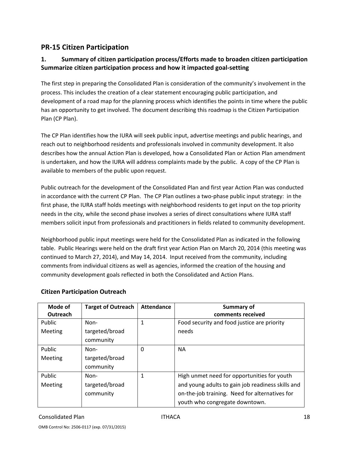# **PR‐15 Citizen Participation**

### **1. Summary of citizen participation process/Efforts made to broaden citizen participation Summarize citizen participation process and how it impacted goal‐setting**

The first step in preparing the Consolidated Plan is consideration of the community's involvement in the process. This includes the creation of a clear statement encouraging public participation, and development of a road map for the planning process which identifies the points in time where the public has an opportunity to get involved. The document describing this roadmap is the Citizen Participation Plan (CP Plan).

The CP Plan identifies how the IURA will seek public input, advertise meetings and public hearings, and reach out to neighborhood residents and professionals involved in community development. It also describes how the annual Action Plan is developed, how a Consolidated Plan or Action Plan amendment is undertaken, and how the IURA will address complaints made by the public. A copy of the CP Plan is available to members of the public upon request.

Public outreach for the development of the Consolidated Plan and first year Action Plan was conducted in accordance with the current CP Plan. The CP Plan outlines a two‐phase public input strategy: in the first phase, the IURA staff holds meetings with neighborhood residents to get input on the top priority needs in the city, while the second phase involves a series of direct consultations where IURA staff members solicit input from professionals and practitioners in fields related to community development.

Neighborhood public input meetings were held for the Consolidated Plan as indicated in the following table. Public Hearings were held on the draft first year Action Plan on March 20, 2014 (this meeting was continued to March 27, 2014), and May 14, 2014. Input received from the community, including comments from individual citizens as well as agencies, informed the creation of the housing and community development goals reflected in both the Consolidated and Action Plans.

| Mode of       | <b>Target of Outreach</b> | <b>Attendance</b> | <b>Summary of</b>                                 |
|---------------|---------------------------|-------------------|---------------------------------------------------|
| Outreach      |                           |                   | comments received                                 |
| <b>Public</b> | Non-                      | 1                 | Food security and food justice are priority       |
| Meeting       | targeted/broad            |                   | needs                                             |
|               | community                 |                   |                                                   |
| Public        | Non-                      | 0                 | <b>NA</b>                                         |
| Meeting       | targeted/broad            |                   |                                                   |
|               | community                 |                   |                                                   |
| Public        | Non-                      | 1                 | High unmet need for opportunities for youth       |
| Meeting       | targeted/broad            |                   | and young adults to gain job readiness skills and |
|               | community                 |                   | on-the-job training. Need for alternatives for    |
|               |                           |                   | youth who congregate downtown.                    |

### **Citizen Participation Outreach**

#### Consolidated Plan ITHACA 18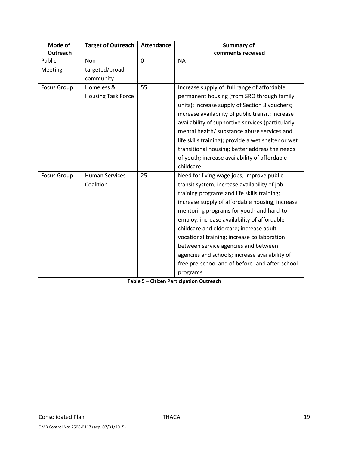| Mode of<br>Outreach | <b>Target of Outreach</b>               | <b>Attendance</b> | <b>Summary of</b><br>comments received                                                                                                                                                                                                                                                                                                                                                                                                                                                        |
|---------------------|-----------------------------------------|-------------------|-----------------------------------------------------------------------------------------------------------------------------------------------------------------------------------------------------------------------------------------------------------------------------------------------------------------------------------------------------------------------------------------------------------------------------------------------------------------------------------------------|
| Public              | Non-                                    | $\overline{0}$    | <b>NA</b>                                                                                                                                                                                                                                                                                                                                                                                                                                                                                     |
| Meeting             | targeted/broad                          |                   |                                                                                                                                                                                                                                                                                                                                                                                                                                                                                               |
|                     | community                               |                   |                                                                                                                                                                                                                                                                                                                                                                                                                                                                                               |
| <b>Focus Group</b>  | Homeless &<br><b>Housing Task Force</b> | 55                | Increase supply of full range of affordable<br>permanent housing (from SRO through family<br>units); increase supply of Section 8 vouchers;<br>increase availability of public transit; increase<br>availability of supportive services (particularly<br>mental health/ substance abuse services and<br>life skills training); provide a wet shelter or wet<br>transitional housing; better address the needs<br>of youth; increase availability of affordable                                |
| <b>Focus Group</b>  | <b>Human Services</b>                   | 25                | childcare.<br>Need for living wage jobs; improve public                                                                                                                                                                                                                                                                                                                                                                                                                                       |
|                     | Coalition                               |                   | transit system; increase availability of job<br>training programs and life skills training;<br>increase supply of affordable housing; increase<br>mentoring programs for youth and hard-to-<br>employ; increase availability of affordable<br>childcare and eldercare; increase adult<br>vocational training; increase collaboration<br>between service agencies and between<br>agencies and schools; increase availability of<br>free pre-school and of before- and after-school<br>programs |

**Table 5 – Citizen Participation Outreach**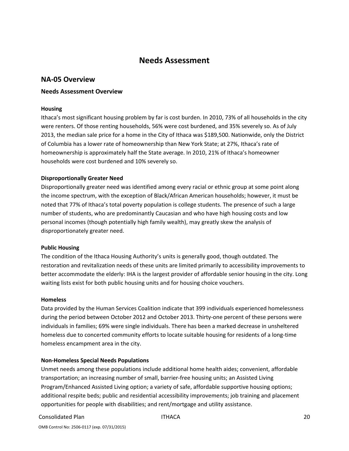# **Needs Assessment**

#### **NA‐05 Overview**

#### **Needs Assessment Overview**

#### **Housing**

Ithaca's most significant housing problem by far is cost burden. In 2010, 73% of all households in the city were renters. Of those renting households, 56% were cost burdened, and 35% severely so. As of July 2013, the median sale price for a home in the City of Ithaca was \$189,500. Nationwide, only the District of Columbia has a lower rate of homeownership than New York State; at 27%, Ithaca's rate of homeownership is approximately half the State average. In 2010, 21% of Ithaca's homeowner households were cost burdened and 10% severely so.

#### **Disproportionally Greater Need**

Disproportionally greater need was identified among every racial or ethnic group at some point along the income spectrum, with the exception of Black/African American households; however, it must be noted that 77% of Ithaca's total poverty population is college students. The presence of such a large number of students, who are predominantly Caucasian and who have high housing costs and low personal incomes (though potentially high family wealth), may greatly skew the analysis of disproportionately greater need.

#### **Public Housing**

The condition of the Ithaca Housing Authority's units is generally good, though outdated. The restoration and revitalization needs of these units are limited primarily to accessibility improvements to better accommodate the elderly: IHA is the largest provider of affordable senior housing in the city. Long waiting lists exist for both public housing units and for housing choice vouchers.

#### **Homeless**

Data provided by the Human Services Coalition indicate that 399 individuals experienced homelessness during the period between October 2012 and October 2013. Thirty-one percent of these persons were individuals in families; 69% were single individuals. There has been a marked decrease in unsheltered homeless due to concerted community efforts to locate suitable housing for residents of a long-time homeless encampment area in the city.

#### **Non‐Homeless Special Needs Populations**

Unmet needs among these populations include additional home health aides; convenient, affordable transportation; an increasing number of small, barrier‐free housing units; an Assisted Living Program/Enhanced Assisted Living option; a variety of safe, affordable supportive housing options; additional respite beds; public and residential accessibility improvements; job training and placement opportunities for people with disabilities; and rent/mortgage and utility assistance.

#### Consolidated Plan **ITHACA Consolidated Plan** 20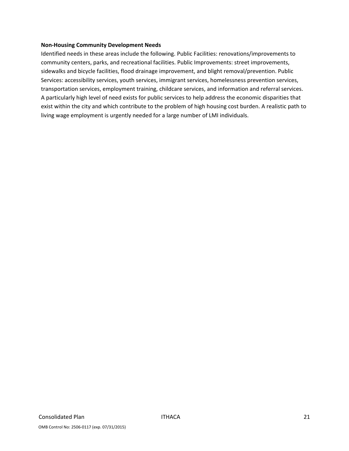#### **Non‐Housing Community Development Needs**

Identified needs in these areas include the following. Public Facilities: renovations/improvements to community centers, parks, and recreational facilities. Public Improvements: street improvements, sidewalks and bicycle facilities, flood drainage improvement, and blight removal/prevention. Public Services: accessibility services, youth services, immigrant services, homelessness prevention services, transportation services, employment training, childcare services, and information and referral services. A particularly high level of need exists for public services to help address the economic disparities that exist within the city and which contribute to the problem of high housing cost burden. A realistic path to living wage employment is urgently needed for a large number of LMI individuals.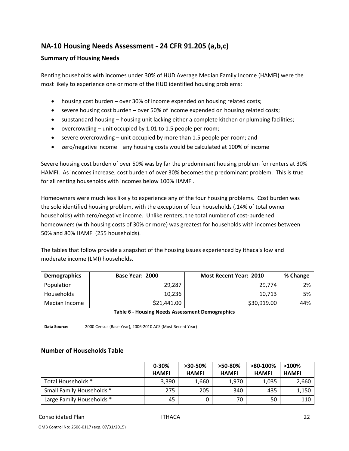# **NA‐10 Housing Needs Assessment ‐ 24 CFR 91.205 (a,b,c)**

#### **Summary of Housing Needs**

Renting households with incomes under 30% of HUD Average Median Family Income (HAMFI) were the most likely to experience one or more of the HUD identified housing problems:

- housing cost burden over 30% of income expended on housing related costs;
- severe housing cost burden over 50% of income expended on housing related costs;
- substandard housing housing unit lacking either a complete kitchen or plumbing facilities;
- overcrowding unit occupied by 1.01 to 1.5 people per room;
- severe overcrowding unit occupied by more than 1.5 people per room; and
- zero/negative income any housing costs would be calculated at 100% of income

Severe housing cost burden of over 50% was by far the predominant housing problem for renters at 30% HAMFI. As incomes increase, cost burden of over 30% becomes the predominant problem. This is true for all renting households with incomes below 100% HAMFI.

Homeowners were much less likely to experience any of the four housing problems. Cost burden was the sole identified housing problem, with the exception of four households (.14% of total owner households) with zero/negative income. Unlike renters, the total number of cost-burdened homeowners (with housing costs of 30% or more) was greatest for households with incomes between 50% and 80% HAMFI (255 households).

The tables that follow provide a snapshot of the housing issues experienced by Ithaca's low and moderate income (LMI) households.

| <b>Demographics</b> | Base Year: 2000 | <b>Most Recent Year: 2010</b> | % Change |
|---------------------|-----------------|-------------------------------|----------|
| Population          | 29,287          | 29.774                        | 2%       |
| Households          | 10.236          | 10.713                        | 5%       |
| Median Income       | \$21,441.00     | \$30,919.00                   | 44%      |

#### **Table 6 ‐ Housing Needs Assessment Demographics**

**Data Source:** 2000 Census (Base Year), 2006‐2010 ACS (Most Recent Year)

#### **Number of Households Table**

|                           | $0 - 30%$<br><b>HAMFI</b> | $>30-50\%$<br><b>HAMFI</b> | $>50-80\%$<br><b>HAMFI</b> | >80-100%<br><b>HAMFI</b> | $>100\%$<br><b>HAMFI</b> |
|---------------------------|---------------------------|----------------------------|----------------------------|--------------------------|--------------------------|
| Total Households *        | 3,390                     | 1,660                      | 1,970                      | 1,035                    | 2,660                    |
| Small Family Households * | 275                       | 205                        | 340                        | 435                      | 1,150                    |
| Large Family Households * | 45                        |                            | 70                         | 50                       | 110                      |

#### Consolidated Plan ITHACA 22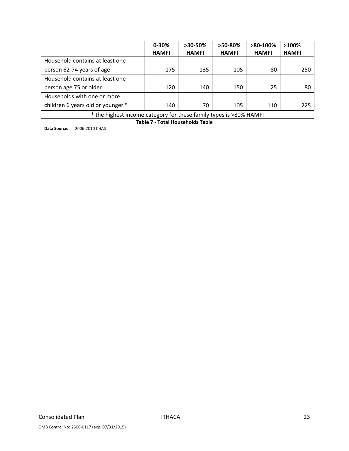|                                                                    | $0 - 30%$    | $>30-50\%$   | $>50-80\%$   | $>80-100\%$  | $>100\%$     |
|--------------------------------------------------------------------|--------------|--------------|--------------|--------------|--------------|
|                                                                    | <b>HAMFI</b> | <b>HAMFI</b> | <b>HAMFI</b> | <b>HAMFI</b> | <b>HAMFI</b> |
| Household contains at least one                                    |              |              |              |              |              |
| person 62-74 years of age                                          | 175          | 135          | 105          | 80           | 250          |
| Household contains at least one                                    |              |              |              |              |              |
| person age 75 or older                                             | 120          | 140          | 150          | 25           | 80           |
| Households with one or more                                        |              |              |              |              |              |
| children 6 years old or younger *                                  | 140          | 70           | 105          | 110          | 225          |
| * the highest income category for these family types is >80% HAMFI |              |              |              |              |              |

**Table 7 ‐ Total Households Table**

**Data Source:** 2006‐2010 CHAS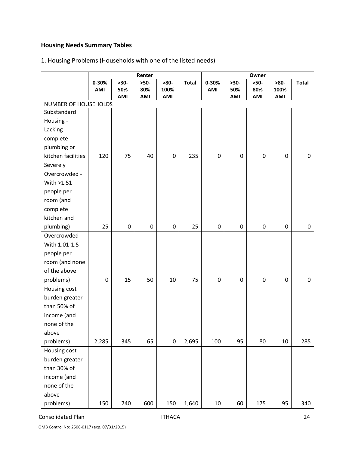# **Housing Needs Summary Tables**

# 1. Housing Problems (Households with one of the listed needs)

|                      |                  | Renter<br>Owner  |                  |                  |              |           |                  |             |           |                  |
|----------------------|------------------|------------------|------------------|------------------|--------------|-----------|------------------|-------------|-----------|------------------|
|                      | 0-30%            | $>30-$           | $>50-$           | $>80-$           | <b>Total</b> | 0-30%     | $>30-$           | $>50-$      | $>80-$    | <b>Total</b>     |
|                      | AMI              | 50%              | 80%              | 100%             |              | AMI       | 50%              | 80%         | 100%      |                  |
| NUMBER OF HOUSEHOLDS |                  | AMI              | AMI              | AMI              |              |           | AMI              | AMI         | AMI       |                  |
| Substandard          |                  |                  |                  |                  |              |           |                  |             |           |                  |
| Housing -            |                  |                  |                  |                  |              |           |                  |             |           |                  |
| Lacking              |                  |                  |                  |                  |              |           |                  |             |           |                  |
| complete             |                  |                  |                  |                  |              |           |                  |             |           |                  |
| plumbing or          |                  |                  |                  |                  |              |           |                  |             |           |                  |
| kitchen facilities   | 120              | 75               | 40               | $\boldsymbol{0}$ | 235          | $\pmb{0}$ | $\boldsymbol{0}$ | $\mathbf 0$ | $\pmb{0}$ | 0                |
| Severely             |                  |                  |                  |                  |              |           |                  |             |           |                  |
| Overcrowded -        |                  |                  |                  |                  |              |           |                  |             |           |                  |
| With >1.51           |                  |                  |                  |                  |              |           |                  |             |           |                  |
| people per           |                  |                  |                  |                  |              |           |                  |             |           |                  |
| room (and            |                  |                  |                  |                  |              |           |                  |             |           |                  |
| complete             |                  |                  |                  |                  |              |           |                  |             |           |                  |
| kitchen and          |                  |                  |                  |                  |              |           |                  |             |           |                  |
| plumbing)            | 25               | $\boldsymbol{0}$ | $\boldsymbol{0}$ | $\pmb{0}$        | 25           | $\pmb{0}$ | $\boldsymbol{0}$ | $\pmb{0}$   | $\pmb{0}$ | $\pmb{0}$        |
| Overcrowded -        |                  |                  |                  |                  |              |           |                  |             |           |                  |
| With 1.01-1.5        |                  |                  |                  |                  |              |           |                  |             |           |                  |
| people per           |                  |                  |                  |                  |              |           |                  |             |           |                  |
| room (and none       |                  |                  |                  |                  |              |           |                  |             |           |                  |
| of the above         |                  |                  |                  |                  |              |           |                  |             |           |                  |
| problems)            | $\boldsymbol{0}$ | 15               | 50               | 10               | 75           | $\pmb{0}$ | 0                | $\pmb{0}$   | $\pmb{0}$ | $\boldsymbol{0}$ |
| Housing cost         |                  |                  |                  |                  |              |           |                  |             |           |                  |
| burden greater       |                  |                  |                  |                  |              |           |                  |             |           |                  |
| than 50% of          |                  |                  |                  |                  |              |           |                  |             |           |                  |
| income (and          |                  |                  |                  |                  |              |           |                  |             |           |                  |
| none of the          |                  |                  |                  |                  |              |           |                  |             |           |                  |
| above                |                  |                  |                  |                  |              |           |                  |             |           |                  |
| problems)            | 2,285            | 345              | 65               | $\pmb{0}$        | 2,695        | 100       | 95               | 80          | 10        | 285              |
| Housing cost         |                  |                  |                  |                  |              |           |                  |             |           |                  |
| burden greater       |                  |                  |                  |                  |              |           |                  |             |           |                  |
| than 30% of          |                  |                  |                  |                  |              |           |                  |             |           |                  |
| income (and          |                  |                  |                  |                  |              |           |                  |             |           |                  |
| none of the          |                  |                  |                  |                  |              |           |                  |             |           |                  |
| above                |                  |                  |                  |                  |              |           |                  |             |           |                  |
| problems)            | 150              | 740              | 600              | 150              | 1,640        | $10\,$    | 60               | 175         | 95        | 340              |

#### Consolidated Plan 24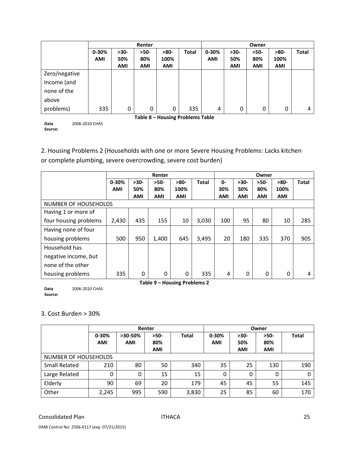|               |            |            | Renter     |                                  |       | Owner      |            |            |            |              |
|---------------|------------|------------|------------|----------------------------------|-------|------------|------------|------------|------------|--------------|
|               | $0 - 30%$  | $>30-$     | $>50-$     | $>80-$                           | Total | 0-30%      | $>30-$     | $>50-$     | $>80-$     | <b>Total</b> |
|               | <b>AMI</b> | 50%        | 80%        | 100%                             |       | <b>AMI</b> | 50%        | 80%        | 100%       |              |
|               |            | <b>AMI</b> | <b>AMI</b> | AMI                              |       |            | <b>AMI</b> | <b>AMI</b> | <b>AMI</b> |              |
| Zero/negative |            |            |            |                                  |       |            |            |            |            |              |
| Income (and   |            |            |            |                                  |       |            |            |            |            |              |
| none of the   |            |            |            |                                  |       |            |            |            |            |              |
| above         |            |            |            |                                  |       |            |            |            |            |              |
| problems)     | 335        | 0          | 0          | 0                                | 335   | 4          | 0          | 0          | 0          | 4            |
|               |            |            |            | Table 8 - Housing Problems Table |       |            |            |            |            |              |

**Data Source:** 2006‐2010 CHAS

2. Housing Problems 2 (Households with one or more Severe Housing Problems: Lacks kitchen

or complete plumbing, severe overcrowding, severe cost burden)

|                             |           | Renter |                              |        |              |            |        | Owner      |            |              |
|-----------------------------|-----------|--------|------------------------------|--------|--------------|------------|--------|------------|------------|--------------|
|                             | $0 - 30%$ | $>30-$ | $>50-$                       | $>80-$ | <b>Total</b> | 0-         | $>30-$ | $>50-$     | $>80-$     | <b>Total</b> |
|                             | AMI       | 50%    | 80%                          | 100%   |              | 30%        | 50%    | 80%        | 100%       |              |
|                             |           | AMI    | AMI                          | AMI    |              | <b>AMI</b> | AMI    | <b>AMI</b> | <b>AMI</b> |              |
| <b>NUMBER OF HOUSEHOLDS</b> |           |        |                              |        |              |            |        |            |            |              |
| Having 1 or more of         |           |        |                              |        |              |            |        |            |            |              |
| four housing problems       | 2,430     | 435    | 155                          | 10     | 3,030        | 100        | 95     | 80         | 10         | 285          |
| Having none of four         |           |        |                              |        |              |            |        |            |            |              |
| housing problems            | 500       | 950    | 1,400                        | 645    | 3,495        | 20         | 180    | 335        | 370        | 905          |
| Household has               |           |        |                              |        |              |            |        |            |            |              |
| negative income, but        |           |        |                              |        |              |            |        |            |            |              |
| none of the other           |           |        |                              |        |              |            |        |            |            |              |
| housing problems            | 335       | 0      | 0                            | 0      | 335          | 4          | 0      | 0          | 0          | 4            |
|                             |           |        | Table 9 - Housing Problems 2 |        |              |            |        |            |            |              |

**Data Source:** 2006‐2010 CHAS

### 3. Cost Burden > 30%

|                      |                         |                       | Renter                      |              | Owner                   |                             |                             |              |  |  |  |
|----------------------|-------------------------|-----------------------|-----------------------------|--------------|-------------------------|-----------------------------|-----------------------------|--------------|--|--|--|
|                      | $0 - 30%$<br><b>AMI</b> | >30-50%<br><b>AMI</b> | $>50-$<br>80%<br><b>AMI</b> | <b>Total</b> | $0 - 30%$<br><b>AMI</b> | $>30-$<br>50%<br><b>AMI</b> | $>50-$<br>80%<br><b>AMI</b> | <b>Total</b> |  |  |  |
| NUMBER OF HOUSEHOLDS |                         |                       |                             |              |                         |                             |                             |              |  |  |  |
| <b>Small Related</b> | 210                     | 80                    | 50                          | 340          | 35                      | 25                          | 130                         | 190          |  |  |  |
| Large Related        | 0                       | 0                     | 15                          | 15           | 0                       | 0                           | 0                           | 0            |  |  |  |
| Elderly              | 90                      | 69                    | 20                          | 179          | 45                      | 45                          | 55                          | 145          |  |  |  |
| Other                | 2,245                   | 995                   | 590                         | 3,830        | 25                      | 85                          | 60                          | 170          |  |  |  |

Consolidated Plan **ITHACA Consolidated Plan** 25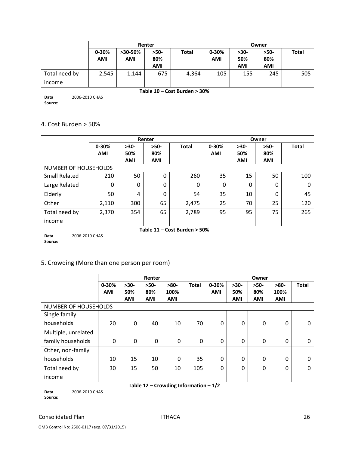|               | Renter     |            |            |              | Owner      |            |            |              |
|---------------|------------|------------|------------|--------------|------------|------------|------------|--------------|
|               | $0 - 30%$  | $>30-50\%$ | >50-       | <b>Total</b> | $0 - 30%$  | $>30-$     | $>50-$     | <b>Total</b> |
|               | <b>AMI</b> | <b>AMI</b> | 80%        |              | <b>AMI</b> | 50%        | 80%        |              |
|               |            |            | <b>AMI</b> |              |            | <b>AMI</b> | <b>AMI</b> |              |
| Total need by | 2,545      | 1,144      | 675        | 4,364        | 105        | 155        | 245        | 505          |
| income        |            |            |            |              |            |            |            |              |

**Data Source:** 2006‐2010 CHAS **Table 10 – Cost Burden > 30%**

#### 4. Cost Burden > 50%

|                      | Renter     |            |            |                                 | Owner      |            |            |              |
|----------------------|------------|------------|------------|---------------------------------|------------|------------|------------|--------------|
|                      | $0 - 30%$  | $>30-$     | $>50-$     | <b>Total</b>                    | $0 - 30%$  | $>30-$     | $>50-$     | <b>Total</b> |
|                      | <b>AMI</b> | 50%        | 80%        |                                 | <b>AMI</b> | 50%        | 80%        |              |
|                      |            | <b>AMI</b> | <b>AMI</b> |                                 |            | <b>AMI</b> | <b>AMI</b> |              |
| NUMBER OF HOUSEHOLDS |            |            |            |                                 |            |            |            |              |
| <b>Small Related</b> | 210        | 50         | $\Omega$   | 260                             | 35         | 15         | 50         | 100          |
| Large Related        | 0          | $\Omega$   | $\Omega$   | $\Omega$                        | 0          | 0          | $\Omega$   | 0            |
| Elderly              | 50         | 4          | 0          | 54                              | 35         | 10         | 0          | 45           |
| Other                | 2,110      | 300        | 65         | 2,475                           | 25         | 70         | 25         | 120          |
| Total need by        | 2,370      | 354        | 65         | 2,789                           | 95         | 95         | 75         | 265          |
| income               |            |            |            |                                 |            |            |            |              |
|                      |            |            |            | $T - L = 44$ Cost Bunden & FOOI |            |            |            |              |

**Data Source:** 2006‐2010 CHAS **Table 11 – Cost Burden > 50%**

# 5. Crowding (More than one person per room)

|                             | Renter              |                             |                             |                              |              | Owner               |                             |                             |                              |              |
|-----------------------------|---------------------|-----------------------------|-----------------------------|------------------------------|--------------|---------------------|-----------------------------|-----------------------------|------------------------------|--------------|
|                             | 0-30%<br><b>AMI</b> | $>30-$<br>50%<br><b>AMI</b> | $>50-$<br>80%<br><b>AMI</b> | $>80-$<br>100%<br><b>AMI</b> | <b>Total</b> | 0-30%<br><b>AMI</b> | $>30-$<br>50%<br><b>AMI</b> | $>50-$<br>80%<br><b>AMI</b> | $>80-$<br>100%<br><b>AMI</b> | <b>Total</b> |
| <b>NUMBER OF HOUSEHOLDS</b> |                     |                             |                             |                              |              |                     |                             |                             |                              |              |
| Single family               |                     |                             |                             |                              |              |                     |                             |                             |                              |              |
| households                  | 20                  | 0                           | 40                          | 10                           | 70           | $\mathbf{0}$        | 0                           | $\Omega$                    | 0                            | 0            |
| Multiple, unrelated         |                     |                             |                             |                              |              |                     |                             |                             |                              |              |
| family households           | 0                   | $\Omega$                    | 0                           | 0                            | 0            | $\Omega$            | 0                           | $\Omega$                    | $\Omega$                     | 0            |
| Other, non-family           |                     |                             |                             |                              |              |                     |                             |                             |                              |              |
| households                  | 10                  | 15                          | 10                          | 0                            | 35           | $\mathbf{0}$        | 0                           | $\mathbf{0}$                | $\Omega$                     | $\Omega$     |
| Total need by               | 30                  | 15                          | 50                          | 10                           | 105          | $\Omega$            | $\Omega$                    | $\Omega$                    | 0                            | $\Omega$     |
| income                      |                     |                             |                             |                              |              |                     |                             |                             |                              |              |

**Table 12 – Crowding Information – 1/2** 2006‐2010 CHAS

**Data Source:**

Consolidated Plan 26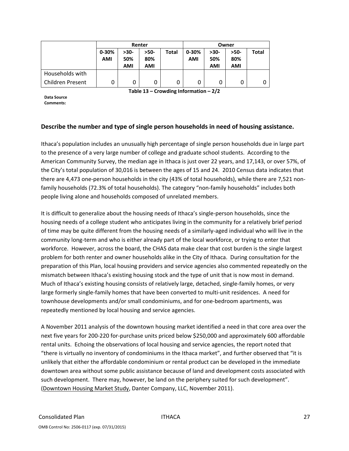|                  | Renter    |      |        |              | Owner     |        |      |              |
|------------------|-----------|------|--------|--------------|-----------|--------|------|--------------|
|                  | $0 - 30%$ | >30- | $>50-$ | <b>Total</b> | $0 - 30%$ | $>30-$ | >50- | <b>Total</b> |
|                  | AMI       | 50%  | 80%    |              | AMI       | 50%    | 80%  |              |
|                  |           | AMI  | AMI    |              |           | AMI    | AMI  |              |
| Households with  |           |      |        |              |           |        |      |              |
| Children Present | 0         |      |        | 0            | 0         |        | 0    | 0            |

**Table 13 – Crowding Information – 2/2**

**Data Source Comments:**

#### **Describe the number and type of single person households in need of housing assistance.**

Ithaca's population includes an unusually high percentage of single person households due in large part to the presence of a very large number of college and graduate school students. According to the American Community Survey, the median age in Ithaca is just over 22 years, and 17,143, or over 57%, of the City's total population of 30,016 is between the ages of 15 and 24. 2010 Census data indicates that there are 4,473 one-person households in the city (43% of total households), while there are 7,521 nonfamily households (72.3% of total households). The category "non-family households" includes both people living alone and households composed of unrelated members.

It is difficult to generalize about the housing needs of Ithaca's single-person households, since the housing needs of a college student who anticipates living in the community for a relatively brief period of time may be quite different from the housing needs of a similarly‐aged individual who will live in the community long‐term and who is either already part of the local workforce, or trying to enter that workforce. However, across the board, the CHAS data make clear that cost burden is the single largest problem for both renter and owner households alike in the City of Ithaca. During consultation for the preparation of this Plan, local housing providers and service agencies also commented repeatedly on the mismatch between Ithaca's existing housing stock and the type of unit that is now most in demand. Much of Ithaca's existing housing consists of relatively large, detached, single‐family homes, or very large formerly single‐family homes that have been converted to multi‐unit residences. A need for townhouse developments and/or small condominiums, and for one‐bedroom apartments, was repeatedly mentioned by local housing and service agencies.

A November 2011 analysis of the downtown housing market identified a need in that core area over the next five years for 200‐220 for‐purchase units priced below \$250,000 and approximately 600 affordable rental units. Echoing the observations of local housing and service agencies, the report noted that "there is virtually no inventory of condominiums in the Ithaca market", and further observed that "it is unlikely that either the affordable condominium or rental product can be developed in the immediate downtown area without some public assistance because of land and development costs associated with such development. There may, however, be land on the periphery suited for such development". (Downtown Housing Market Study, Danter Company, LLC, November 2011).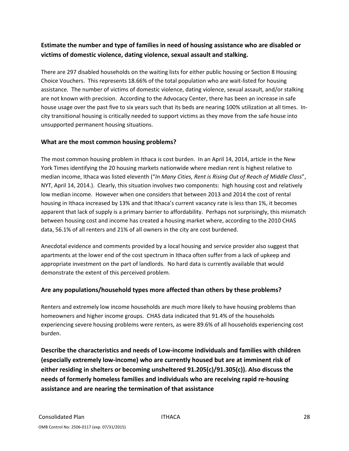# **Estimate the number and type of families in need of housing assistance who are disabled or victims of domestic violence, dating violence, sexual assault and stalking.**

There are 297 disabled households on the waiting lists for either public housing or Section 8 Housing Choice Vouchers. This represents 18.66% of the total population who are wait‐listed for housing assistance. The number of victims of domestic violence, dating violence, sexual assault, and/or stalking are not known with precision. According to the Advocacy Center, there has been an increase in safe house usage over the past five to six years such that its beds are nearing 100% utilization at all times. Incity transitional housing is critically needed to support victims as they move from the safe house into unsupported permanent housing situations.

### **What are the most common housing problems?**

The most common housing problem in Ithaca is cost burden. In an April 14, 2014, article in the New York Times identifying the 20 housing markets nationwide where median rent is highest relative to median income, Ithaca was listed eleventh ("*In Many Cities, Rent is Rising Out of Reach of Middle Class*", NYT, April 14, 2014.). Clearly, this situation involves two components: high housing cost and relatively low median income. However when one considers that between 2013 and 2014 the cost of rental housing in Ithaca increased by 13% and that Ithaca's current vacancy rate is less than 1%, it becomes apparent that lack of supply is a primary barrier to affordability. Perhaps not surprisingly, this mismatch between housing cost and income has created a housing market where, according to the 2010 CHAS data, 56.1% of all renters and 21% of all owners in the city are cost burdened.

Anecdotal evidence and comments provided by a local housing and service provider also suggest that apartments at the lower end of the cost spectrum in Ithaca often suffer from a lack of upkeep and appropriate investment on the part of landlords. No hard data is currently available that would demonstrate the extent of this perceived problem.

# **Are any populations/household types more affected than others by these problems?**

Renters and extremely low income households are much more likely to have housing problems than homeowners and higher income groups. CHAS data indicated that 91.4% of the households experiencing severe housing problems were renters, as were 89.6% of all households experiencing cost burden.

**Describe the characteristics and needs of Low‐income individuals and families with children (especially extremely low‐income) who are currently housed but are at imminent risk of either residing in shelters or becoming unsheltered 91.205(c)/91.305(c)). Also discuss the needs of formerly homeless families and individuals who are receiving rapid re‐housing assistance and are nearing the termination of that assistance**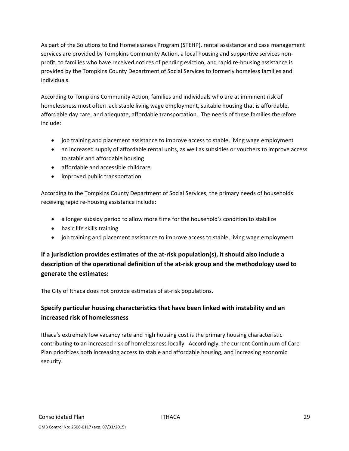As part of the Solutions to End Homelessness Program (STEHP), rental assistance and case management services are provided by Tompkins Community Action, a local housing and supportive services non‐ profit, to families who have received notices of pending eviction, and rapid re-housing assistance is provided by the Tompkins County Department of Social Services to formerly homeless families and individuals.

According to Tompkins Community Action, families and individuals who are at imminent risk of homelessness most often lack stable living wage employment, suitable housing that is affordable, affordable day care, and adequate, affordable transportation. The needs of these families therefore include:

- job training and placement assistance to improve access to stable, living wage employment
- an increased supply of affordable rental units, as well as subsidies or vouchers to improve access to stable and affordable housing
- affordable and accessible childcare
- improved public transportation

According to the Tompkins County Department of Social Services, the primary needs of households receiving rapid re‐housing assistance include:

- a longer subsidy period to allow more time for the household's condition to stabilize
- basic life skills training
- job training and placement assistance to improve access to stable, living wage employment

# **If a jurisdiction provides estimates of the at‐risk population(s), it should also include a description of the operational definition of the at‐risk group and the methodology used to generate the estimates:**

The City of Ithaca does not provide estimates of at‐risk populations.

# **Specify particular housing characteristics that have been linked with instability and an increased risk of homelessness**

Ithaca's extremely low vacancy rate and high housing cost is the primary housing characteristic contributing to an increased risk of homelessness locally. Accordingly, the current Continuum of Care Plan prioritizes both increasing access to stable and affordable housing, and increasing economic security.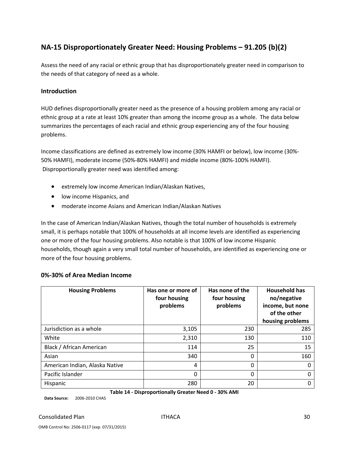# **NA‐15 Disproportionately Greater Need: Housing Problems – 91.205 (b)(2)**

Assess the need of any racial or ethnic group that has disproportionately greater need in comparison to the needs of that category of need as a whole.

#### **Introduction**

HUD defines disproportionally greater need as the presence of a housing problem among any racial or ethnic group at a rate at least 10% greater than among the income group as a whole. The data below summarizes the percentages of each racial and ethnic group experiencing any of the four housing problems.

Income classifications are defined as extremely low income (30% HAMFI or below), low income (30%‐ 50% HAMFI), moderate income (50%‐80% HAMFI) and middle income (80%‐100% HAMFI). Disproportionally greater need was identified among:

- extremely low income American Indian/Alaskan Natives,
- low income Hispanics, and
- moderate income Asians and American Indian/Alaskan Natives

In the case of American Indian/Alaskan Natives, though the total number of households is extremely small, it is perhaps notable that 100% of households at all income levels are identified as experiencing one or more of the four housing problems. Also notable is that 100% of low income Hispanic households, though again a very small total number of households, are identified as experiencing one or more of the four housing problems.

| <b>Housing Problems</b>        | Has one or more of<br>four housing<br>problems | Has none of the<br>four housing<br>problems | <b>Household has</b><br>no/negative<br>income, but none<br>of the other<br>housing problems |
|--------------------------------|------------------------------------------------|---------------------------------------------|---------------------------------------------------------------------------------------------|
| Jurisdiction as a whole        | 3,105                                          | 230                                         | 285                                                                                         |
| White                          | 2,310                                          | 130                                         | 110                                                                                         |
| Black / African American       | 114                                            | 25                                          | 15                                                                                          |
| Asian                          | 340                                            | 0                                           | 160                                                                                         |
| American Indian, Alaska Native | 4                                              | 0                                           |                                                                                             |
| Pacific Islander               | 0                                              | 0                                           |                                                                                             |
| Hispanic                       | 280                                            | 20                                          |                                                                                             |

#### **0%‐30% of Area Median Income**

**Table 14 ‐ Disproportionally Greater Need 0 ‐ 30% AMI**

**Data Source:** 2006‐2010 CHAS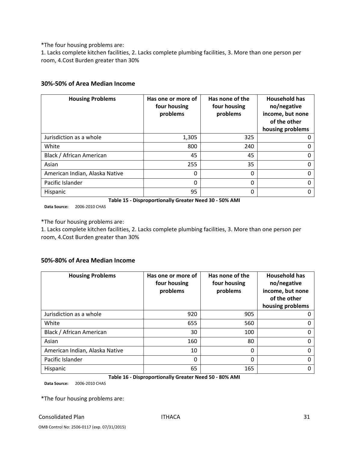\*The four housing problems are:

1. Lacks complete kitchen facilities, 2. Lacks complete plumbing facilities, 3. More than one person per room, 4.Cost Burden greater than 30%

#### **30%‐50% of Area Median Income**

| <b>Housing Problems</b>        | Has one or more of<br>four housing<br>problems | Has none of the<br>four housing<br>problems | <b>Household has</b><br>no/negative<br>income, but none<br>of the other<br>housing problems |
|--------------------------------|------------------------------------------------|---------------------------------------------|---------------------------------------------------------------------------------------------|
| Jurisdiction as a whole        | 1,305                                          | 325                                         |                                                                                             |
| White                          | 800                                            | 240                                         |                                                                                             |
| Black / African American       | 45                                             | 45                                          |                                                                                             |
| Asian                          | 255                                            | 35                                          |                                                                                             |
| American Indian, Alaska Native | 0                                              | $\Omega$                                    |                                                                                             |
| Pacific Islander               | $\Omega$                                       | $\Omega$                                    |                                                                                             |
| Hispanic                       | 95                                             | 0                                           |                                                                                             |

**Table 15 ‐ Disproportionally Greater Need 30 ‐ 50% AMI**

**Data Source:** 2006‐2010 CHAS

\*The four housing problems are:

1. Lacks complete kitchen facilities, 2. Lacks complete plumbing facilities, 3. More than one person per room, 4.Cost Burden greater than 30%

#### **50%‐80% of Area Median Income**

| <b>Housing Problems</b>        | Has one or more of<br>four housing<br>problems | Has none of the<br>four housing<br>problems | <b>Household has</b><br>no/negative<br>income, but none<br>of the other<br>housing problems |
|--------------------------------|------------------------------------------------|---------------------------------------------|---------------------------------------------------------------------------------------------|
| Jurisdiction as a whole        | 920                                            | 905                                         |                                                                                             |
| White                          | 655                                            | 560                                         | O                                                                                           |
| Black / African American       | 30                                             | 100                                         | Ω                                                                                           |
| Asian                          | 160                                            | 80                                          | 0                                                                                           |
| American Indian, Alaska Native | 10                                             | 0                                           |                                                                                             |
| Pacific Islander               | 0                                              | 0                                           | Ω                                                                                           |
| Hispanic                       | 65                                             | 165                                         |                                                                                             |

#### **Table 16 ‐ Disproportionally Greater Need 50 ‐ 80% AMI**

**Data Source:** 2006‐2010 CHAS

\*The four housing problems are:

#### Consolidated Plan 31 and 31 and 32 and 32 and 32 and 32 and 32 and 32 and 33 and 33 and 33 and 33 and 33 and 33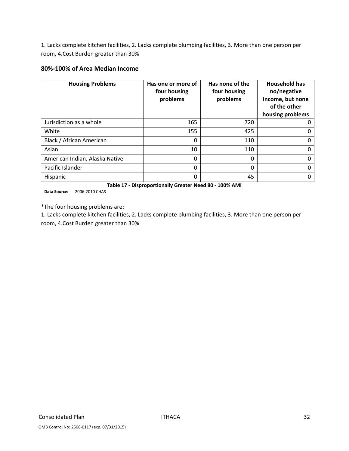1. Lacks complete kitchen facilities, 2. Lacks complete plumbing facilities, 3. More than one person per room, 4.Cost Burden greater than 30%

#### **80%‐100% of Area Median Income**

| <b>Housing Problems</b>        | Has one or more of<br>four housing<br>problems | Has none of the<br>four housing<br>problems | <b>Household has</b><br>no/negative<br>income, but none<br>of the other<br>housing problems |
|--------------------------------|------------------------------------------------|---------------------------------------------|---------------------------------------------------------------------------------------------|
| Jurisdiction as a whole        | 165                                            | 720                                         | 0                                                                                           |
| White                          | 155                                            | 425                                         |                                                                                             |
| Black / African American       | 0                                              | 110                                         | 0                                                                                           |
| Asian                          | 10                                             | 110                                         |                                                                                             |
| American Indian, Alaska Native | 0                                              | 0                                           | 0                                                                                           |
| Pacific Islander               | 0                                              | 0                                           | 0                                                                                           |
| Hispanic                       | 0                                              | 45                                          | O                                                                                           |

**Table 17 ‐ Disproportionally Greater Need 80 ‐ 100% AMI**

**Data Source:** 2006‐2010 CHAS

\*The four housing problems are:

1. Lacks complete kitchen facilities, 2. Lacks complete plumbing facilities, 3. More than one person per room, 4.Cost Burden greater than 30%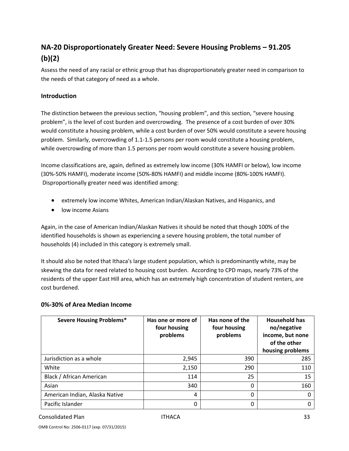# **NA‐20 Disproportionately Greater Need: Severe Housing Problems – 91.205 (b)(2)**

Assess the need of any racial or ethnic group that has disproportionately greater need in comparison to the needs of that category of need as a whole.

#### **Introduction**

The distinction between the previous section, "housing problem", and this section, "severe housing problem", is the level of cost burden and overcrowding. The presence of a cost burden of over 30% would constitute a housing problem, while a cost burden of over 50% would constitute a severe housing problem. Similarly, overcrowding of 1.1‐1.5 persons per room would constitute a housing problem, while overcrowding of more than 1.5 persons per room would constitute a severe housing problem.

Income classifications are, again, defined as extremely low income (30% HAMFI or below), low income (30%‐50% HAMFI), moderate income (50%‐80% HAMFI) and middle income (80%‐100% HAMFI). Disproportionally greater need was identified among:

- extremely low income Whites, American Indian/Alaskan Natives, and Hispanics, and
- low income Asians

Again, in the case of American Indian/Alaskan Natives it should be noted that though 100% of the identified households is shown as experiencing a severe housing problem, the total number of households (4) included in this category is extremely small.

It should also be noted that Ithaca's large student population, which is predominantly white, may be skewing the data for need related to housing cost burden. According to CPD maps, nearly 73% of the residents of the upper East Hill area, which has an extremely high concentration of student renters, are cost burdened.

#### **0%‐30% of Area Median Income**

| <b>Severe Housing Problems*</b> | Has one or more of<br>four housing<br>problems | Has none of the<br>four housing<br>problems | <b>Household has</b><br>no/negative<br>income, but none<br>of the other<br>housing problems |
|---------------------------------|------------------------------------------------|---------------------------------------------|---------------------------------------------------------------------------------------------|
| Jurisdiction as a whole         | 2,945                                          | 390                                         | 285                                                                                         |
| White                           | 2,150                                          | 290                                         | 110                                                                                         |
| Black / African American        | 114                                            | 25                                          | 15                                                                                          |
| Asian                           | 340                                            | 0                                           | 160                                                                                         |
| American Indian, Alaska Native  | 4                                              | 0                                           | 0                                                                                           |
| Pacific Islander                | 0                                              | 0                                           | 0                                                                                           |

Consolidated Plan ITHACA 33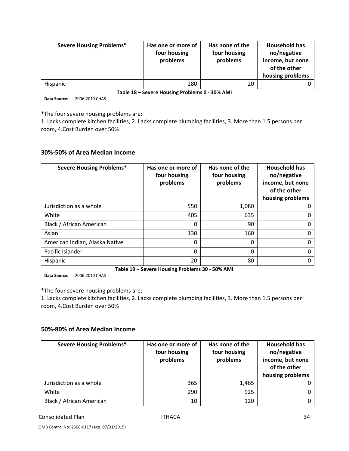| <b>Severe Housing Problems*</b> | Has one or more of<br>four housing<br>problems | Has none of the<br>four housing<br>problems | <b>Household has</b><br>no/negative<br>income, but none<br>of the other<br>housing problems |
|---------------------------------|------------------------------------------------|---------------------------------------------|---------------------------------------------------------------------------------------------|
| <b>Hispanic</b>                 | 280                                            | 20                                          |                                                                                             |

**Table 18 – Severe Housing Problems 0 ‐ 30% AMI**

**Data Source:** 2006‐2010 CHAS

\*The four severe housing problems are:

1. Lacks complete kitchen facilities, 2. Lacks complete plumbing facilities, 3. More than 1.5 persons per room, 4.Cost Burden over 50%

#### **30%‐50% of Area Median Income**

| <b>Severe Housing Problems*</b> | Has one or more of<br>four housing<br>problems | Has none of the<br>four housing<br>problems | <b>Household has</b><br>no/negative<br>income, but none<br>of the other<br>housing problems |
|---------------------------------|------------------------------------------------|---------------------------------------------|---------------------------------------------------------------------------------------------|
| Jurisdiction as a whole         | 550                                            | 1,080                                       |                                                                                             |
| White                           | 405                                            | 635                                         |                                                                                             |
| Black / African American        | 0                                              | 90                                          |                                                                                             |
| Asian                           | 130                                            | 160                                         |                                                                                             |
| American Indian, Alaska Native  | 0                                              | 0                                           |                                                                                             |
| Pacific Islander                | $\Omega$                                       | 0                                           |                                                                                             |
| Hispanic                        | 20                                             | 80                                          |                                                                                             |

**Table 19 – Severe Housing Problems 30 ‐ 50% AMI**

**Data Source:** 2006‐2010 CHAS

\*The four severe housing problems are:

1. Lacks complete kitchen facilities, 2. Lacks complete plumbing facilities, 3. More than 1.5 persons per room, 4.Cost Burden over 50%

#### **50%‐80% of Area Median Income**

| <b>Severe Housing Problems*</b> | Has one or more of<br>four housing<br>problems | Has none of the<br>four housing<br>problems | <b>Household has</b><br>no/negative<br>income, but none<br>of the other<br>housing problems |
|---------------------------------|------------------------------------------------|---------------------------------------------|---------------------------------------------------------------------------------------------|
| Jurisdiction as a whole         | 365                                            | 1,465                                       |                                                                                             |
| White                           | 290                                            | 925                                         |                                                                                             |
| Black / African American        | 10                                             | 120                                         |                                                                                             |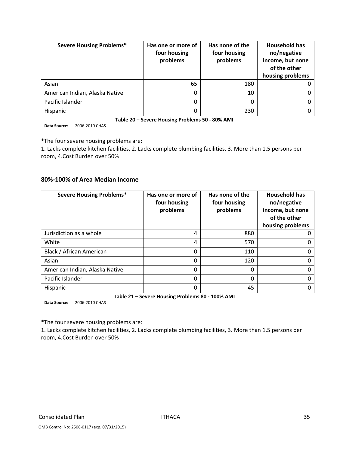| <b>Severe Housing Problems*</b> | Has one or more of<br>four housing<br>problems | Has none of the<br>four housing<br>problems | <b>Household has</b><br>no/negative<br>income, but none<br>of the other<br>housing problems |
|---------------------------------|------------------------------------------------|---------------------------------------------|---------------------------------------------------------------------------------------------|
| Asian                           | 65                                             | 180                                         |                                                                                             |
| American Indian, Alaska Native  | 0                                              | 10                                          |                                                                                             |
| Pacific Islander                | 0                                              | 0                                           |                                                                                             |
| Hispanic                        | 0                                              | 230                                         |                                                                                             |

**Table 20 – Severe Housing Problems 50 ‐ 80% AMI**

**Data Source:** 2006‐2010 CHAS

\*The four severe housing problems are:

1. Lacks complete kitchen facilities, 2. Lacks complete plumbing facilities, 3. More than 1.5 persons per room, 4.Cost Burden over 50%

#### **80%‐100% of Area Median Income**

| <b>Severe Housing Problems*</b> | Has one or more of<br>four housing<br>problems | Has none of the<br>four housing<br>problems | <b>Household has</b><br>no/negative<br>income, but none<br>of the other<br>housing problems |
|---------------------------------|------------------------------------------------|---------------------------------------------|---------------------------------------------------------------------------------------------|
| Jurisdiction as a whole         | 4                                              | 880                                         |                                                                                             |
| White                           | 4                                              | 570                                         |                                                                                             |
| Black / African American        | 0                                              | 110                                         |                                                                                             |
| Asian                           | 0                                              | 120                                         |                                                                                             |
| American Indian, Alaska Native  | 0                                              | 0                                           |                                                                                             |
| Pacific Islander                | 0                                              | 0                                           |                                                                                             |
| Hispanic                        | 0                                              | 45                                          |                                                                                             |

**Table 21 – Severe Housing Problems 80 ‐ 100% AMI**

**Data Source:** 2006‐2010 CHAS

\*The four severe housing problems are:

1. Lacks complete kitchen facilities, 2. Lacks complete plumbing facilities, 3. More than 1.5 persons per room, 4.Cost Burden over 50%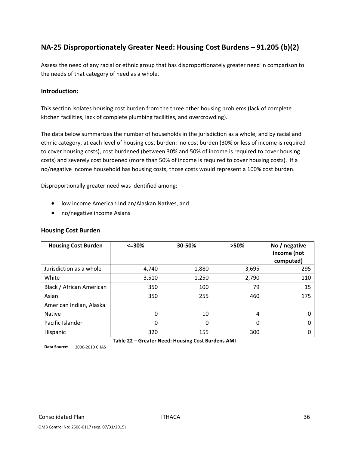# **NA‐25 Disproportionately Greater Need: Housing Cost Burdens – 91.205 (b)(2)**

Assess the need of any racial or ethnic group that has disproportionately greater need in comparison to the needs of that category of need as a whole.

### **Introduction:**

This section isolates housing cost burden from the three other housing problems (lack of complete kitchen facilities, lack of complete plumbing facilities, and overcrowding).

The data below summarizes the number of households in the jurisdiction as a whole, and by racial and ethnic category, at each level of housing cost burden: no cost burden (30% or less of income is required to cover housing costs), cost burdened (between 30% and 50% of income is required to cover housing costs) and severely cost burdened (more than 50% of income is required to cover housing costs). If a no/negative income household has housing costs, those costs would represent a 100% cost burden.

Disproportionally greater need was identified among:

- low income American Indian/Alaskan Natives, and
- no/negative income Asians

#### **Housing Cost Burden**

| <b>Housing Cost Burden</b> | $<=$ 30% | 30-50%                                            | >50%  | No / negative<br>income (not<br>computed) |
|----------------------------|----------|---------------------------------------------------|-------|-------------------------------------------|
| Jurisdiction as a whole    | 4,740    | 1,880                                             | 3,695 | 295                                       |
| White                      | 3,510    | 1,250                                             | 2,790 | 110                                       |
| Black / African American   | 350      | 100                                               | 79    | 15                                        |
| Asian                      | 350      | 255                                               | 460   | 175                                       |
| American Indian, Alaska    |          |                                                   |       |                                           |
| <b>Native</b>              | 0        | 10                                                | 4     | 0                                         |
| Pacific Islander           | $\Omega$ | 0                                                 | 0     | $\Omega$                                  |
| Hispanic                   | 320      | 155                                               | 300   | 0                                         |
|                            |          | Table 22 - Greater Need: Housing Cost Burdens AMI |       |                                           |

**Data Source:** 2006‐2010 CHAS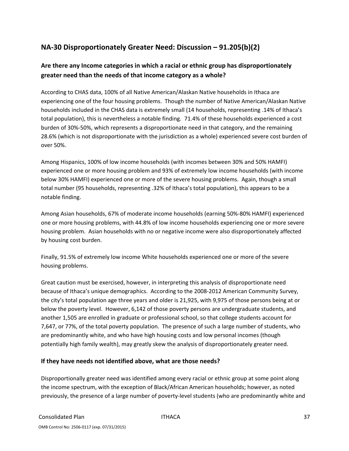# **NA‐30 Disproportionately Greater Need: Discussion – 91.205(b)(2)**

### **Are there any Income categories in which a racial or ethnic group has disproportionately greater need than the needs of that income category as a whole?**

According to CHAS data, 100% of all Native American/Alaskan Native households in Ithaca are experiencing one of the four housing problems. Though the number of Native American/Alaskan Native households included in the CHAS data is extremely small (14 households, representing .14% of Ithaca's total population), this is nevertheless a notable finding. 71.4% of these households experienced a cost burden of 30%‐50%, which represents a disproportionate need in that category, and the remaining 28.6% (which is not disproportionate with the jurisdiction as a whole) experienced severe cost burden of over 50%.

Among Hispanics, 100% of low income households (with incomes between 30% and 50% HAMFI) experienced one or more housing problem and 93% of extremely low income households (with income below 30% HAMFI) experienced one or more of the severe housing problems. Again, though a small total number (95 households, representing .32% of Ithaca's total population), this appears to be a notable finding.

Among Asian households, 67% of moderate income households (earning 50%‐80% HAMFI) experienced one or more housing problems, with 44.8% of low income households experiencing one or more severe housing problem. Asian households with no or negative income were also disproportionately affected by housing cost burden.

Finally, 91.5% of extremely low income White households experienced one or more of the severe housing problems.

Great caution must be exercised, however, in interpreting this analysis of disproportionate need because of Ithaca's unique demographics. According to the 2008‐2012 American Community Survey, the city's total population age three years and older is 21,925, with 9,975 of those persons being at or below the poverty level. However, 6,142 of those poverty persons are undergraduate students, and another 1,505 are enrolled in graduate or professional school, so that college students account for 7,647, or 77%, of the total poverty population. The presence of such a large number of students, who are predominantly white, and who have high housing costs and low personal incomes (though potentially high family wealth), may greatly skew the analysis of disproportionately greater need.

### **If they have needs not identified above, what are those needs?**

Disproportionally greater need was identified among every racial or ethnic group at some point along the income spectrum, with the exception of Black/African American households; however, as noted previously, the presence of a large number of poverty‐level students (who are predominantly white and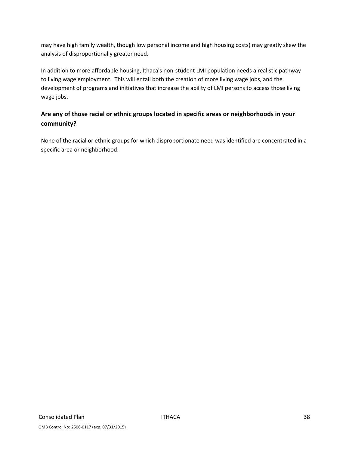may have high family wealth, though low personal income and high housing costs) may greatly skew the analysis of disproportionally greater need.

In addition to more affordable housing, Ithaca's non‐student LMI population needs a realistic pathway to living wage employment. This will entail both the creation of more living wage jobs, and the development of programs and initiatives that increase the ability of LMI persons to access those living wage jobs.

# **Are any of those racial or ethnic groups located in specific areas or neighborhoods in your community?**

None of the racial or ethnic groups for which disproportionate need was identified are concentrated in a specific area or neighborhood.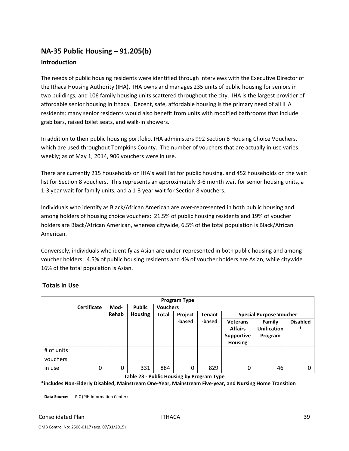# **NA‐35 Public Housing – 91.205(b) Introduction**

The needs of public housing residents were identified through interviews with the Executive Director of the Ithaca Housing Authority (IHA). IHA owns and manages 235 units of public housing for seniors in two buildings, and 106 family housing units scattered throughout the city. IHA is the largest provider of affordable senior housing in Ithaca. Decent, safe, affordable housing is the primary need of all IHA residents; many senior residents would also benefit from units with modified bathrooms that include grab bars, raised toilet seats, and walk‐in showers.

In addition to their public housing portfolio, IHA administers 992 Section 8 Housing Choice Vouchers, which are used throughout Tompkins County. The number of vouchers that are actually in use varies weekly; as of May 1, 2014, 906 vouchers were in use.

There are currently 215 households on IHA's wait list for public housing, and 452 households on the wait list for Section 8 vouchers. This represents an approximately 3‐6 month wait for senior housing units, a 1‐3 year wait for family units, and a 1‐3 year wait for Section 8 vouchers.

Individuals who identify as Black/African American are over‐represented in both public housing and among holders of housing choice vouchers: 21.5% of public housing residents and 19% of voucher holders are Black/African American, whereas citywide, 6.5% of the total population is Black/African American.

Conversely, individuals who identify as Asian are under‐represented in both public housing and among voucher holders: 4.5% of public housing residents and 4% of voucher holders are Asian, while citywide 16% of the total population is Asian.

| <b>Program Type</b>    |                    |       |                |                 |         |               |                                                                          |                                         |                           |
|------------------------|--------------------|-------|----------------|-----------------|---------|---------------|--------------------------------------------------------------------------|-----------------------------------------|---------------------------|
|                        | <b>Certificate</b> | Mod-  | Public         | <b>Vouchers</b> |         |               |                                                                          |                                         |                           |
|                        |                    | Rehab | <b>Housing</b> | Total           | Project | <b>Tenant</b> |                                                                          | <b>Special Purpose Voucher</b>          |                           |
|                        |                    |       |                |                 | -based  | -based        | <b>Veterans</b><br><b>Affairs</b><br><b>Supportive</b><br><b>Housing</b> | Family<br><b>Unification</b><br>Program | <b>Disabled</b><br>$\ast$ |
| # of units<br>vouchers |                    |       |                |                 |         |               |                                                                          |                                         |                           |
| in use                 | 0                  | 0     | 331            | 884             | 0       | 829           | 0                                                                        | 46                                      | 0                         |

### **Totals in Use**

**Table 23 ‐ Public Housing by Program Type**

\*includes Non-Elderly Disabled, Mainstream One-Year, Mainstream Five-year, and Nursing Home Transition

**Data Source:** PIC (PIH Information Center)

OMB Control No: 2506‐0117 (exp. 07/31/2015)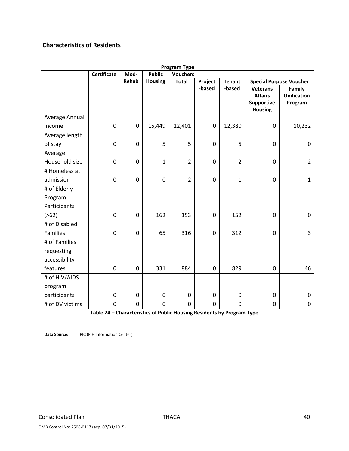### **Characteristics of Residents**

| <b>Program Type</b> |                    |                  |                |                 |             |                |                                                                          |                                         |  |
|---------------------|--------------------|------------------|----------------|-----------------|-------------|----------------|--------------------------------------------------------------------------|-----------------------------------------|--|
|                     | <b>Certificate</b> | Mod-             | <b>Public</b>  | <b>Vouchers</b> |             |                |                                                                          |                                         |  |
|                     |                    | Rehab            | <b>Housing</b> | <b>Total</b>    | Project     | <b>Tenant</b>  |                                                                          | <b>Special Purpose Voucher</b>          |  |
|                     |                    |                  |                |                 | -based      | -based         | <b>Veterans</b><br><b>Affairs</b><br><b>Supportive</b><br><b>Housing</b> | Family<br><b>Unification</b><br>Program |  |
| Average Annual      |                    |                  |                |                 |             |                |                                                                          |                                         |  |
| Income              | $\pmb{0}$          | $\boldsymbol{0}$ | 15,449         | 12,401          | 0           | 12,380         | $\boldsymbol{0}$                                                         | 10,232                                  |  |
| Average length      |                    |                  |                |                 |             |                |                                                                          |                                         |  |
| of stay             | 0                  | $\boldsymbol{0}$ | 5              | 5               | 0           | 5              | $\mathbf 0$                                                              | $\boldsymbol{0}$                        |  |
| Average             |                    |                  |                |                 |             |                |                                                                          |                                         |  |
| Household size      | $\mathbf 0$        | $\mathbf 0$      | 1              | $\overline{2}$  | 0           | $\overline{2}$ | 0                                                                        | $\overline{2}$                          |  |
| # Homeless at       |                    |                  |                |                 |             |                |                                                                          |                                         |  |
| admission           | $\pmb{0}$          | $\mathbf 0$      | $\mathbf 0$    | $\overline{2}$  | $\pmb{0}$   | $\mathbf{1}$   | $\pmb{0}$                                                                | 1                                       |  |
| # of Elderly        |                    |                  |                |                 |             |                |                                                                          |                                         |  |
| Program             |                    |                  |                |                 |             |                |                                                                          |                                         |  |
| Participants        |                    |                  |                |                 |             |                |                                                                          |                                         |  |
| ( > 62)             | $\mathbf 0$        | $\mathbf 0$      | 162            | 153             | 0           | 152            | $\mathbf 0$                                                              | $\mathbf 0$                             |  |
| # of Disabled       |                    |                  |                |                 |             |                |                                                                          |                                         |  |
| Families            | $\pmb{0}$          | $\mathbf 0$      | 65             | 316             | 0           | 312            | $\mathbf 0$                                                              | 3                                       |  |
| # of Families       |                    |                  |                |                 |             |                |                                                                          |                                         |  |
| requesting          |                    |                  |                |                 |             |                |                                                                          |                                         |  |
| accessibility       |                    |                  |                |                 |             |                |                                                                          |                                         |  |
| features            | $\mathbf 0$        | $\mathbf 0$      | 331            | 884             | 0           | 829            | $\mathbf 0$                                                              | 46                                      |  |
| # of HIV/AIDS       |                    |                  |                |                 |             |                |                                                                          |                                         |  |
| program             |                    |                  |                |                 |             |                |                                                                          |                                         |  |
| participants        | $\boldsymbol{0}$   | $\mathbf 0$      | $\mathbf 0$    | $\mathbf 0$     | 0           | $\mathbf 0$    | $\mathbf 0$                                                              | 0                                       |  |
| # of DV victims     | $\boldsymbol{0}$   | $\mathbf 0$      | 0              | $\mathbf 0$     | $\mathbf 0$ | $\mathbf 0$    | 0                                                                        | 0                                       |  |

**Table 24 – Characteristics of Public Housing Residents by Program Type** 

**Data Source:** PIC (PIH Information Center)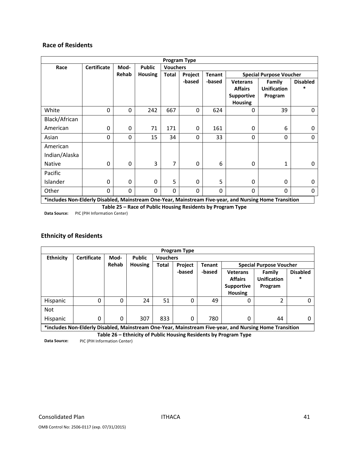### **Race of Residents**

| <b>Program Type</b>                                                                                    |                    |                                          |                |              |         |               |                   |                                |                 |  |
|--------------------------------------------------------------------------------------------------------|--------------------|------------------------------------------|----------------|--------------|---------|---------------|-------------------|--------------------------------|-----------------|--|
| Race                                                                                                   | <b>Certificate</b> | <b>Public</b><br><b>Vouchers</b><br>Mod- |                |              |         |               |                   |                                |                 |  |
|                                                                                                        |                    | Rehab                                    | <b>Housing</b> | <b>Total</b> | Project | <b>Tenant</b> |                   | <b>Special Purpose Voucher</b> |                 |  |
|                                                                                                        |                    |                                          |                |              | -based  | -based        | <b>Veterans</b>   | Family                         | <b>Disabled</b> |  |
|                                                                                                        |                    |                                          |                |              |         |               | <b>Affairs</b>    | <b>Unification</b>             |                 |  |
|                                                                                                        |                    |                                          |                |              |         |               | <b>Supportive</b> | Program                        |                 |  |
|                                                                                                        |                    |                                          |                |              |         |               | <b>Housing</b>    |                                |                 |  |
| White                                                                                                  | 0                  | 0                                        | 242            | 667          | 0       | 624           | 0                 | 39                             | $\Omega$        |  |
| Black/African                                                                                          |                    |                                          |                |              |         |               |                   |                                |                 |  |
| American                                                                                               | 0                  | 0                                        | 71             | 171          | 0       | 161           | 0                 | 6                              | 0               |  |
| Asian                                                                                                  | 0                  | 0                                        | 15             | 34           | 0       | 33            | 0                 | $\Omega$                       | 0               |  |
| American                                                                                               |                    |                                          |                |              |         |               |                   |                                |                 |  |
| Indian/Alaska                                                                                          |                    |                                          |                |              |         |               |                   |                                |                 |  |
| <b>Native</b>                                                                                          | $\mathbf 0$        | 0                                        | 3              | 7            | 0       | 6             | 0                 | 1                              | 0               |  |
| Pacific                                                                                                |                    |                                          |                |              |         |               |                   |                                |                 |  |
| Islander                                                                                               | $\Omega$           | 0                                        | $\mathbf{0}$   | 5            | 0       | 5             | 0                 | $\Omega$                       | 0               |  |
| Other                                                                                                  | 0                  | 0                                        | $\Omega$       | $\Omega$     | 0       | $\Omega$      | 0                 | $\mathbf{0}$                   | 0               |  |
| *includes Non-Elderly Disabled, Mainstream One-Year, Mainstream Five-year, and Nursing Home Transition |                    |                                          |                |              |         |               |                   |                                |                 |  |

**Table 25 – Race of Public Housing Residents by Program Type**

**Data Source:** PIC (PIH Information Center)

### **Ethnicity of Residents**

|                  | <b>Program Type</b> |       |                |                 |                |               |                 |                                                                                                        |                 |  |
|------------------|---------------------|-------|----------------|-----------------|----------------|---------------|-----------------|--------------------------------------------------------------------------------------------------------|-----------------|--|
| <b>Ethnicity</b> | <b>Certificate</b>  | Mod-  | <b>Public</b>  | <b>Vouchers</b> |                |               |                 |                                                                                                        |                 |  |
|                  |                     | Rehab | <b>Housing</b> | <b>Total</b>    | <b>Project</b> | <b>Tenant</b> |                 | <b>Special Purpose Voucher</b>                                                                         |                 |  |
|                  |                     |       |                |                 | -based         | -based        | <b>Veterans</b> | Family                                                                                                 | <b>Disabled</b> |  |
|                  |                     |       |                |                 |                |               | <b>Affairs</b>  | <b>Unification</b>                                                                                     | $\ast$          |  |
|                  |                     |       |                |                 |                |               | Supportive      | Program                                                                                                |                 |  |
|                  |                     |       |                |                 |                |               | <b>Housing</b>  |                                                                                                        |                 |  |
| Hispanic         | 0                   | 0     | 24             | 51              | 0              | 49            | 0               | າ                                                                                                      | 0               |  |
| <b>Not</b>       |                     |       |                |                 |                |               |                 |                                                                                                        |                 |  |
| <b>Hispanic</b>  | 0                   | 0     | 307            | 833             | $\Omega$       | 780           | 0               | 44                                                                                                     | O               |  |
|                  |                     |       |                |                 |                |               |                 | *includes Non-Elderly Disabled, Mainstream One-Year, Mainstream Five-year, and Nursing Home Transition |                 |  |

**\*includes Non‐Elderly Disabled, Mainstream One‐Year, Mainstream Five‐year, and Nursing Home Transition**

**Table 26 – Ethnicity of Public Housing Residents by Program Type**

**Data Source:** PIC (PIH Information Center)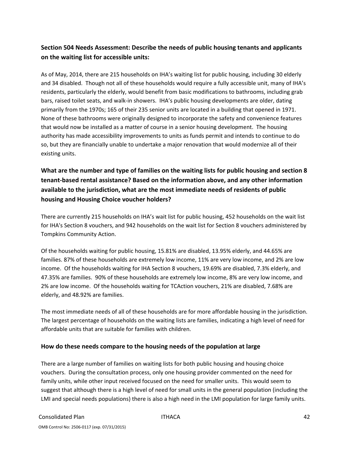### **Section 504 Needs Assessment: Describe the needs of public housing tenants and applicants on the waiting list for accessible units:**

As of May, 2014, there are 215 households on IHA's waiting list for public housing, including 30 elderly and 34 disabled. Though not all of these households would require a fully accessible unit, many of IHA's residents, particularly the elderly, would benefit from basic modifications to bathrooms, including grab bars, raised toilet seats, and walk‐in showers. IHA's public housing developments are older, dating primarily from the 1970s; 165 of their 235 senior units are located in a building that opened in 1971. None of these bathrooms were originally designed to incorporate the safety and convenience features that would now be installed as a matter of course in a senior housing development. The housing authority has made accessibility improvements to units as funds permit and intends to continue to do so, but they are financially unable to undertake a major renovation that would modernize all of their existing units.

# **What are the number and type of families on the waiting lists for public housing and section 8 tenant‐based rental assistance? Based on the information above, and any other information available to the jurisdiction, what are the most immediate needs of residents of public housing and Housing Choice voucher holders?**

There are currently 215 households on IHA's wait list for public housing, 452 households on the wait list for IHA's Section 8 vouchers, and 942 households on the wait list for Section 8 vouchers administered by Tompkins Community Action.

Of the households waiting for public housing, 15.81% are disabled, 13.95% elderly, and 44.65% are families. 87% of these households are extremely low income, 11% are very low income, and 2% are low income. Of the households waiting for IHA Section 8 vouchers, 19.69% are disabled, 7.3% elderly, and 47.35% are families. 90% of these households are extremely low income, 8% are very low income, and 2% are low income. Of the households waiting for TCAction vouchers, 21% are disabled, 7.68% are elderly, and 48.92% are families.

The most immediate needs of all of these households are for more affordable housing in the jurisdiction. The largest percentage of households on the waiting lists are families, indicating a high level of need for affordable units that are suitable for families with children.

### **How do these needs compare to the housing needs of the population at large**

There are a large number of families on waiting lists for both public housing and housing choice vouchers. During the consultation process, only one housing provider commented on the need for family units, while other input received focused on the need for smaller units. This would seem to suggest that although there is a high level of need for small units in the general population (including the LMI and special needs populations) there is also a high need in the LMI population for large family units.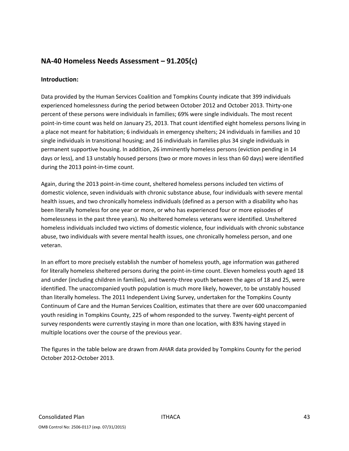### **NA‐40 Homeless Needs Assessment – 91.205(c)**

### **Introduction:**

Data provided by the Human Services Coalition and Tompkins County indicate that 399 individuals experienced homelessness during the period between October 2012 and October 2013. Thirty-one percent of these persons were individuals in families; 69% were single individuals. The most recent point-in-time count was held on January 25, 2013. That count identified eight homeless persons living in a place not meant for habitation; 6 individuals in emergency shelters; 24 individuals in families and 10 single individuals in transitional housing; and 16 individuals in families plus 34 single individuals in permanent supportive housing. In addition, 26 imminently homeless persons (eviction pending in 14 days or less), and 13 unstably housed persons (two or more moves in less than 60 days) were identified during the 2013 point‐in‐time count.

Again, during the 2013 point-in-time count, sheltered homeless persons included ten victims of domestic violence, seven individuals with chronic substance abuse, four individuals with severe mental health issues, and two chronically homeless individuals (defined as a person with a disability who has been literally homeless for one year or more, or who has experienced four or more episodes of homelessness in the past three years). No sheltered homeless veterans were identified. Unsheltered homeless individuals included two victims of domestic violence, four individuals with chronic substance abuse, two individuals with severe mental health issues, one chronically homeless person, and one veteran.

In an effort to more precisely establish the number of homeless youth, age information was gathered for literally homeless sheltered persons during the point-in-time count. Eleven homeless youth aged 18 and under (including children in families), and twenty-three youth between the ages of 18 and 25, were identified. The unaccompanied youth population is much more likely, however, to be unstably housed than literally homeless. The 2011 Independent Living Survey, undertaken for the Tompkins County Continuum of Care and the Human Services Coalition, estimates that there are over 600 unaccompanied youth residing in Tompkins County, 225 of whom responded to the survey. Twenty‐eight percent of survey respondents were currently staying in more than one location, with 83% having stayed in multiple locations over the course of the previous year.

The figures in the table below are drawn from AHAR data provided by Tompkins County for the period October 2012‐October 2013.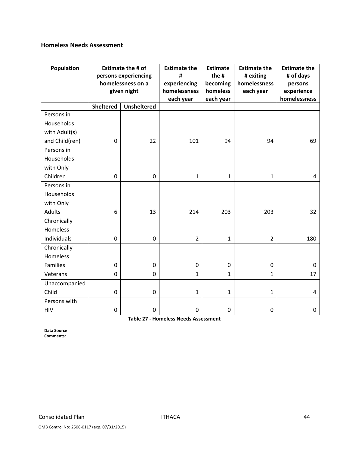### **Homeless Needs Assessment**

| Population     | <b>Estimate the # of</b><br>persons experiencing<br>homelessness on a |                    | <b>Estimate the</b><br>#<br>experiencing | <b>Estimate</b><br>the #<br>becoming | <b>Estimate the</b><br># exiting<br>homelessness | <b>Estimate the</b><br># of days<br>persons |
|----------------|-----------------------------------------------------------------------|--------------------|------------------------------------------|--------------------------------------|--------------------------------------------------|---------------------------------------------|
|                |                                                                       | given night        | homelessness                             | homeless                             | each year                                        | experience                                  |
|                | <b>Sheltered</b>                                                      | <b>Unsheltered</b> | each year                                | each year                            |                                                  | homelessness                                |
| Persons in     |                                                                       |                    |                                          |                                      |                                                  |                                             |
| Households     |                                                                       |                    |                                          |                                      |                                                  |                                             |
| with Adult(s)  |                                                                       |                    |                                          |                                      |                                                  |                                             |
| and Child(ren) | 0                                                                     | 22                 | 101                                      | 94                                   | 94                                               | 69                                          |
| Persons in     |                                                                       |                    |                                          |                                      |                                                  |                                             |
| Households     |                                                                       |                    |                                          |                                      |                                                  |                                             |
| with Only      |                                                                       |                    |                                          |                                      |                                                  |                                             |
| Children       | 0                                                                     | $\mathbf 0$        | $\mathbf{1}$                             | $\mathbf{1}$                         | $\mathbf{1}$                                     | $\overline{4}$                              |
| Persons in     |                                                                       |                    |                                          |                                      |                                                  |                                             |
| Households     |                                                                       |                    |                                          |                                      |                                                  |                                             |
| with Only      |                                                                       |                    |                                          |                                      |                                                  |                                             |
| <b>Adults</b>  | 6                                                                     | 13                 | 214                                      | 203                                  | 203                                              | 32                                          |
| Chronically    |                                                                       |                    |                                          |                                      |                                                  |                                             |
| Homeless       |                                                                       |                    |                                          |                                      |                                                  |                                             |
| Individuals    | $\mathbf 0$                                                           | $\mathbf 0$        | $\overline{2}$                           | $\mathbf{1}$                         | $\overline{2}$                                   | 180                                         |
| Chronically    |                                                                       |                    |                                          |                                      |                                                  |                                             |
| Homeless       |                                                                       |                    |                                          |                                      |                                                  |                                             |
| Families       | 0                                                                     | $\mathbf 0$        | $\mathbf 0$                              | $\mathbf 0$                          | $\mathbf 0$                                      | $\mathbf 0$                                 |
| Veterans       | 0                                                                     | $\overline{0}$     | $\mathbf{1}$                             | $\mathbf{1}$                         | $\mathbf{1}$                                     | 17                                          |
| Unaccompanied  |                                                                       |                    |                                          |                                      |                                                  |                                             |
| Child          | $\boldsymbol{0}$                                                      | $\mathbf 0$        | $\mathbf{1}$                             | $\mathbf{1}$                         | $\mathbf{1}$                                     | $\overline{4}$                              |
| Persons with   |                                                                       |                    |                                          |                                      |                                                  |                                             |
| <b>HIV</b>     | $\boldsymbol{0}$                                                      | $\mathbf 0$        | $\pmb{0}$                                | $\mathbf 0$                          | 0                                                | 0                                           |

**Table 27 ‐ Homeless Needs Assessment** 

**Data Source Comments:**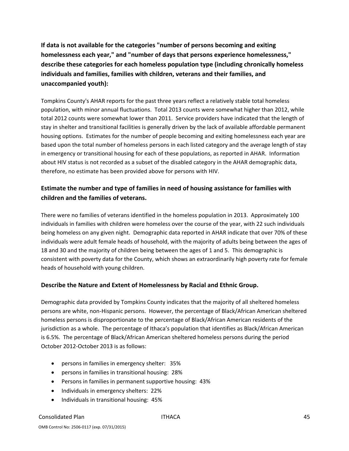**If data is not available for the categories "number of persons becoming and exiting homelessness each year," and "number of days that persons experience homelessness," describe these categories for each homeless population type (including chronically homeless individuals and families, families with children, veterans and their families, and unaccompanied youth):**

Tompkins County's AHAR reports for the past three years reflect a relatively stable total homeless population, with minor annual fluctuations. Total 2013 counts were somewhat higher than 2012, while total 2012 counts were somewhat lower than 2011. Service providers have indicated that the length of stay in shelter and transitional facilities is generally driven by the lack of available affordable permanent housing options. Estimates for the number of people becoming and exiting homelessness each year are based upon the total number of homeless persons in each listed category and the average length of stay in emergency or transitional housing for each of these populations, as reported in AHAR. Information about HIV status is not recorded as a subset of the disabled category in the AHAR demographic data, therefore, no estimate has been provided above for persons with HIV.

### **Estimate the number and type of families in need of housing assistance for families with children and the families of veterans.**

There were no families of veterans identified in the homeless population in 2013. Approximately 100 individuals in families with children were homeless over the course of the year, with 22 such individuals being homeless on any given night. Demographic data reported in AHAR indicate that over 70% of these individuals were adult female heads of household, with the majority of adults being between the ages of 18 and 30 and the majority of children being between the ages of 1 and 5. This demographic is consistent with poverty data for the County, which shows an extraordinarily high poverty rate for female heads of household with young children.

### **Describe the Nature and Extent of Homelessness by Racial and Ethnic Group.**

Demographic data provided by Tompkins County indicates that the majority of all sheltered homeless persons are white, non‐Hispanic persons. However, the percentage of Black/African American sheltered homeless persons is disproportionate to the percentage of Black/African American residents of the jurisdiction as a whole. The percentage of Ithaca's population that identifies as Black/African American is 6.5%. The percentage of Black/African American sheltered homeless persons during the period October 2012‐October 2013 is as follows:

- persons in families in emergency shelter: 35%
- persons in families in transitional housing: 28%
- Persons in families in permanent supportive housing: 43%
- Individuals in emergency shelters: 22%
- Individuals in transitional housing: 45%

#### Consolidated Plan ITHACA 45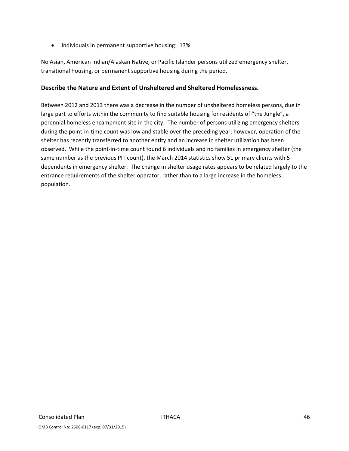• Individuals in permanent supportive housing: 13%

No Asian, American Indian/Alaskan Native, or Pacific Islander persons utilized emergency shelter, transitional housing, or permanent supportive housing during the period.

### **Describe the Nature and Extent of Unsheltered and Sheltered Homelessness.**

Between 2012 and 2013 there was a decrease in the number of unsheltered homeless persons, due in large part to efforts within the community to find suitable housing for residents of "the Jungle", a perennial homeless encampment site in the city. The number of persons utilizing emergency shelters during the point-in-time count was low and stable over the preceding year; however, operation of the shelter has recently transferred to another entity and an increase in shelter utilization has been observed. While the point‐in‐time count found 6 individuals and no families in emergency shelter (the same number as the previous PIT count), the March 2014 statistics show 51 primary clients with 5 dependents in emergency shelter. The change in shelter usage rates appears to be related largely to the entrance requirements of the shelter operator, rather than to a large increase in the homeless population.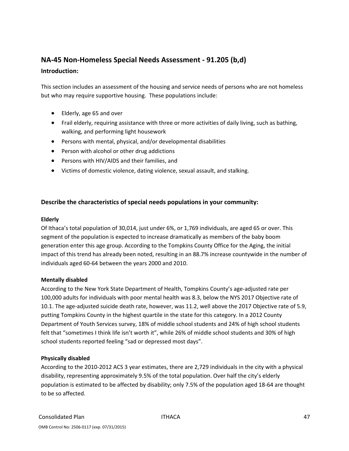## **NA‐45 Non‐Homeless Special Needs Assessment ‐ 91.205 (b,d)**

### **Introduction:**

This section includes an assessment of the housing and service needs of persons who are not homeless but who may require supportive housing. These populations include:

- Elderly, age 65 and over
- Frail elderly, requiring assistance with three or more activities of daily living, such as bathing, walking, and performing light housework
- Persons with mental, physical, and/or developmental disabilities
- Person with alcohol or other drug addictions
- Persons with HIV/AIDS and their families, and
- Victims of domestic violence, dating violence, sexual assault, and stalking.

### **Describe the characteristics of special needs populations in your community:**

#### **Elderly**

Of Ithaca's total population of 30,014, just under 6%, or 1,769 individuals, are aged 65 or over. This segment of the population is expected to increase dramatically as members of the baby boom generation enter this age group. According to the Tompkins County Office for the Aging, the initial impact of this trend has already been noted, resulting in an 88.7% increase countywide in the number of individuals aged 60‐64 between the years 2000 and 2010.

### **Mentally disabled**

According to the New York State Department of Health, Tompkins County's age‐adjusted rate per 100,000 adults for individuals with poor mental health was 8.3, below the NYS 2017 Objective rate of 10.1. The age-adjusted suicide death rate, however, was 11.2, well above the 2017 Objective rate of 5.9, putting Tompkins County in the highest quartile in the state for this category. In a 2012 County Department of Youth Services survey, 18% of middle school students and 24% of high school students felt that "sometimes I think life isn't worth it", while 26% of middle school students and 30% of high school students reported feeling "sad or depressed most days".

### **Physically disabled**

According to the 2010‐2012 ACS 3 year estimates, there are 2,729 individuals in the city with a physical disability, representing approximately 9.5% of the total population. Over half the city's elderly population is estimated to be affected by disability; only 7.5% of the population aged 18‐64 are thought to be so affected.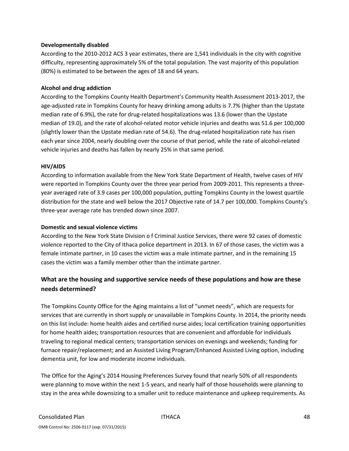#### **Developmentally disabled**

According to the 2010‐2012 ACS 3 year estimates, there are 1,541 individuals in the city with cognitive difficulty, representing approximately 5% of the total population. The vast majority of this population (80%) is estimated to be between the ages of 18 and 64 years.

### **Alcohol and drug addiction**

According to the Tompkins County Health Department's Community Health Assessment 2013‐2017, the age‐adjusted rate in Tompkins County for heavy drinking among adults is 7.7% (higher than the Upstate median rate of 6.9%), the rate for drug‐related hospitalizations was 13.6 (lower than the Upstate median of 19.0), and the rate of alcohol‐related motor vehicle injuries and deaths was 51.6 per 100,000 (slightly lower than the Upstate median rate of 54.6). The drug‐related hospitalization rate has risen each year since 2004, nearly doubling over the course of that period, while the rate of alcohol‐related vehicle injuries and deaths has fallen by nearly 25% in that same period.

#### **HIV/AIDS**

According to information available from the New York State Department of Health, twelve cases of HIV were reported in Tompkins County over the three year period from 2009-2011. This represents a threeyear averaged rate of 3.9 cases per 100,000 population, putting Tompkins County in the lowest quartile distribution for the state and well below the 2017 Objective rate of 14.7 per 100,000. Tompkins County's three‐year average rate has trended down since 2007.

#### **Domestic and sexual violence victims**

According to the New York State Division o f Criminal Justice Services, there were 92 cases of domestic violence reported to the City of Ithaca police department in 2013. In 67 of those cases, the victim was a female intimate partner, in 10 cases the victim was a male intimate partner, and in the remaining 15 cases the victim was a family member other than the intimate partner.

### **What are the housing and supportive service needs of these populations and how are these needs determined?**

The Tompkins County Office for the Aging maintains a list of "unmet needs", which are requests for services that are currently in short supply or unavailable in Tompkins County. In 2014, the priority needs on this list include: home health aides and certified nurse aides; local certification training opportunities for home health aides; transportation resources that are convenient and affordable for individuals traveling to regional medical centers; transportation services on evenings and weekends; funding for furnace repair/replacement; and an Assisted Living Program/Enhanced Assisted Living option, including dementia unit, for low and moderate income individuals.

The Office for the Aging's 2014 Housing Preferences Survey found that nearly 50% of all respondents were planning to move within the next 1‐5 years, and nearly half of those households were planning to stay in the area while downsizing to a smaller unit to reduce maintenance and upkeep requirements. As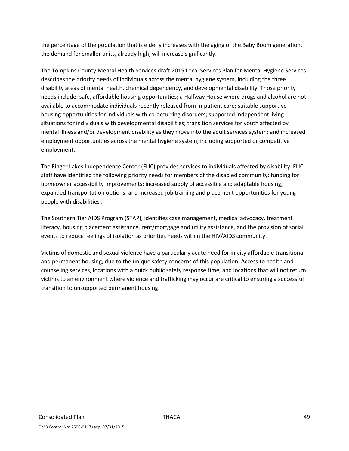the percentage of the population that is elderly increases with the aging of the Baby Boom generation, the demand for smaller units, already high, will increase significantly.

The Tompkins County Mental Health Services draft 2015 Local Services Plan for Mental Hygiene Services describes the priority needs of individuals across the mental hygiene system, including the three disability areas of mental health, chemical dependency, and developmental disability. Those priority needs include: safe, affordable housing opportunities; a Halfway House where drugs and alcohol are not available to accommodate individuals recently released from in‐patient care; suitable supportive housing opportunities for individuals with co-occurring disorders; supported independent living situations for individuals with developmental disabilities; transition services for youth affected by mental illness and/or development disability as they move into the adult services system; and increased employment opportunities across the mental hygiene system, including supported or competitive employment.

The Finger Lakes Independence Center (FLIC) provides services to individuals affected by disability. FLIC staff have identified the following priority needs for members of the disabled community: funding for homeowner accessibility improvements; increased supply of accessible and adaptable housing; expanded transportation options; and increased job training and placement opportunities for young people with disabilities .

The Southern Tier AIDS Program (STAP), identifies case management, medical advocacy, treatment literacy, housing placement assistance, rent/mortgage and utility assistance, and the provision of social events to reduce feelings of isolation as priorities needs within the HIV/AIDS community.

Victims of domestic and sexual violence have a particularly acute need for in‐city affordable transitional and permanent housing, due to the unique safety concerns of this population. Access to health and counseling services, locations with a quick public safety response time, and locations that will not return victims to an environment where violence and trafficking may occur are critical to ensuring a successful transition to unsupported permanent housing.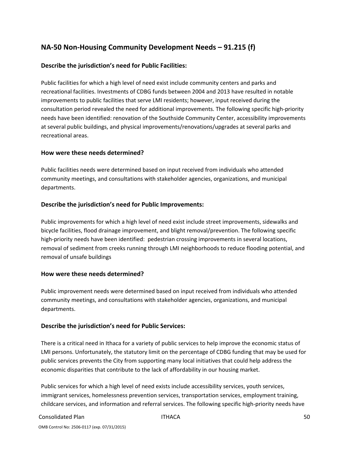# **NA‐50 Non‐Housing Community Development Needs – 91.215 (f)**

### **Describe the jurisdiction's need for Public Facilities:**

Public facilities for which a high level of need exist include community centers and parks and recreational facilities. Investments of CDBG funds between 2004 and 2013 have resulted in notable improvements to public facilities that serve LMI residents; however, input received during the consultation period revealed the need for additional improvements. The following specific high‐priority needs have been identified: renovation of the Southside Community Center, accessibility improvements at several public buildings, and physical improvements/renovations/upgrades at several parks and recreational areas.

### **How were these needs determined?**

Public facilities needs were determined based on input received from individuals who attended community meetings, and consultations with stakeholder agencies, organizations, and municipal departments.

### **Describe the jurisdiction's need for Public Improvements:**

Public improvements for which a high level of need exist include street improvements, sidewalks and bicycle facilities, flood drainage improvement, and blight removal/prevention. The following specific high-priority needs have been identified: pedestrian crossing improvements in several locations, removal of sediment from creeks running through LMI neighborhoods to reduce flooding potential, and removal of unsafe buildings

### **How were these needs determined?**

Public improvement needs were determined based on input received from individuals who attended community meetings, and consultations with stakeholder agencies, organizations, and municipal departments.

### **Describe the jurisdiction's need for Public Services:**

There is a critical need in Ithaca for a variety of public services to help improve the economic status of LMI persons. Unfortunately, the statutory limit on the percentage of CDBG funding that may be used for public services prevents the City from supporting many local initiatives that could help address the economic disparities that contribute to the lack of affordability in our housing market.

Public services for which a high level of need exists include accessibility services, youth services, immigrant services, homelessness prevention services, transportation services, employment training, childcare services, and information and referral services. The following specific high‐priority needs have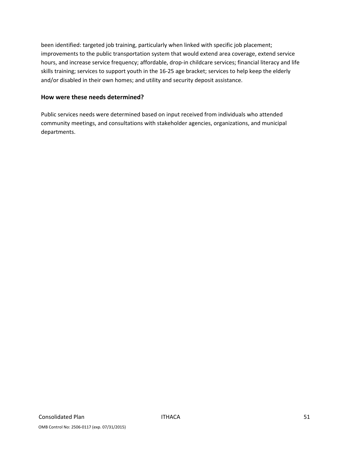been identified: targeted job training, particularly when linked with specific job placement; improvements to the public transportation system that would extend area coverage, extend service hours, and increase service frequency; affordable, drop-in childcare services; financial literacy and life skills training; services to support youth in the 16‐25 age bracket; services to help keep the elderly and/or disabled in their own homes; and utility and security deposit assistance.

### **How were these needs determined?**

Public services needs were determined based on input received from individuals who attended community meetings, and consultations with stakeholder agencies, organizations, and municipal departments.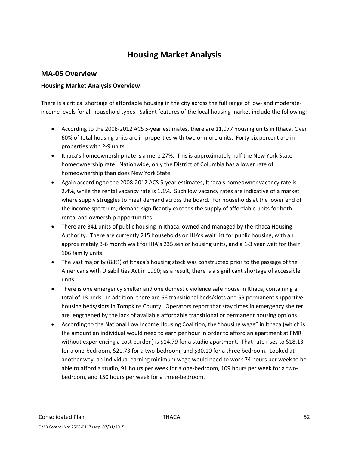# **Housing Market Analysis**

### **MA‐05 Overview**

### **Housing Market Analysis Overview:**

There is a critical shortage of affordable housing in the city across the full range of low- and moderateincome levels for all household types. Salient features of the local housing market include the following:

- According to the 2008-2012 ACS 5-year estimates, there are 11,077 housing units in Ithaca. Over 60% of total housing units are in properties with two or more units. Forty-six percent are in properties with 2‐9 units.
- Ithaca's homeownership rate is a mere 27%. This is approximately half the New York State homeownership rate. Nationwide, only the District of Columbia has a lower rate of homeownership than does New York State.
- Again according to the 2008-2012 ACS 5-year estimates, Ithaca's homeowner vacancy rate is 2.4%, while the rental vacancy rate is 1.1%. Such low vacancy rates are indicative of a market where supply struggles to meet demand across the board. For households at the lower end of the income spectrum, demand significantly exceeds the supply of affordable units for both rental and ownership opportunities.
- There are 341 units of public housing in Ithaca, owned and managed by the Ithaca Housing Authority. There are currently 215 households on IHA's wait list for public housing, with an approximately 3‐6 month wait for IHA's 235 senior housing units, and a 1‐3 year wait for their 106 family units.
- The vast majority (88%) of Ithaca's housing stock was constructed prior to the passage of the Americans with Disabilities Act in 1990; as a result, there is a significant shortage of accessible units.
- There is one emergency shelter and one domestic violence safe house in Ithaca, containing a total of 18 beds. In addition, there are 66 transitional beds/slots and 59 permanent supportive housing beds/slots in Tompkins County. Operators report that stay times in emergency shelter are lengthened by the lack of available affordable transitional or permanent housing options.
- According to the National Low Income Housing Coalition, the "housing wage" in Ithaca (which is the amount an individual would need to earn per hour in order to afford an apartment at FMR without experiencing a cost burden) is \$14.79 for a studio apartment. That rate rises to \$18.13 for a one-bedroom, \$21.73 for a two-bedroom, and \$30.10 for a three bedroom. Looked at another way, an individual earning minimum wage would need to work 74 hours per week to be able to afford a studio, 91 hours per week for a one‐bedroom, 109 hours per week for a two‐ bedroom, and 150 hours per week for a three‐bedroom.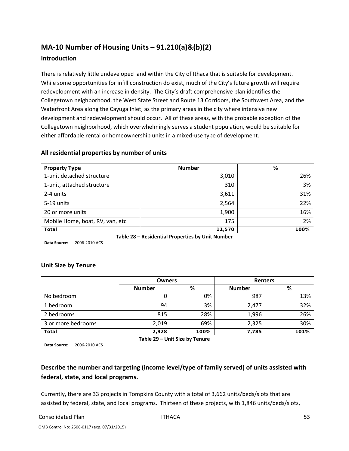# **MA‐10 Number of Housing Units – 91.210(a)&(b)(2)**

### **Introduction**

There is relatively little undeveloped land within the City of Ithaca that is suitable for development. While some opportunities for infill construction do exist, much of the City's future growth will require redevelopment with an increase in density. The City's draft comprehensive plan identifies the Collegetown neighborhood, the West State Street and Route 13 Corridors, the Southwest Area, and the Waterfront Area along the Cayuga Inlet, as the primary areas in the city where intensive new development and redevelopment should occur. All of these areas, with the probable exception of the Collegetown neighborhood, which overwhelmingly serves a student population, would be suitable for either affordable rental or homeownership units in a mixed-use type of development.

| <b>Property Type</b>            | <b>Number</b>                                    | %    |  |  |  |  |
|---------------------------------|--------------------------------------------------|------|--|--|--|--|
| 1-unit detached structure       | 3,010                                            | 26%  |  |  |  |  |
| 1-unit, attached structure      | 310                                              | 3%   |  |  |  |  |
| 2-4 units                       | 3,611                                            | 31%  |  |  |  |  |
| 5-19 units                      | 2,564                                            | 22%  |  |  |  |  |
| 20 or more units                | 1,900                                            | 16%  |  |  |  |  |
| Mobile Home, boat, RV, van, etc | 175                                              | 2%   |  |  |  |  |
| <b>Total</b>                    | 11,570                                           | 100% |  |  |  |  |
|                                 | Table 28 – Residential Properties by Unit Number |      |  |  |  |  |

### **All residential properties by number of units**

**Data Source:** 2006‐2010 ACS

### **Unit Size by Tenure**

|                    | <b>Owners</b>                  |      | <b>Renters</b> |      |  |  |  |  |
|--------------------|--------------------------------|------|----------------|------|--|--|--|--|
|                    | <b>Number</b>                  | %    | <b>Number</b>  | %    |  |  |  |  |
| No bedroom         | 0                              | 0%   | 987            | 13%  |  |  |  |  |
| 1 bedroom          | 94                             | 3%   | 2,477          | 32%  |  |  |  |  |
| 2 bedrooms         | 815                            | 28%  | 1,996          | 26%  |  |  |  |  |
| 3 or more bedrooms | 2,019                          | 69%  | 2,325          | 30%  |  |  |  |  |
| <b>Total</b>       | 2,928                          | 100% | 7,785          | 101% |  |  |  |  |
|                    | Table 29 - Unit Size by Tenure |      |                |      |  |  |  |  |

**Data Source:** 2006‐2010 ACS

## **Describe the number and targeting (income level/type of family served) of units assisted with federal, state, and local programs.**

Currently, there are 33 projects in Tompkins County with a total of 3,662 units/beds/slots that are assisted by federal, state, and local programs. Thirteen of these projects, with 1,846 units/beds/slots,

#### Consolidated Plan ITHACA 53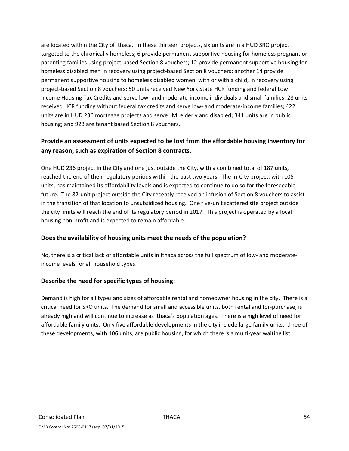are located within the City of Ithaca. In these thirteen projects, six units are in a HUD SRO project targeted to the chronically homeless; 6 provide permanent supportive housing for homeless pregnant or parenting families using project‐based Section 8 vouchers; 12 provide permanent supportive housing for homeless disabled men in recovery using project-based Section 8 vouchers; another 14 provide permanent supportive housing to homeless disabled women, with or with a child, in recovery using project-based Section 8 vouchers; 50 units received New York State HCR funding and federal Low Income Housing Tax Credits and serve low‐ and moderate‐income individuals and small families; 28 units received HCR funding without federal tax credits and serve low‐ and moderate‐income families; 422 units are in HUD 236 mortgage projects and serve LMI elderly and disabled; 341 units are in public housing; and 923 are tenant based Section 8 vouchers.

### **Provide an assessment of units expected to be lost from the affordable housing inventory for any reason, such as expiration of Section 8 contracts.**

One HUD 236 project in the City and one just outside the City, with a combined total of 187 units, reached the end of their regulatory periods within the past two years. The in‐City project, with 105 units, has maintained its affordability levels and is expected to continue to do so for the foreseeable future. The 82-unit project outside the City recently received an infusion of Section 8 vouchers to assist in the transition of that location to unsubsidized housing. One five-unit scattered site project outside the city limits will reach the end of its regulatory period in 2017. This project is operated by a local housing non‐profit and is expected to remain affordable.

### **Does the availability of housing units meet the needs of the population?**

No, there is a critical lack of affordable units in Ithaca across the full spectrum of low‐ and moderate‐ income levels for all household types.

### **Describe the need for specific types of housing:**

Demand is high for all types and sizes of affordable rental and homeowner housing in the city. There is a critical need for SRO units. The demand for small and accessible units, both rental and for‐purchase, is already high and will continue to increase as Ithaca's population ages. There is a high level of need for affordable family units. Only five affordable developments in the city include large family units: three of these developments, with 106 units, are public housing, for which there is a multi‐year waiting list.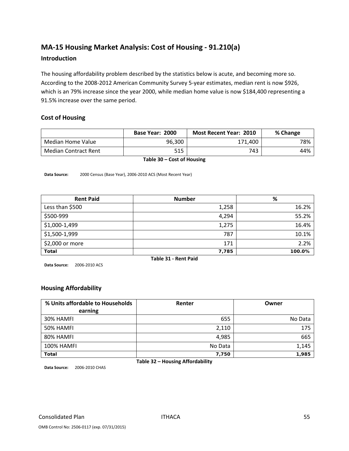# **MA‐15 Housing Market Analysis: Cost of Housing ‐ 91.210(a)**

#### **Introduction**

The housing affordability problem described by the statistics below is acute, and becoming more so. According to the 2008‐2012 American Community Survey 5‐year estimates, median rent is now \$926, which is an 79% increase since the year 2000, while median home value is now \$184,400 representing a 91.5% increase over the same period.

### **Cost of Housing**

|                             | Base Year: 2000 | <b>Most Recent Year: 2010</b> | % Change |
|-----------------------------|-----------------|-------------------------------|----------|
| Median Home Value           | 96.300          | 171.400                       | 78%      |
| <b>Median Contract Rent</b> | 515             | 743                           | 44%      |

**Table 30 – Cost of Housing**

**Data Source:** 2000 Census (Base Year), 2006‐2010 ACS (Most Recent Year)

| <b>Rent Paid</b>     | <b>Number</b> | $\%$   |  |  |  |
|----------------------|---------------|--------|--|--|--|
| Less than \$500      | 1,258         | 16.2%  |  |  |  |
| \$500-999            | 4,294         | 55.2%  |  |  |  |
| \$1,000-1,499        | 1,275         | 16.4%  |  |  |  |
| \$1,500-1,999        | 787           | 10.1%  |  |  |  |
| \$2,000 or more      | 171           | 2.2%   |  |  |  |
| <b>Total</b>         | 7,785         | 100.0% |  |  |  |
| Table 31 - Rent Paid |               |        |  |  |  |

**Data Source:** 2006‐2010 ACS

### **Housing Affordability**

| % Units affordable to Households<br>earning | Renter  | Owner   |
|---------------------------------------------|---------|---------|
| 30% HAMFI                                   | 655     | No Data |
| 50% HAMFI                                   | 2,110   | 175     |
| 80% HAMFI                                   | 4,985   | 665     |
| <b>100% HAMFI</b>                           | No Data | 1,145   |
| <b>Total</b>                                | 7,750   | 1,985   |

**Table 32 – Housing Affordability**

**Data Source:** 2006‐2010 CHAS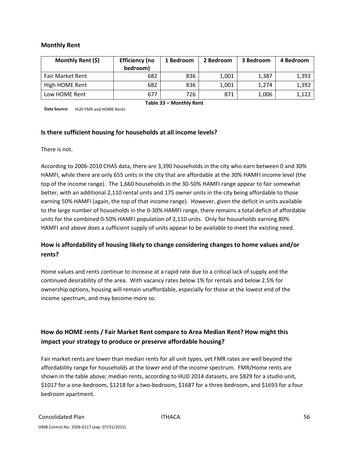#### **Monthly Rent**

| Monthly Rent (\$)       | <b>Efficiency (no</b><br>bedroom) | 1 Bedroom | 2 Bedroom | 3 Bedroom | 4 Bedroom |  |  |  |
|-------------------------|-----------------------------------|-----------|-----------|-----------|-----------|--|--|--|
| <b>Fair Market Rent</b> | 682                               | 836       | 1,001     | 1,387     | 1,392     |  |  |  |
| High HOME Rent          | 682                               | 836       | 1,001     | 1.274     | 1,392     |  |  |  |
| Low HOME Rent           | 677                               | 726       | 871       | 1,006     | 1,122     |  |  |  |
| Table 33 - Monthly Rent |                                   |           |           |           |           |  |  |  |

**Data Source:** HUD FMR and HOME Rents

#### **Is there sufficient housing for households at all income levels?**

There is not.

According to 2006‐2010 CHAS data, there are 3,390 households in the city who earn between 0 and 30% HAMFI, while there are only 655 units in the city that are affordable at the 30% HAMFI income level (the top of the income range). The 1,660 households in the 30-50% HAMFI range appear to fair somewhat better, with an additional 2,110 rental units and 175 owner units in the city being affordable to those earning 50% HAMFI (again, the top of that income range). However, given the deficit in units available to the large number of households in the 0‐30% HAMFI range, there remains a total deficit of affordable units for the combined 0‐50% HAMFI population of 2,110 units. Only for households earning 80% HAMFI and above does a sufficient supply of units appear to be available to meet the existing need.

### **How is affordability of housing likely to change considering changes to home values and/or rents?**

Home values and rents continue to increase at a rapid rate due to a critical lack of supply and the continued desirability of the area. With vacancy rates below 1% for rentals and below 2.5% for ownership options, housing will remain unaffordable, especially for those at the lowest end of the income spectrum, and may become more so.

### **How do HOME rents / Fair Market Rent compare to Area Median Rent? How might this impact your strategy to produce or preserve affordable housing?**

Fair market rents are lower than median rents for all unit types, yet FMR rates are well beyond the affordability range for households at the lower end of the income spectrum. FMR/Home rents are shown in the table above; median rents, according to HUD 2014 datasets, are \$829 for a studio unit, \$1017 for a one‐bedroom, \$1218 for a two‐bedroom, \$1687 for a three bedroom, and \$1693 for a four bedroom apartment.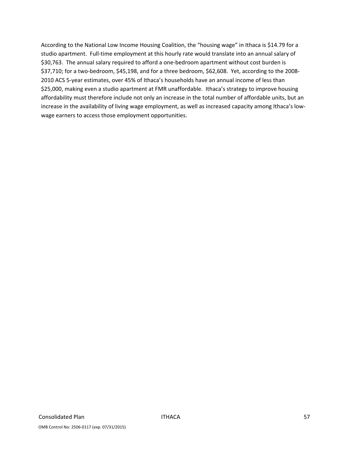According to the National Low Income Housing Coalition, the "housing wage" in Ithaca is \$14.79 for a studio apartment. Full-time employment at this hourly rate would translate into an annual salary of \$30,763. The annual salary required to afford a one‐bedroom apartment without cost burden is \$37,710; for a two-bedroom, \$45,198, and for a three bedroom, \$62,608. Yet, according to the 2008-2010 ACS 5‐year estimates, over 45% of Ithaca's households have an annual income of less than \$25,000, making even a studio apartment at FMR unaffordable. Ithaca's strategy to improve housing affordability must therefore include not only an increase in the total number of affordable units, but an increase in the availability of living wage employment, as well as increased capacity among Ithaca's lowwage earners to access those employment opportunities.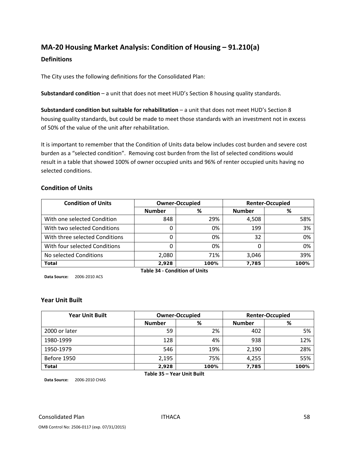## **MA‐20 Housing Market Analysis: Condition of Housing – 91.210(a)**

#### **Definitions**

The City uses the following definitions for the Consolidated Plan:

**Substandard condition** – a unit that does not meet HUD's Section 8 housing quality standards.

**Substandard condition but suitable for rehabilitation** – a unit that does not meet HUD's Section 8 housing quality standards, but could be made to meet those standards with an investment not in excess of 50% of the value of the unit after rehabilitation.

It is important to remember that the Condition of Units data below includes cost burden and severe cost burden as a "selected condition". Removing cost burden from the list of selected conditions would result in a table that showed 100% of owner occupied units and 96% of renter occupied units having no selected conditions.

#### **Condition of Units**

| <b>Condition of Units</b>      |               | <b>Owner-Occupied</b> |               | <b>Renter-Occupied</b> |
|--------------------------------|---------------|-----------------------|---------------|------------------------|
|                                | <b>Number</b> | %                     | <b>Number</b> | %                      |
| With one selected Condition    | 848           | 29%                   | 4,508         | 58%                    |
| With two selected Conditions   |               | 0%                    | 199           | 3%                     |
| With three selected Conditions |               | 0%                    | 32            | 0%                     |
| With four selected Conditions  |               | 0%                    |               | 0%                     |
| No selected Conditions         | 2,080         | 71%                   | 3,046         | 39%                    |
| <b>Total</b>                   | 2,928         | 100%                  | 7,785         | 100%                   |

**Data Source:** 2006‐2010 ACS

**Table 34 ‐ Condition of Units**

#### **Year Unit Built**

| <b>Year Unit Built</b> |                    | <b>Owner-Occupied</b> |               | <b>Renter-Occupied</b> |
|------------------------|--------------------|-----------------------|---------------|------------------------|
|                        | <b>Number</b><br>% |                       | <b>Number</b> | %                      |
| 2000 or later          | 59                 | 2%                    | 402           | 5%                     |
| 1980-1999              | 128                | 4%                    | 938           | 12%                    |
| 1950-1979              | 546                | 19%                   | 2,190         | 28%                    |
| Before 1950            | 2,195              | 75%                   | 4,255         | 55%                    |
| <b>Total</b>           | 2,928              | 100%                  | 7,785         | 100%                   |

**Table 35 – Year Unit Built**

**Data Source:** 2006‐2010 CHAS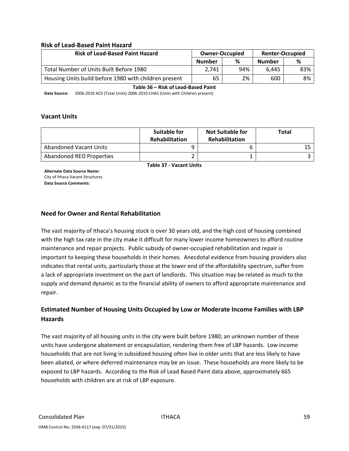#### **Risk of Lead‐Based Paint Hazard**

| <b>Risk of Lead-Based Paint Hazard</b>                | <b>Owner-Occupied</b> |     | <b>Renter-Occupied</b> |     |  |
|-------------------------------------------------------|-----------------------|-----|------------------------|-----|--|
|                                                       | <b>Number</b>         | %   | <b>Number</b>          | %   |  |
| Total Number of Units Built Before 1980               | 2.741                 | 94% | 6.445                  | 83% |  |
| Housing Units build before 1980 with children present | 65                    | 2%  | 600                    | 8%  |  |

**Table 36 – Risk of Lead‐Based Paint**

**Data Source:** 2006‐2010 ACS (Total Units) 2006‐2010 CHAS (Units with Children present)

#### **Vacant Units**

|                               | <b>Suitable for</b><br><b>Rehabilitation</b> | <b>Not Suitable for</b><br><b>Rehabilitation</b> | <b>Total</b> |
|-------------------------------|----------------------------------------------|--------------------------------------------------|--------------|
| <b>Abandoned Vacant Units</b> |                                              |                                                  |              |
| Abandoned REO Properties      |                                              |                                                  |              |

**Table 37 ‐ Vacant Units**

**Alternate Data Source Name:** City of Ithaca Vacant Structures **Data Source Comments:**

#### **Need for Owner and Rental Rehabilitation**

The vast majority of Ithaca's housing stock is over 30 years old, and the high cost of housing combined with the high tax rate in the city make it difficult for many lower income homeowners to afford routine maintenance and repair projects. Public subsidy of owner‐occupied rehabilitation and repair is important to keeping these households in their homes. Anecdotal evidence from housing providers also indicates that rental units, particularly those at the lower end of the affordability spectrum, suffer from a lack of appropriate investment on the part of landlords. This situation may be related as much to the supply and demand dynamic as to the financial ability of owners to afford appropriate maintenance and repair.

### **Estimated Number of Housing Units Occupied by Low or Moderate Income Families with LBP Hazards**

The vast majority of all housing units in the city were built before 1980; an unknown number of these units have undergone abatement or encapsulation, rendering them free of LBP hazards. Low income households that are not living in subsidized housing often live in older units that are less likely to have been abated, or where deferred maintenance may be an issue. These households are more likely to be exposed to LBP hazards. According to the Risk of Lead Based Paint data above, approximately 665 households with children are at risk of LBP exposure.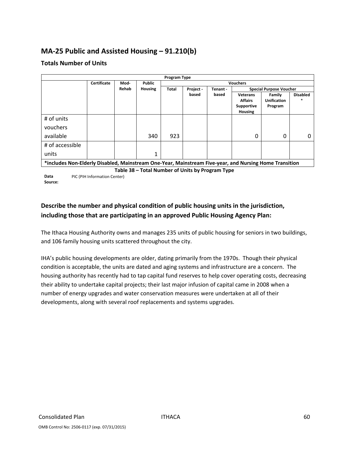# **MA‐25 Public and Assisted Housing – 91.210(b)**

### **Totals Number of Units**

|                                                  |                                                                                                        |       |               | <b>Program Type</b> |           |          |                                                                          |                                         |                 |
|--------------------------------------------------|--------------------------------------------------------------------------------------------------------|-------|---------------|---------------------|-----------|----------|--------------------------------------------------------------------------|-----------------------------------------|-----------------|
|                                                  | Certificate                                                                                            | Mod-  | <b>Public</b> | <b>Vouchers</b>     |           |          |                                                                          |                                         |                 |
|                                                  |                                                                                                        | Rehab | Housing       | Total               | Project - | Tenant - |                                                                          | <b>Special Purpose Voucher</b>          |                 |
|                                                  |                                                                                                        |       |               |                     | based     | based    | <b>Veterans</b><br><b>Affairs</b><br><b>Supportive</b><br><b>Housing</b> | Family<br><b>Unification</b><br>Program | <b>Disabled</b> |
| # of units                                       |                                                                                                        |       |               |                     |           |          |                                                                          |                                         |                 |
| vouchers                                         |                                                                                                        |       |               |                     |           |          |                                                                          |                                         |                 |
| available                                        |                                                                                                        |       | 340           | 923                 |           |          | $\Omega$                                                                 | 0                                       | 0               |
| # of accessible                                  |                                                                                                        |       |               |                     |           |          |                                                                          |                                         |                 |
| units                                            |                                                                                                        |       |               |                     |           |          |                                                                          |                                         |                 |
|                                                  | *includes Non-Elderly Disabled, Mainstream One-Year, Mainstream Five-year, and Nursing Home Transition |       |               |                     |           |          |                                                                          |                                         |                 |
| Table 38 - Total Number of Units by Program Type |                                                                                                        |       |               |                     |           |          |                                                                          |                                         |                 |
| Data                                             | PIC (PIH Information Center)                                                                           |       |               |                     |           |          |                                                                          |                                         |                 |
| Source:                                          |                                                                                                        |       |               |                     |           |          |                                                                          |                                         |                 |

### **Describe the number and physical condition of public housing units in the jurisdiction, including those that are participating in an approved Public Housing Agency Plan:**

The Ithaca Housing Authority owns and manages 235 units of public housing for seniors in two buildings, and 106 family housing units scattered throughout the city.

IHA's public housing developments are older, dating primarily from the 1970s. Though their physical condition is acceptable, the units are dated and aging systems and infrastructure are a concern. The housing authority has recently had to tap capital fund reserves to help cover operating costs, decreasing their ability to undertake capital projects; their last major infusion of capital came in 2008 when a number of energy upgrades and water conservation measures were undertaken at all of their developments, along with several roof replacements and systems upgrades.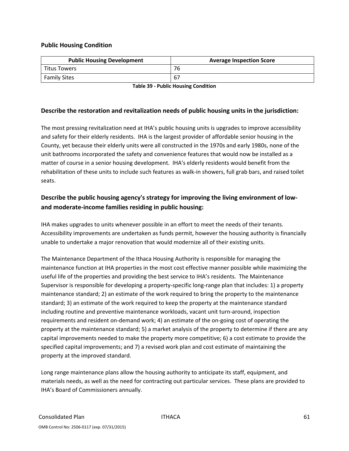### **Public Housing Condition**

| <b>Public Housing Development</b> | <b>Average Inspection Score</b> |
|-----------------------------------|---------------------------------|
| <b>Titus Towers</b>               | 76                              |
| <b>Family Sites</b>               |                                 |

**Table 39 ‐ Public Housing Condition**

#### **Describe the restoration and revitalization needs of public housing units in the jurisdiction:**

The most pressing revitalization need at IHA's public housing units is upgrades to improve accessibility and safety for their elderly residents. IHA is the largest provider of affordable senior housing in the County, yet because their elderly units were all constructed in the 1970s and early 1980s, none of the unit bathrooms incorporated the safety and convenience features that would now be installed as a matter of course in a senior housing development. IHA's elderly residents would benefit from the rehabilitation of these units to include such features as walk‐in showers, full grab bars, and raised toilet seats.

### **Describe the public housing agency's strategy for improving the living environment of low‐ and moderate‐income families residing in public housing:**

IHA makes upgrades to units whenever possible in an effort to meet the needs of their tenants. Accessibility improvements are undertaken as funds permit, however the housing authority is financially unable to undertake a major renovation that would modernize all of their existing units.

The Maintenance Department of the Ithaca Housing Authority is responsible for managing the maintenance function at IHA properties in the most cost effective manner possible while maximizing the useful life of the properties and providing the best service to IHA's residents. The Maintenance Supervisor is responsible for developing a property‐specific long‐range plan that includes: 1) a property maintenance standard; 2) an estimate of the work required to bring the property to the maintenance standard; 3) an estimate of the work required to keep the property at the maintenance standard including routine and preventive maintenance workloads, vacant unit turn‐around, inspection requirements and resident on‐demand work; 4) an estimate of the on‐going cost of operating the property at the maintenance standard; 5) a market analysis of the property to determine if there are any capital improvements needed to make the property more competitive; 6) a cost estimate to provide the specified capital improvements; and 7) a revised work plan and cost estimate of maintaining the property at the improved standard.

Long range maintenance plans allow the housing authority to anticipate its staff, equipment, and materials needs, as well as the need for contracting out particular services. These plans are provided to IHA's Board of Commissioners annually.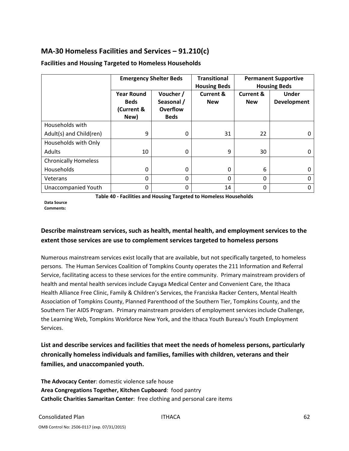# **MA‐30 Homeless Facilities and Services – 91.210(c)**

|                             | <b>Emergency Shelter Beds</b>                          |                                                           | <b>Transitional</b><br><b>Housing Beds</b> | <b>Permanent Supportive</b><br><b>Housing Beds</b> |                             |  |
|-----------------------------|--------------------------------------------------------|-----------------------------------------------------------|--------------------------------------------|----------------------------------------------------|-----------------------------|--|
|                             | <b>Year Round</b><br><b>Beds</b><br>(Current &<br>New) | Voucher /<br>Seasonal /<br><b>Overflow</b><br><b>Beds</b> | <b>Current &amp;</b><br><b>New</b>         | <b>Current &amp;</b><br><b>New</b>                 | <b>Under</b><br>Development |  |
| Households with             |                                                        |                                                           |                                            |                                                    |                             |  |
| Adult(s) and Child(ren)     | 9                                                      | $\Omega$                                                  | 31                                         | 22                                                 | 0                           |  |
| Households with Only        |                                                        |                                                           |                                            |                                                    |                             |  |
| Adults                      | 10                                                     | $\Omega$                                                  | 9                                          | 30                                                 | <sup>0</sup>                |  |
| <b>Chronically Homeless</b> |                                                        |                                                           |                                            |                                                    |                             |  |
| Households                  | 0                                                      | $\mathbf{0}$                                              | 0                                          | 6                                                  | 0                           |  |
| Veterans                    | 0                                                      | $\mathbf{0}$                                              | 0                                          | 0                                                  | 0                           |  |
| <b>Unaccompanied Youth</b>  | 0                                                      | $\Omega$                                                  | 14                                         | 0                                                  | 0                           |  |

### **Facilities and Housing Targeted to Homeless Households**

**Table 40 ‐ Facilities and Housing Targeted to Homeless Households**

**Data Source**

**Comments:**

### **Describe mainstream services, such as health, mental health, and employment services to the extent those services are use to complement services targeted to homeless persons**

Numerous mainstream services exist locally that are available, but not specifically targeted, to homeless persons. The Human Services Coalition of Tompkins County operates the 211 Information and Referral Service, facilitating access to these services for the entire community. Primary mainstream providers of health and mental health services include Cayuga Medical Center and Convenient Care, the Ithaca Health Alliance Free Clinic, Family & Children's Services, the Franziska Racker Centers, Mental Health Association of Tompkins County, Planned Parenthood of the Southern Tier, Tompkins County, and the Southern Tier AIDS Program. Primary mainstream providers of employment services include Challenge, the Learning Web, Tompkins Workforce New York, and the Ithaca Youth Bureau's Youth Employment Services.

**List and describe services and facilities that meet the needs of homeless persons, particularly chronically homeless individuals and families, families with children, veterans and their families, and unaccompanied youth.** 

**The Advocacy Center**: domestic violence safe house **Area Congregations Together, Kitchen Cupboard**: food pantry **Catholic Charities Samaritan Center**: free clothing and personal care items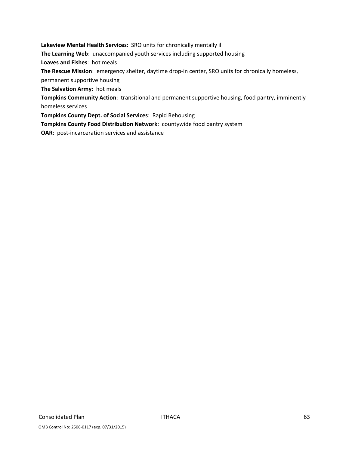**Lakeview Mental Health Services**: SRO units for chronically mentally ill **The Learning Web**: unaccompanied youth services including supported housing **Loaves and Fishes**: hot meals **The Rescue Mission**: emergency shelter, daytime drop‐in center, SRO units for chronically homeless, permanent supportive housing **The Salvation Army**: hot meals **Tompkins Community Action**: transitional and permanent supportive housing, food pantry, imminently homeless services **Tompkins County Dept. of Social Services**: Rapid Rehousing

**Tompkins County Food Distribution Network**: countywide food pantry system

**OAR**: post-incarceration services and assistance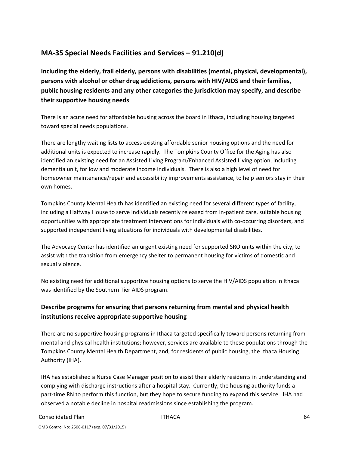## **MA‐35 Special Needs Facilities and Services – 91.210(d)**

**Including the elderly, frail elderly, persons with disabilities (mental, physical, developmental), persons with alcohol or other drug addictions, persons with HIV/AIDS and their families, public housing residents and any other categories the jurisdiction may specify, and describe their supportive housing needs**

There is an acute need for affordable housing across the board in Ithaca, including housing targeted toward special needs populations.

There are lengthy waiting lists to access existing affordable senior housing options and the need for additional units is expected to increase rapidly. The Tompkins County Office for the Aging has also identified an existing need for an Assisted Living Program/Enhanced Assisted Living option, including dementia unit, for low and moderate income individuals. There is also a high level of need for homeowner maintenance/repair and accessibility improvements assistance, to help seniors stay in their own homes.

Tompkins County Mental Health has identified an existing need for several different types of facility, including a Halfway House to serve individuals recently released from in‐patient care, suitable housing opportunities with appropriate treatment interventions for individuals with co‐occurring disorders, and supported independent living situations for individuals with developmental disabilities.

The Advocacy Center has identified an urgent existing need for supported SRO units within the city, to assist with the transition from emergency shelter to permanent housing for victims of domestic and sexual violence.

No existing need for additional supportive housing options to serve the HIV/AIDS population in Ithaca was identified by the Southern Tier AIDS program.

### **Describe programs for ensuring that persons returning from mental and physical health institutions receive appropriate supportive housing**

There are no supportive housing programs in Ithaca targeted specifically toward persons returning from mental and physical health institutions; however, services are available to these populations through the Tompkins County Mental Health Department, and, for residents of public housing, the Ithaca Housing Authority (IHA).

IHA has established a Nurse Case Manager position to assist their elderly residents in understanding and complying with discharge instructions after a hospital stay. Currently, the housing authority funds a part-time RN to perform this function, but they hope to secure funding to expand this service. IHA had observed a notable decline in hospital readmissions since establishing the program.

#### Consolidated Plan ITHACA 64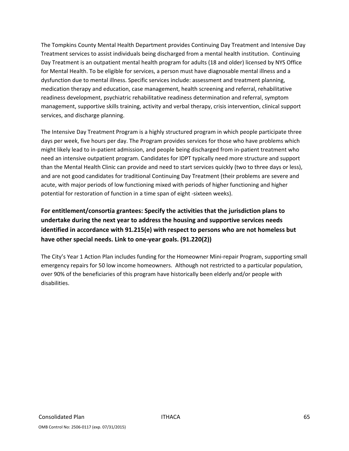The Tompkins County Mental Health Department provides Continuing Day Treatment and Intensive Day Treatment services to assist individuals being discharged from a mental health institution. Continuing Day Treatment is an outpatient mental health program for adults (18 and older) licensed by NYS Office for Mental Health. To be eligible for services, a person must have diagnosable mental illness and a dysfunction due to mental illness. Specific services include: assessment and treatment planning, medication therapy and education, case management, health screening and referral, rehabilitative readiness development, psychiatric rehabilitative readiness determination and referral, symptom management, supportive skills training, activity and verbal therapy, crisis intervention, clinical support services, and discharge planning.

The Intensive Day Treatment Program is a highly structured program in which people participate three days per week, five hours per day. The Program provides services for those who have problems which might likely lead to in‐patient admission, and people being discharged from in‐patient treatment who need an intensive outpatient program. Candidates for IDPT typically need more structure and support than the Mental Health Clinic can provide and need to start services quickly (two to three days or less), and are not good candidates for traditional Continuing Day Treatment (their problems are severe and acute, with major periods of low functioning mixed with periods of higher functioning and higher potential for restoration of function in a time span of eight ‐sixteen weeks).

**For entitlement/consortia grantees: Specify the activities that the jurisdiction plans to undertake during the next year to address the housing and supportive services needs identified in accordance with 91.215(e) with respect to persons who are not homeless but have other special needs. Link to one‐year goals. (91.220(2))**

The City's Year 1 Action Plan includes funding for the Homeowner Mini‐repair Program, supporting small emergency repairs for 50 low income homeowners. Although not restricted to a particular population, over 90% of the beneficiaries of this program have historically been elderly and/or people with disabilities.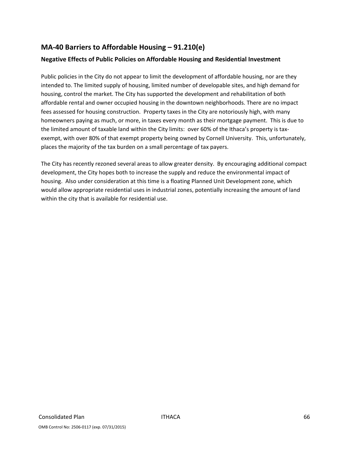# **MA‐40 Barriers to Affordable Housing – 91.210(e)**

### **Negative Effects of Public Policies on Affordable Housing and Residential Investment**

Public policies in the City do not appear to limit the development of affordable housing, nor are they intended to. The limited supply of housing, limited number of developable sites, and high demand for housing, control the market. The City has supported the development and rehabilitation of both affordable rental and owner occupied housing in the downtown neighborhoods. There are no impact fees assessed for housing construction. Property taxes in the City are notoriously high, with many homeowners paying as much, or more, in taxes every month as their mortgage payment. This is due to the limited amount of taxable land within the City limits: over 60% of the Ithaca's property is taxexempt, with over 80% of that exempt property being owned by Cornell University. This, unfortunately, places the majority of the tax burden on a small percentage of tax payers.

The City has recently rezoned several areas to allow greater density. By encouraging additional compact development, the City hopes both to increase the supply and reduce the environmental impact of housing. Also under consideration at this time is a floating Planned Unit Development zone, which would allow appropriate residential uses in industrial zones, potentially increasing the amount of land within the city that is available for residential use.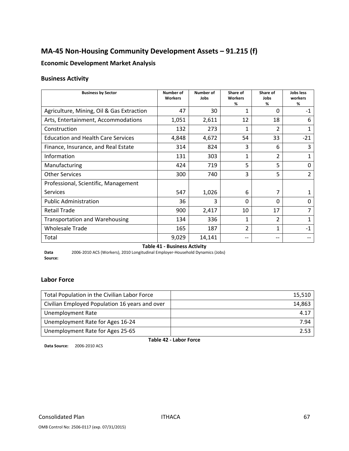# **MA‐45 Non‐Housing Community Development Assets – 91.215 (f)**

### **Economic Development Market Analysis**

### **Business Activity**

| <b>Business by Sector</b>                 | <b>Number of</b><br><b>Workers</b> | Number of<br>Jobs | Share of<br><b>Workers</b><br>% | Share of<br>Jobs<br>% | Jobs less<br>workers<br>% |
|-------------------------------------------|------------------------------------|-------------------|---------------------------------|-----------------------|---------------------------|
| Agriculture, Mining, Oil & Gas Extraction | 47                                 | 30                | 1                               | 0                     | $-1$                      |
| Arts, Entertainment, Accommodations       | 1,051                              | 2,611             | 12                              | 18                    | 6                         |
| Construction                              | 132                                | 273               | 1                               | $\overline{2}$        | 1                         |
| <b>Education and Health Care Services</b> | 4,848                              | 4,672             | 54                              | 33                    | $-21$                     |
| Finance, Insurance, and Real Estate       | 314                                | 824               | 3                               | 6                     | 3                         |
| Information                               | 131                                | 303               | 1                               | $\overline{2}$        | 1                         |
| Manufacturing                             | 424                                | 719               | 5                               | 5                     | 0                         |
| <b>Other Services</b>                     | 300                                | 740               | 3                               | 5                     | $\overline{2}$            |
| Professional, Scientific, Management      |                                    |                   |                                 |                       |                           |
| <b>Services</b>                           | 547                                | 1,026             | 6                               | 7                     | 1                         |
| <b>Public Administration</b>              | 36                                 | 3                 | $\Omega$                        | $\Omega$              | 0                         |
| <b>Retail Trade</b>                       | 900                                | 2,417             | 10                              | 17                    | 7                         |
| <b>Transportation and Warehousing</b>     | 134                                | 336               | $\mathbf{1}$                    | $\overline{2}$        | 1                         |
| <b>Wholesale Trade</b>                    | 165                                | 187               | $\overline{2}$                  | 1                     | $-1$                      |
| Total                                     | 9,029                              | 14,141            | --                              | --                    |                           |
| <b>Table 41 - Business Activity</b>       |                                    |                   |                                 |                       |                           |

**Data Source:** 2006‐2010 ACS (Workers), 2010 Longitudinal Employer‐Household Dynamics (Jobs)

### **Labor Force**

| Total Population in the Civilian Labor Force   | 15,510 |
|------------------------------------------------|--------|
| Civilian Employed Population 16 years and over | 14,863 |
| <b>Unemployment Rate</b>                       | 4.17   |
| Unemployment Rate for Ages 16-24               | 7.94   |
| Unemployment Rate for Ages 25-65               | 2.53   |

**Table 42 ‐ Labor Force**

**Data Source:** 2006‐2010 ACS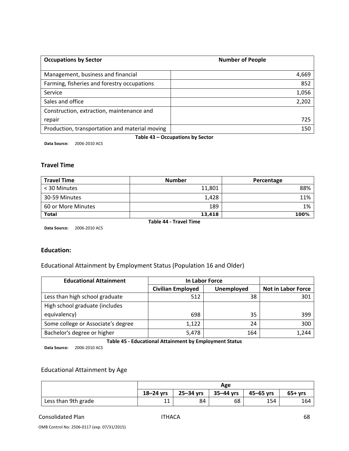| <b>Occupations by Sector</b>                   | <b>Number of People</b> |
|------------------------------------------------|-------------------------|
| Management, business and financial             | 4,669                   |
| Farming, fisheries and forestry occupations    | 852                     |
| Service                                        | 1,056                   |
| Sales and office                               | 2,202                   |
| Construction, extraction, maintenance and      |                         |
| repair                                         | 725                     |
| Production, transportation and material moving | 150                     |

**Table 43 – Occupations by Sector**

**Data Source:** 2006‐2010 ACS

# **Travel Time**

| <b>Travel Time</b> | <b>Number</b> | Percentage |
|--------------------|---------------|------------|
| < 30 Minutes       | 11,801        | 88%        |
| 30-59 Minutes      | 1,428         | 11%        |
| 60 or More Minutes | 189           | 1%         |
| <b>Total</b>       | 13,418        | 100%       |

**Data Source:** 2006‐2010 ACS

**Table 44 ‐ Travel Time**

### **Education:**

### Educational Attainment by Employment Status (Population 16 and Older)

| <b>Educational Attainment</b>      | In Labor Force                         |     |                           |
|------------------------------------|----------------------------------------|-----|---------------------------|
|                                    | <b>Civilian Employed</b><br>Unemployed |     | <b>Not in Labor Force</b> |
| Less than high school graduate     | 512                                    | 38  | 301                       |
| High school graduate (includes     |                                        |     |                           |
| equivalency)                       | 698                                    | 35  | 399                       |
| Some college or Associate's degree | 1,122                                  | 24  | 300                       |
| Bachelor's degree or higher        | 5,478                                  | 164 | 1,244                     |

**Table 45 ‐ Educational Attainment by Employment Status**

**Data Source:** 2006‐2010 ACS

### Educational Attainment by Age

|                     | Age       |           |               |           |          |
|---------------------|-----------|-----------|---------------|-----------|----------|
|                     | 18-24 yrs | 25-34 yrs | $35 - 44$ yrs | 45–65 vrs | $65+vrs$ |
| Less than 9th grade | 11<br>ᆠᅶ  | 84        | 68            | 154       | 164      |

#### Consolidated Plan **ITHACA Consolidated Plan 1**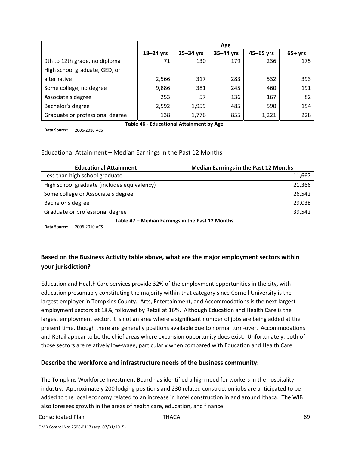|                                 | Age           |               |           |               |          |
|---------------------------------|---------------|---------------|-----------|---------------|----------|
|                                 | $18 - 24$ yrs | $25 - 34$ yrs | 35-44 yrs | $45 - 65$ yrs | $65+yrs$ |
| 9th to 12th grade, no diploma   | 71            | 130           | 179       | 236           | 175      |
| High school graduate, GED, or   |               |               |           |               |          |
| alternative                     | 2,566         | 317           | 283       | 532           | 393      |
| Some college, no degree         | 9,886         | 381           | 245       | 460           | 191      |
| Associate's degree              | 253           | 57            | 136       | 167           | 82       |
| Bachelor's degree               | 2,592         | 1,959         | 485       | 590           | 154      |
| Graduate or professional degree | 138           | 1,776         | 855       | 1,221         | 228      |

**Data Source:** 2006‐2010 ACS

**Table 46 ‐ Educational Attainment by Age**

Educational Attainment – Median Earnings in the Past 12 Months

| <b>Educational Attainment</b>               | <b>Median Earnings in the Past 12 Months</b> |
|---------------------------------------------|----------------------------------------------|
| Less than high school graduate              | 11,667                                       |
| High school graduate (includes equivalency) | 21,366                                       |
| Some college or Associate's degree          | 26,542                                       |
| Bachelor's degree                           | 29,038                                       |
| Graduate or professional degree             | 39.542                                       |

**Table 47 – Median Earnings in the Past 12 Months**

**Data Source:** 2006‐2010 ACS

## **Based on the Business Activity table above, what are the major employment sectors within your jurisdiction?**

Education and Health Care services provide 32% of the employment opportunities in the city, with education presumably constituting the majority within that category since Cornell University is the largest employer in Tompkins County. Arts, Entertainment, and Accommodations is the next largest employment sectors at 18%, followed by Retail at 16%. Although Education and Health Care is the largest employment sector, it is not an area where a significant number of jobs are being added at the present time, though there are generally positions available due to normal turn-over. Accommodations and Retail appear to be the chief areas where expansion opportunity does exist. Unfortunately, both of those sectors are relatively low‐wage, particularly when compared with Education and Health Care.

### **Describe the workforce and infrastructure needs of the business community:**

The Tompkins Workforce Investment Board has identified a high need for workers in the hospitality industry. Approximately 200 lodging positions and 230 related construction jobs are anticipated to be added to the local economy related to an increase in hotel construction in and around Ithaca. The WIB also foresees growth in the areas of health care, education, and finance.

Consolidated Plan ITHACA 69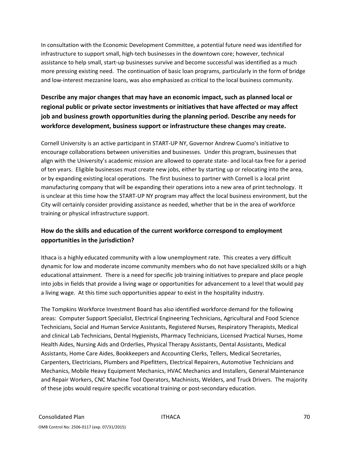In consultation with the Economic Development Committee, a potential future need was identified for infrastructure to support small, high‐tech businesses in the downtown core; however, technical assistance to help small, start-up businesses survive and become successful was identified as a much more pressing existing need. The continuation of basic loan programs, particularly in the form of bridge and low-interest mezzanine loans, was also emphasized as critical to the local business community.

# **Describe any major changes that may have an economic impact, such as planned local or regional public or private sector investments or initiatives that have affected or may affect job and business growth opportunities during the planning period. Describe any needs for workforce development, business support or infrastructure these changes may create.**

Cornell University is an active participant in START‐UP NY, Governor Andrew Cuomo's initiative to encourage collaborations between universities and businesses. Under this program, businesses that align with the University's academic mission are allowed to operate state‐ and local‐tax free for a period of ten years. Eligible businesses must create new jobs, either by starting up or relocating into the area, or by expanding existing local operations. The first business to partner with Cornell is a local print manufacturing company that will be expanding their operations into a new area of print technology. It is unclear at this time how the START-UP NY program may affect the local business environment, but the City will certainly consider providing assistance as needed, whether that be in the area of workforce training or physical infrastructure support.

# **How do the skills and education of the current workforce correspond to employment opportunities in the jurisdiction?**

Ithaca is a highly educated community with a low unemployment rate. This creates a very difficult dynamic for low and moderate income community members who do not have specialized skills or a high educational attainment. There is a need for specific job training initiatives to prepare and place people into jobs in fields that provide a living wage or opportunities for advancement to a level that would pay a living wage. At this time such opportunities appear to exist in the hospitality industry.

The Tompkins Workforce Investment Board has also identified workforce demand for the following areas: Computer Support Specialist, Electrical Engineering Technicians, Agricultural and Food Science Technicians, Social and Human Service Assistants, Registered Nurses, Respiratory Therapists, Medical and clinical Lab Technicians, Dental Hygienists, Pharmacy Technicians, Licensed Practical Nurses, Home Health Aides, Nursing Aids and Orderlies, Physical Therapy Assistants, Dental Assistants, Medical Assistants, Home Care Aides, Bookkeepers and Accounting Clerks, Tellers, Medical Secretaries, Carpenters, Electricians, Plumbers and Pipefitters, Electrical Repairers, Automotive Technicians and Mechanics, Mobile Heavy Equipment Mechanics, HVAC Mechanics and Installers, General Maintenance and Repair Workers, CNC Machine Tool Operators, Machinists, Welders, and Truck Drivers. The majority of these jobs would require specific vocational training or post‐secondary education.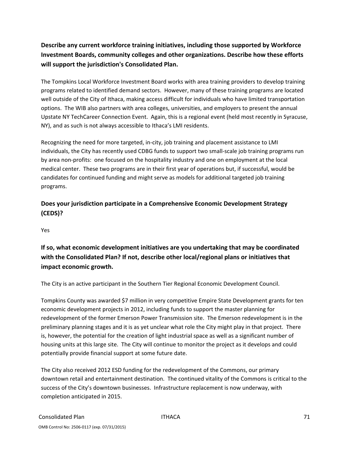# **Describe any current workforce training initiatives, including those supported by Workforce Investment Boards, community colleges and other organizations. Describe how these efforts will support the jurisdiction's Consolidated Plan.**

The Tompkins Local Workforce Investment Board works with area training providers to develop training programs related to identified demand sectors. However, many of these training programs are located well outside of the City of Ithaca, making access difficult for individuals who have limited transportation options. The WIB also partners with area colleges, universities, and employers to present the annual Upstate NY TechCareer Connection Event. Again, this is a regional event (held most recently in Syracuse, NY), and as such is not always accessible to Ithaca's LMI residents.

Recognizing the need for more targeted, in‐city, job training and placement assistance to LMI individuals, the City has recently used CDBG funds to support two small‐scale job training programs run by area non‐profits: one focused on the hospitality industry and one on employment at the local medical center. These two programs are in their first year of operations but, if successful, would be candidates for continued funding and might serve as models for additional targeted job training programs.

# **Does your jurisdiction participate in a Comprehensive Economic Development Strategy (CEDS)?**

Yes

**If so, what economic development initiatives are you undertaking that may be coordinated with the Consolidated Plan? If not, describe other local/regional plans or initiatives that impact economic growth.**

The City is an active participant in the Southern Tier Regional Economic Development Council.

Tompkins County was awarded \$7 million in very competitive Empire State Development grants for ten economic development projects in 2012, including funds to support the master planning for redevelopment of the former Emerson Power Transmission site. The Emerson redevelopment is in the preliminary planning stages and it is as yet unclear what role the City might play in that project. There is, however, the potential for the creation of light industrial space as well as a significant number of housing units at this large site. The City will continue to monitor the project as it develops and could potentially provide financial support at some future date.

The City also received 2012 ESD funding for the redevelopment of the Commons, our primary downtown retail and entertainment destination. The continued vitality of the Commons is critical to the success of the City's downtown businesses. Infrastructure replacement is now underway, with completion anticipated in 2015.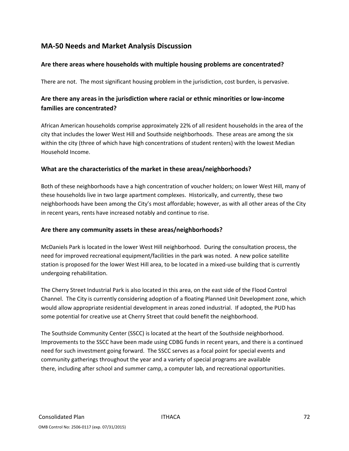# **MA‐50 Needs and Market Analysis Discussion**

### **Are there areas where households with multiple housing problems are concentrated?**

There are not. The most significant housing problem in the jurisdiction, cost burden, is pervasive.

# **Are there any areas in the jurisdiction where racial or ethnic minorities or low‐income families are concentrated?**

African American households comprise approximately 22% of all resident households in the area of the city that includes the lower West Hill and Southside neighborhoods. These areas are among the six within the city (three of which have high concentrations of student renters) with the lowest Median Household Income.

### **What are the characteristics of the market in these areas/neighborhoods?**

Both of these neighborhoods have a high concentration of voucher holders; on lower West Hill, many of these households live in two large apartment complexes. Historically, and currently, these two neighborhoods have been among the City's most affordable; however, as with all other areas of the City in recent years, rents have increased notably and continue to rise.

### **Are there any community assets in these areas/neighborhoods?**

McDaniels Park is located in the lower West Hill neighborhood. During the consultation process, the need for improved recreational equipment/facilities in the park was noted. A new police satellite station is proposed for the lower West Hill area, to be located in a mixed-use building that is currently undergoing rehabilitation.

The Cherry Street Industrial Park is also located in this area, on the east side of the Flood Control Channel. The City is currently considering adoption of a floating Planned Unit Development zone, which would allow appropriate residential development in areas zoned industrial. If adopted, the PUD has some potential for creative use at Cherry Street that could benefit the neighborhood.

The Southside Community Center (SSCC) is located at the heart of the Southside neighborhood. Improvements to the SSCC have been made using CDBG funds in recent years, and there is a continued need for such investment going forward. The SSCC serves as a focal point for special events and community gatherings throughout the year and a variety of special programs are available there, including after school and summer camp, a computer lab, and recreational opportunities.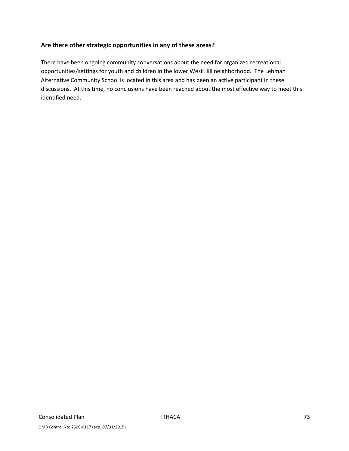### **Are there other strategic opportunities in any of these areas?**

There have been ongoing community conversations about the need for organized recreational opportunities/settings for youth and children in the lower West Hill neighborhood. The Lehman Alternative Community School is located in this area and has been an active participant in these discussions. At this time, no conclusions have been reached about the most effective way to meet this identified need.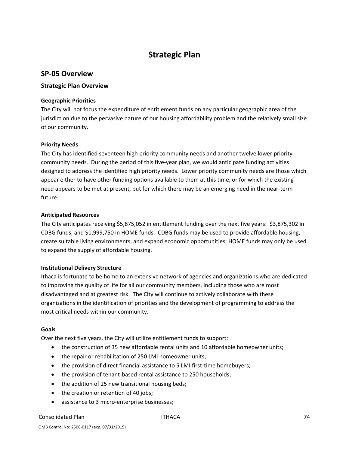# **Strategic Plan**

### **SP‐05 Overview**

### **Strategic Plan Overview**

### **Geographic Priorities**

The City will not focus the expenditure of entitlement funds on any particular geographic area of the jurisdiction due to the pervasive nature of our housing affordability problem and the relatively small size of our community.

### **Priority Needs**

The City has identified seventeen high priority community needs and another twelve lower priority community needs. During the period of this five‐year plan, we would anticipate funding activities designed to address the identified high priority needs. Lower priority community needs are those which appear either to have other funding options available to them at this time, or for which the existing need appears to be met at present, but for which there may be an emerging need in the near‐term future.

#### **Anticipated Resources**

The City anticipates receiving \$5,875,052 in entitlement funding over the next five years: \$3,875,302 in CDBG funds, and \$1,999,750 in HOME funds. CDBG funds may be used to provide affordable housing, create suitable living environments, and expand economic opportunities; HOME funds may only be used to expand the supply of affordable housing.

### **Institutional Delivery Structure**

Ithaca is fortunate to be home to an extensive network of agencies and organizations who are dedicated to improving the quality of life for all our community members, including those who are most disadvantaged and at greatest risk. The City will continue to actively collaborate with these organizations in the identification of priorities and the development of programming to address the most critical needs within our community.

#### **Goals**

Over the next five years, the City will utilize entitlement funds to support:

- the construction of 35 new affordable rental units and 10 affordable homeowner units;
- the repair or rehabilitation of 250 LMI homeowner units;
- the provision of direct financial assistance to 5 LMI first-time homebuyers;
- the provision of tenant‐based rental assistance to 250 households;
- the addition of 25 new transitional housing beds;
- the creation or retention of 40 jobs;
- assistance to 3 micro-enterprise businesses;

#### Consolidated Plan ITHACA 74

OMB Control No: 2506‐0117 (exp. 07/31/2015)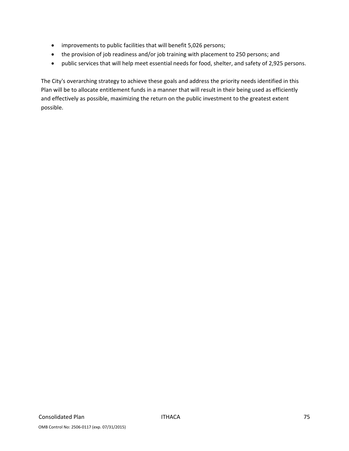- improvements to public facilities that will benefit 5,026 persons;
- the provision of job readiness and/or job training with placement to 250 persons; and
- public services that will help meet essential needs for food, shelter, and safety of 2,925 persons.

The City's overarching strategy to achieve these goals and address the priority needs identified in this Plan will be to allocate entitlement funds in a manner that will result in their being used as efficiently and effectively as possible, maximizing the return on the public investment to the greatest extent possible.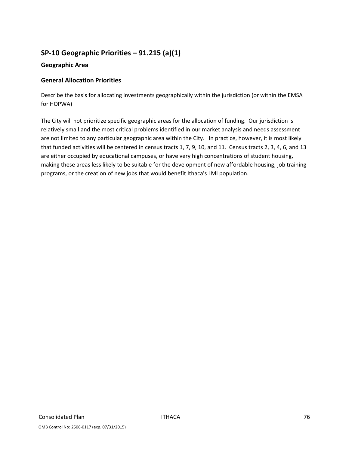# **SP‐10 Geographic Priorities – 91.215 (a)(1)**

### **Geographic Area**

### **General Allocation Priorities**

Describe the basis for allocating investments geographically within the jurisdiction (or within the EMSA for HOPWA)

The City will not prioritize specific geographic areas for the allocation of funding. Our jurisdiction is relatively small and the most critical problems identified in our market analysis and needs assessment are not limited to any particular geographic area within the City. In practice, however, it is most likely that funded activities will be centered in census tracts 1, 7, 9, 10, and 11. Census tracts 2, 3, 4, 6, and 13 are either occupied by educational campuses, or have very high concentrations of student housing, making these areas less likely to be suitable for the development of new affordable housing, job training programs, or the creation of new jobs that would benefit Ithaca's LMI population.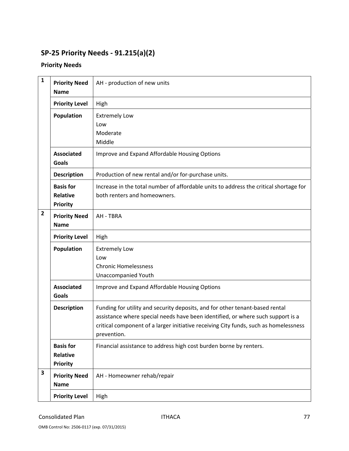# **SP‐25 Priority Needs ‐ 91.215(a)(2)**

# **Priority Needs**

| $\mathbf{1}$ | <b>Priority Need</b><br><b>Name</b>                    | AH - production of new units                                                                                                                                                                                                                                           |
|--------------|--------------------------------------------------------|------------------------------------------------------------------------------------------------------------------------------------------------------------------------------------------------------------------------------------------------------------------------|
|              | <b>Priority Level</b>                                  | High                                                                                                                                                                                                                                                                   |
|              | Population                                             | <b>Extremely Low</b><br>Low<br>Moderate<br>Middle                                                                                                                                                                                                                      |
|              | <b>Associated</b><br><b>Goals</b>                      | Improve and Expand Affordable Housing Options                                                                                                                                                                                                                          |
|              | <b>Description</b>                                     | Production of new rental and/or for-purchase units.                                                                                                                                                                                                                    |
|              | <b>Basis for</b><br><b>Relative</b><br><b>Priority</b> | Increase in the total number of affordable units to address the critical shortage for<br>both renters and homeowners.                                                                                                                                                  |
| 2            | <b>Priority Need</b><br><b>Name</b>                    | AH - TBRA                                                                                                                                                                                                                                                              |
|              | <b>Priority Level</b>                                  | High                                                                                                                                                                                                                                                                   |
|              | Population                                             | <b>Extremely Low</b><br>Low<br><b>Chronic Homelessness</b><br><b>Unaccompanied Youth</b>                                                                                                                                                                               |
|              | <b>Associated</b><br>Goals                             | Improve and Expand Affordable Housing Options                                                                                                                                                                                                                          |
|              | <b>Description</b>                                     | Funding for utility and security deposits, and for other tenant-based rental<br>assistance where special needs have been identified, or where such support is a<br>critical component of a larger initiative receiving City funds, such as homelessness<br>prevention. |
|              | <b>Basis for</b><br><b>Relative</b><br><b>Priority</b> | Financial assistance to address high cost burden borne by renters.                                                                                                                                                                                                     |
| 3            | <b>Priority Need</b><br><b>Name</b>                    | AH - Homeowner rehab/repair                                                                                                                                                                                                                                            |
|              | <b>Priority Level</b>                                  | High                                                                                                                                                                                                                                                                   |

OMB Control No: 2506‐0117 (exp. 07/31/2015)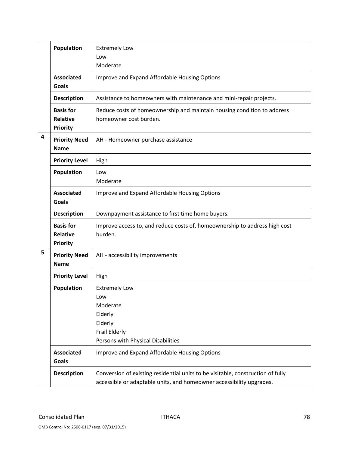|   | Population                                             | <b>Extremely Low</b><br>Low<br>Moderate                                                                                                                 |
|---|--------------------------------------------------------|---------------------------------------------------------------------------------------------------------------------------------------------------------|
|   | <b>Associated</b><br><b>Goals</b>                      | Improve and Expand Affordable Housing Options                                                                                                           |
|   | <b>Description</b>                                     | Assistance to homeowners with maintenance and mini-repair projects.                                                                                     |
|   | <b>Basis for</b><br><b>Relative</b><br><b>Priority</b> | Reduce costs of homeownership and maintain housing condition to address<br>homeowner cost burden.                                                       |
| 4 | <b>Priority Need</b><br><b>Name</b>                    | AH - Homeowner purchase assistance                                                                                                                      |
|   | <b>Priority Level</b>                                  | High                                                                                                                                                    |
|   | Population                                             | Low<br>Moderate                                                                                                                                         |
|   | <b>Associated</b><br><b>Goals</b>                      | Improve and Expand Affordable Housing Options                                                                                                           |
|   | <b>Description</b>                                     | Downpayment assistance to first time home buyers.                                                                                                       |
|   | <b>Basis for</b><br><b>Relative</b><br><b>Priority</b> | Improve access to, and reduce costs of, homeownership to address high cost<br>burden.                                                                   |
| 5 | <b>Priority Need</b><br><b>Name</b>                    | AH - accessibility improvements                                                                                                                         |
|   | <b>Priority Level</b>                                  | High                                                                                                                                                    |
|   | Population                                             | <b>Extremely Low</b><br>Low<br>Moderate<br>Elderly<br>Elderly<br>Frail Elderly<br>Persons with Physical Disabilities                                    |
|   | <b>Associated</b><br>Goals                             | Improve and Expand Affordable Housing Options                                                                                                           |
|   | <b>Description</b>                                     | Conversion of existing residential units to be visitable, construction of fully<br>accessible or adaptable units, and homeowner accessibility upgrades. |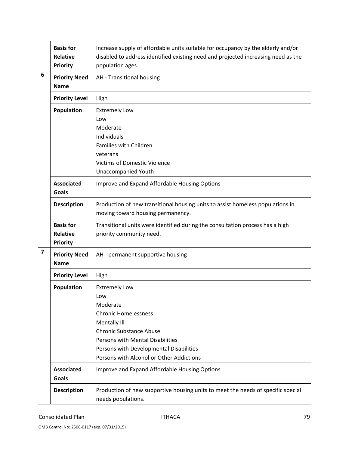|                         | <b>Basis for</b><br><b>Relative</b><br><b>Priority</b> | Increase supply of affordable units suitable for occupancy by the elderly and/or<br>disabled to address identified existing need and projected increasing need as the<br>population ages.                                                           |
|-------------------------|--------------------------------------------------------|-----------------------------------------------------------------------------------------------------------------------------------------------------------------------------------------------------------------------------------------------------|
| 6                       | <b>Priority Need</b><br><b>Name</b>                    | AH - Transitional housing                                                                                                                                                                                                                           |
|                         | <b>Priority Level</b>                                  | High                                                                                                                                                                                                                                                |
|                         | <b>Population</b>                                      | <b>Extremely Low</b><br>Low<br>Moderate<br>Individuals<br>Families with Children<br>veterans<br><b>Victims of Domestic Violence</b><br><b>Unaccompanied Youth</b>                                                                                   |
|                         | <b>Associated</b><br>Goals                             | Improve and Expand Affordable Housing Options                                                                                                                                                                                                       |
|                         | <b>Description</b>                                     | Production of new transitional housing units to assist homeless populations in<br>moving toward housing permanency.                                                                                                                                 |
|                         | <b>Basis for</b><br><b>Relative</b><br><b>Priority</b> | Transitional units were identified during the consultation process has a high<br>priority community need.                                                                                                                                           |
| $\overline{\mathbf{z}}$ | <b>Priority Need</b><br><b>Name</b>                    | AH - permanent supportive housing                                                                                                                                                                                                                   |
|                         | <b>Priority Level</b>                                  | High                                                                                                                                                                                                                                                |
|                         | Population                                             | <b>Extremely Low</b><br>Low<br>Moderate<br><b>Chronic Homelessness</b><br>Mentally III<br><b>Chronic Substance Abuse</b><br>Persons with Mental Disabilities<br>Persons with Developmental Disabilities<br>Persons with Alcohol or Other Addictions |
|                         | <b>Associated</b><br>Goals                             | Improve and Expand Affordable Housing Options                                                                                                                                                                                                       |
|                         | <b>Description</b>                                     | Production of new supportive housing units to meet the needs of specific special<br>needs populations.                                                                                                                                              |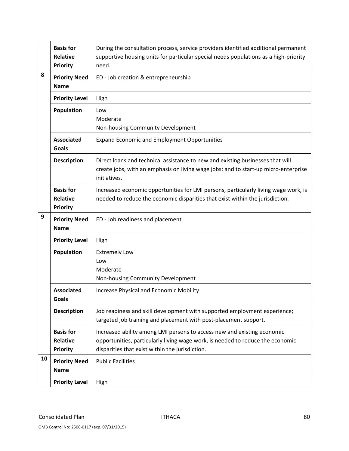|    | <b>Basis for</b><br>Relative<br><b>Priority</b>        | During the consultation process, service providers identified additional permanent<br>supportive housing units for particular special needs populations as a high-priority<br>need.   |
|----|--------------------------------------------------------|---------------------------------------------------------------------------------------------------------------------------------------------------------------------------------------|
| 8  | <b>Priority Need</b><br><b>Name</b>                    | ED - Job creation & entrepreneurship                                                                                                                                                  |
|    | <b>Priority Level</b>                                  | High                                                                                                                                                                                  |
|    | <b>Population</b>                                      | Low                                                                                                                                                                                   |
|    |                                                        | Moderate                                                                                                                                                                              |
|    |                                                        | Non-housing Community Development                                                                                                                                                     |
|    | <b>Associated</b><br><b>Goals</b>                      | <b>Expand Economic and Employment Opportunities</b>                                                                                                                                   |
|    | <b>Description</b>                                     | Direct loans and technical assistance to new and existing businesses that will<br>create jobs, with an emphasis on living wage jobs; and to start-up micro-enterprise<br>initiatives. |
|    | <b>Basis for</b><br><b>Relative</b><br><b>Priority</b> | Increased economic opportunities for LMI persons, particularly living wage work, is<br>needed to reduce the economic disparities that exist within the jurisdiction.                  |
| 9  | <b>Priority Need</b><br><b>Name</b>                    | ED - Job readiness and placement                                                                                                                                                      |
|    | <b>Priority Level</b>                                  | High                                                                                                                                                                                  |
|    | <b>Population</b>                                      | <b>Extremely Low</b>                                                                                                                                                                  |
|    |                                                        | Low                                                                                                                                                                                   |
|    |                                                        | Moderate<br>Non-housing Community Development                                                                                                                                         |
|    |                                                        |                                                                                                                                                                                       |
|    | <b>Associated</b><br><b>Goals</b>                      | Increase Physical and Economic Mobility                                                                                                                                               |
|    | <b>Description</b>                                     | Job readiness and skill development with supported employment experience;<br>targeted job training and placement with post-placement support.                                         |
|    | <b>Basis for</b>                                       | Increased ability among LMI persons to access new and existing economic                                                                                                               |
|    | Relative                                               | opportunities, particularly living wage work, is needed to reduce the economic                                                                                                        |
|    | <b>Priority</b>                                        | disparities that exist within the jurisdiction.                                                                                                                                       |
| 10 |                                                        |                                                                                                                                                                                       |
|    | <b>Priority Need</b>                                   | <b>Public Facilities</b>                                                                                                                                                              |
|    | <b>Name</b>                                            |                                                                                                                                                                                       |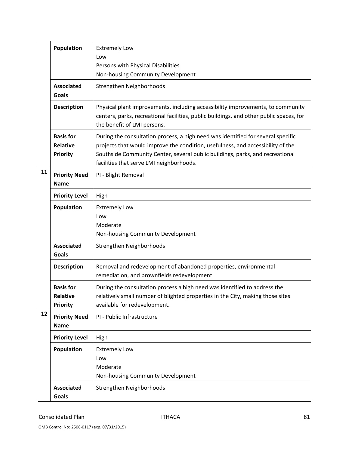|    | <b>Population</b>                                      | <b>Extremely Low</b><br>Low<br>Persons with Physical Disabilities<br>Non-housing Community Development                                                                                                                                                                                           |
|----|--------------------------------------------------------|--------------------------------------------------------------------------------------------------------------------------------------------------------------------------------------------------------------------------------------------------------------------------------------------------|
|    | <b>Associated</b><br>Goals                             | Strengthen Neighborhoods                                                                                                                                                                                                                                                                         |
|    | <b>Description</b>                                     | Physical plant improvements, including accessibility improvements, to community<br>centers, parks, recreational facilities, public buildings, and other public spaces, for<br>the benefit of LMI persons.                                                                                        |
|    | <b>Basis for</b><br><b>Relative</b><br><b>Priority</b> | During the consultation process, a high need was identified for several specific<br>projects that would improve the condition, usefulness, and accessibility of the<br>Southside Community Center, several public buildings, parks, and recreational<br>facilities that serve LMI neighborhoods. |
| 11 | <b>Priority Need</b><br><b>Name</b>                    | PI - Blight Removal                                                                                                                                                                                                                                                                              |
|    | <b>Priority Level</b>                                  | High                                                                                                                                                                                                                                                                                             |
|    | <b>Population</b>                                      | <b>Extremely Low</b><br>Low<br>Moderate<br>Non-housing Community Development                                                                                                                                                                                                                     |
|    | <b>Associated</b><br>Goals                             | Strengthen Neighborhoods                                                                                                                                                                                                                                                                         |
|    | <b>Description</b>                                     | Removal and redevelopment of abandoned properties, environmental<br>remediation, and brownfields redevelopment.                                                                                                                                                                                  |
|    | <b>Basis for</b><br>Relative<br><b>Priority</b>        | During the consultation process a high need was identified to address the<br>relatively small number of blighted properties in the City, making those sites<br>available for redevelopment.                                                                                                      |
| 12 | <b>Priority Need</b><br><b>Name</b>                    | PI - Public Infrastructure                                                                                                                                                                                                                                                                       |
|    | <b>Priority Level</b>                                  | High                                                                                                                                                                                                                                                                                             |
|    | <b>Population</b>                                      | <b>Extremely Low</b><br>Low<br>Moderate<br>Non-housing Community Development                                                                                                                                                                                                                     |
|    | <b>Associated</b><br><b>Goals</b>                      | Strengthen Neighborhoods                                                                                                                                                                                                                                                                         |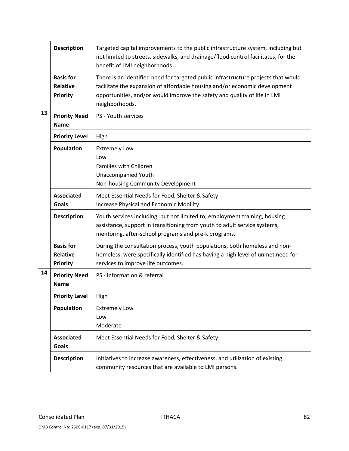|    | <b>Description</b>                                     | Targeted capital improvements to the public infrastructure system, including but<br>not limited to streets, sidewalks, and drainage/flood control facilitates, for the<br>benefit of LMI neighborhoods.                                                         |
|----|--------------------------------------------------------|-----------------------------------------------------------------------------------------------------------------------------------------------------------------------------------------------------------------------------------------------------------------|
|    | <b>Basis for</b><br><b>Relative</b><br><b>Priority</b> | There is an identified need for targeted public infrastructure projects that would<br>facilitate the expansion of affordable housing and/or economic development<br>opportunities, and/or would improve the safety and quality of life in LMI<br>neighborhoods. |
| 13 | <b>Priority Need</b><br><b>Name</b>                    | PS - Youth services                                                                                                                                                                                                                                             |
|    | <b>Priority Level</b>                                  | High                                                                                                                                                                                                                                                            |
|    | Population                                             | <b>Extremely Low</b><br>Low<br>Families with Children<br><b>Unaccompanied Youth</b><br>Non-housing Community Development                                                                                                                                        |
|    | <b>Associated</b><br><b>Goals</b>                      | Meet Essential Needs for Food, Shelter & Safety<br>Increase Physical and Economic Mobility                                                                                                                                                                      |
|    | <b>Description</b>                                     | Youth services including, but not limited to, employment training, housing<br>assistance, support in transitioning from youth to adult service systems,<br>mentoring, after-school programs and pre-k programs.                                                 |
|    | <b>Basis for</b><br>Relative<br><b>Priority</b>        | During the consultation process, youth populations, both homeless and non-<br>homeless, were specifically identified has having a high level of unmet need for<br>services to improve life outcomes.                                                            |
| 14 | <b>Priority Need</b><br><b>Name</b>                    | PS - Information & referral                                                                                                                                                                                                                                     |
|    | <b>Priority Level</b>                                  | High                                                                                                                                                                                                                                                            |
|    | Population                                             | <b>Extremely Low</b><br>Low<br>Moderate                                                                                                                                                                                                                         |
|    | <b>Associated</b><br><b>Goals</b>                      | Meet Essential Needs for Food, Shelter & Safety                                                                                                                                                                                                                 |
|    | <b>Description</b>                                     | Initiatives to increase awareness, effectiveness, and utilization of existing<br>community resources that are available to LMI persons.                                                                                                                         |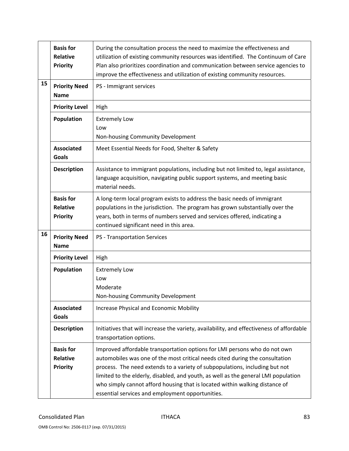|    | <b>Basis for</b><br><b>Relative</b><br><b>Priority</b> | During the consultation process the need to maximize the effectiveness and<br>utilization of existing community resources was identified. The Continuum of Care<br>Plan also prioritizes coordination and communication between service agencies to<br>improve the effectiveness and utilization of existing community resources.                                                                                                                                 |
|----|--------------------------------------------------------|-------------------------------------------------------------------------------------------------------------------------------------------------------------------------------------------------------------------------------------------------------------------------------------------------------------------------------------------------------------------------------------------------------------------------------------------------------------------|
| 15 | <b>Priority Need</b><br><b>Name</b>                    | PS - Immigrant services                                                                                                                                                                                                                                                                                                                                                                                                                                           |
|    | <b>Priority Level</b>                                  | High                                                                                                                                                                                                                                                                                                                                                                                                                                                              |
|    | <b>Population</b>                                      | <b>Extremely Low</b><br>Low<br>Non-housing Community Development                                                                                                                                                                                                                                                                                                                                                                                                  |
|    | <b>Associated</b><br><b>Goals</b>                      | Meet Essential Needs for Food, Shelter & Safety                                                                                                                                                                                                                                                                                                                                                                                                                   |
|    | <b>Description</b>                                     | Assistance to immigrant populations, including but not limited to, legal assistance,<br>language acquisition, navigating public support systems, and meeting basic<br>material needs.                                                                                                                                                                                                                                                                             |
|    | <b>Basis for</b><br><b>Relative</b><br><b>Priority</b> | A long-term local program exists to address the basic needs of immigrant<br>populations in the jurisdiction. The program has grown substantially over the<br>years, both in terms of numbers served and services offered, indicating a<br>continued significant need in this area.                                                                                                                                                                                |
| 16 | <b>Priority Need</b><br><b>Name</b>                    | PS - Transportation Services                                                                                                                                                                                                                                                                                                                                                                                                                                      |
|    | <b>Priority Level</b>                                  | High                                                                                                                                                                                                                                                                                                                                                                                                                                                              |
|    | Population                                             | <b>Extremely Low</b><br>Low<br>Moderate<br>Non-housing Community Development                                                                                                                                                                                                                                                                                                                                                                                      |
|    | <b>Associated</b><br><b>Goals</b>                      | Increase Physical and Economic Mobility                                                                                                                                                                                                                                                                                                                                                                                                                           |
|    | <b>Description</b>                                     | Initiatives that will increase the variety, availability, and effectiveness of affordable<br>transportation options.                                                                                                                                                                                                                                                                                                                                              |
|    | <b>Basis for</b><br><b>Relative</b><br><b>Priority</b> | Improved affordable transportation options for LMI persons who do not own<br>automobiles was one of the most critical needs cited during the consultation<br>process. The need extends to a variety of subpopulations, including but not<br>limited to the elderly, disabled, and youth, as well as the general LMI population<br>who simply cannot afford housing that is located within walking distance of<br>essential services and employment opportunities. |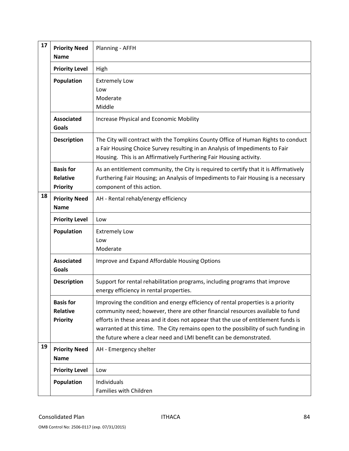| 17 | <b>Priority Need</b><br><b>Name</b>                    | Planning - AFFH                                                                                                                                                                                                                                                                                                                                                                                                       |
|----|--------------------------------------------------------|-----------------------------------------------------------------------------------------------------------------------------------------------------------------------------------------------------------------------------------------------------------------------------------------------------------------------------------------------------------------------------------------------------------------------|
|    | <b>Priority Level</b>                                  | High                                                                                                                                                                                                                                                                                                                                                                                                                  |
|    | <b>Population</b>                                      | <b>Extremely Low</b><br>Low<br>Moderate<br>Middle                                                                                                                                                                                                                                                                                                                                                                     |
|    | <b>Associated</b><br>Goals                             | <b>Increase Physical and Economic Mobility</b>                                                                                                                                                                                                                                                                                                                                                                        |
|    | <b>Description</b>                                     | The City will contract with the Tompkins County Office of Human Rights to conduct<br>a Fair Housing Choice Survey resulting in an Analysis of Impediments to Fair<br>Housing. This is an Affirmatively Furthering Fair Housing activity.                                                                                                                                                                              |
|    | <b>Basis for</b><br><b>Relative</b><br><b>Priority</b> | As an entitlement community, the City is required to certify that it is Affirmatively<br>Furthering Fair Housing; an Analysis of Impediments to Fair Housing is a necessary<br>component of this action.                                                                                                                                                                                                              |
| 18 | <b>Priority Need</b><br><b>Name</b>                    | AH - Rental rehab/energy efficiency                                                                                                                                                                                                                                                                                                                                                                                   |
|    | <b>Priority Level</b>                                  | Low                                                                                                                                                                                                                                                                                                                                                                                                                   |
|    | Population                                             | <b>Extremely Low</b><br>Low<br>Moderate                                                                                                                                                                                                                                                                                                                                                                               |
|    | <b>Associated</b><br>Goals                             | Improve and Expand Affordable Housing Options                                                                                                                                                                                                                                                                                                                                                                         |
|    | <b>Description</b>                                     | Support for rental rehabilitation programs, including programs that improve<br>energy efficiency in rental properties.                                                                                                                                                                                                                                                                                                |
|    | <b>Basis for</b><br><b>Relative</b><br><b>Priority</b> | Improving the condition and energy efficiency of rental properties is a priority<br>community need; however, there are other financial resources available to fund<br>efforts in these areas and it does not appear that the use of entitlement funds is<br>warranted at this time. The City remains open to the possibility of such funding in<br>the future where a clear need and LMI benefit can be demonstrated. |
| 19 | <b>Priority Need</b><br><b>Name</b>                    | AH - Emergency shelter                                                                                                                                                                                                                                                                                                                                                                                                |
|    | <b>Priority Level</b>                                  | Low                                                                                                                                                                                                                                                                                                                                                                                                                   |
|    | Population                                             | Individuals<br>Families with Children                                                                                                                                                                                                                                                                                                                                                                                 |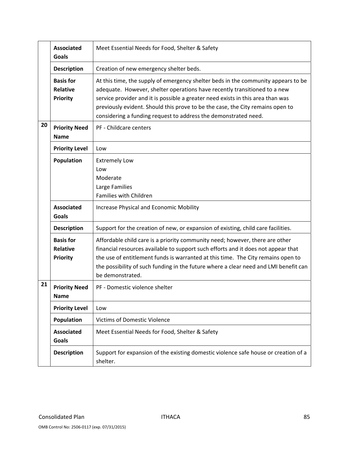|    | <b>Associated</b><br>Goals                             | Meet Essential Needs for Food, Shelter & Safety                                                                                                                                                                                                                                                                                                                                                        |
|----|--------------------------------------------------------|--------------------------------------------------------------------------------------------------------------------------------------------------------------------------------------------------------------------------------------------------------------------------------------------------------------------------------------------------------------------------------------------------------|
|    | <b>Description</b>                                     | Creation of new emergency shelter beds.                                                                                                                                                                                                                                                                                                                                                                |
|    | <b>Basis for</b><br><b>Relative</b><br>Priority        | At this time, the supply of emergency shelter beds in the community appears to be<br>adequate. However, shelter operations have recently transitioned to a new<br>service provider and it is possible a greater need exists in this area than was<br>previously evident. Should this prove to be the case, the City remains open to<br>considering a funding request to address the demonstrated need. |
| 20 | <b>Priority Need</b><br><b>Name</b>                    | PF - Childcare centers                                                                                                                                                                                                                                                                                                                                                                                 |
|    | <b>Priority Level</b>                                  | Low                                                                                                                                                                                                                                                                                                                                                                                                    |
|    | Population                                             | <b>Extremely Low</b><br>Low<br>Moderate<br>Large Families<br>Families with Children                                                                                                                                                                                                                                                                                                                    |
|    | <b>Associated</b><br><b>Goals</b>                      | Increase Physical and Economic Mobility                                                                                                                                                                                                                                                                                                                                                                |
|    | <b>Description</b>                                     | Support for the creation of new, or expansion of existing, child care facilities.                                                                                                                                                                                                                                                                                                                      |
|    | <b>Basis for</b><br><b>Relative</b><br><b>Priority</b> | Affordable child care is a priority community need; however, there are other<br>financial resources available to support such efforts and it does not appear that<br>the use of entitlement funds is warranted at this time. The City remains open to<br>the possibility of such funding in the future where a clear need and LMI benefit can<br>be demonstrated.                                      |
| 21 | <b>Priority Need</b><br>Name                           | PF - Domestic violence shelter                                                                                                                                                                                                                                                                                                                                                                         |
|    | <b>Priority Level</b>                                  | Low                                                                                                                                                                                                                                                                                                                                                                                                    |
|    | Population                                             | <b>Victims of Domestic Violence</b>                                                                                                                                                                                                                                                                                                                                                                    |
|    | <b>Associated</b><br>Goals                             | Meet Essential Needs for Food, Shelter & Safety                                                                                                                                                                                                                                                                                                                                                        |
|    | <b>Description</b>                                     | Support for expansion of the existing domestic violence safe house or creation of a<br>shelter.                                                                                                                                                                                                                                                                                                        |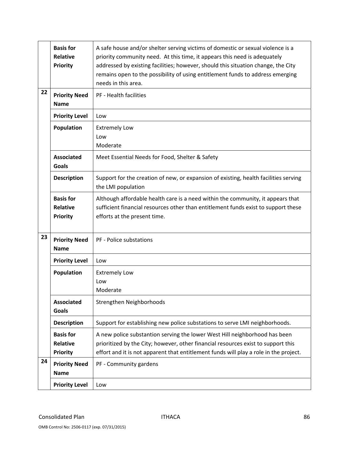|    | <b>Basis for</b><br><b>Relative</b><br><b>Priority</b> | A safe house and/or shelter serving victims of domestic or sexual violence is a<br>priority community need. At this time, it appears this need is adequately<br>addressed by existing facilities; however, should this situation change, the City<br>remains open to the possibility of using entitlement funds to address emerging<br>needs in this area. |
|----|--------------------------------------------------------|------------------------------------------------------------------------------------------------------------------------------------------------------------------------------------------------------------------------------------------------------------------------------------------------------------------------------------------------------------|
| 22 | <b>Priority Need</b><br><b>Name</b>                    | PF - Health facilities                                                                                                                                                                                                                                                                                                                                     |
|    | <b>Priority Level</b>                                  | Low                                                                                                                                                                                                                                                                                                                                                        |
|    | Population                                             | <b>Extremely Low</b><br>Low<br>Moderate                                                                                                                                                                                                                                                                                                                    |
|    | <b>Associated</b><br><b>Goals</b>                      | Meet Essential Needs for Food, Shelter & Safety                                                                                                                                                                                                                                                                                                            |
|    | <b>Description</b>                                     | Support for the creation of new, or expansion of existing, health facilities serving<br>the LMI population                                                                                                                                                                                                                                                 |
|    | <b>Basis for</b><br><b>Relative</b><br><b>Priority</b> | Although affordable health care is a need within the community, it appears that<br>sufficient financial resources other than entitlement funds exist to support these<br>efforts at the present time.                                                                                                                                                      |
| 23 | <b>Priority Need</b><br><b>Name</b>                    | PF - Police substations                                                                                                                                                                                                                                                                                                                                    |
|    | <b>Priority Level</b>                                  | Low                                                                                                                                                                                                                                                                                                                                                        |
|    | Population                                             | <b>Extremely Low</b><br>Low<br>Moderate                                                                                                                                                                                                                                                                                                                    |
|    | <b>Associated</b><br><b>Goals</b>                      | Strengthen Neighborhoods                                                                                                                                                                                                                                                                                                                                   |
|    | <b>Description</b>                                     | Support for establishing new police substations to serve LMI neighborhoods.                                                                                                                                                                                                                                                                                |
|    | <b>Basis for</b><br><b>Relative</b><br><b>Priority</b> | A new police substantion serving the lower West Hill neighborhood has been<br>prioritized by the City; however, other financial resources exist to support this<br>effort and it is not apparent that entitlement funds will play a role in the project.                                                                                                   |
| 24 | <b>Priority Need</b><br><b>Name</b>                    | PF - Community gardens                                                                                                                                                                                                                                                                                                                                     |
|    | <b>Priority Level</b>                                  | Low                                                                                                                                                                                                                                                                                                                                                        |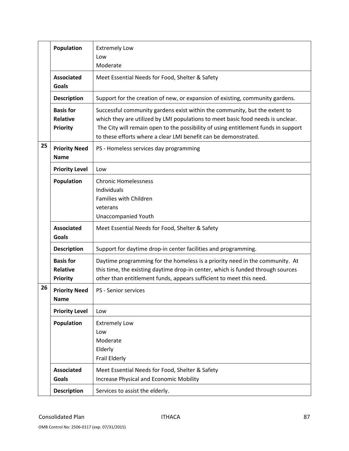|    | Population                                             | <b>Extremely Low</b><br>Low<br>Moderate                                                                                                                                                                                                                                                                                |
|----|--------------------------------------------------------|------------------------------------------------------------------------------------------------------------------------------------------------------------------------------------------------------------------------------------------------------------------------------------------------------------------------|
|    | <b>Associated</b><br><b>Goals</b>                      | Meet Essential Needs for Food, Shelter & Safety                                                                                                                                                                                                                                                                        |
|    | <b>Description</b>                                     | Support for the creation of new, or expansion of existing, community gardens.                                                                                                                                                                                                                                          |
|    | <b>Basis for</b><br><b>Relative</b><br><b>Priority</b> | Successful community gardens exist within the community, but the extent to<br>which they are utilized by LMI populations to meet basic food needs is unclear.<br>The City will remain open to the possibility of using entitlement funds in support<br>to these efforts where a clear LMI benefit can be demonstrated. |
| 25 | <b>Priority Need</b><br><b>Name</b>                    | PS - Homeless services day programming                                                                                                                                                                                                                                                                                 |
|    | <b>Priority Level</b>                                  | Low                                                                                                                                                                                                                                                                                                                    |
|    | Population                                             | <b>Chronic Homelessness</b><br>Individuals<br>Families with Children<br>veterans<br><b>Unaccompanied Youth</b>                                                                                                                                                                                                         |
|    | <b>Associated</b><br><b>Goals</b>                      | Meet Essential Needs for Food, Shelter & Safety                                                                                                                                                                                                                                                                        |
|    | <b>Description</b>                                     | Support for daytime drop-in center facilities and programming.                                                                                                                                                                                                                                                         |
|    | <b>Basis for</b><br><b>Relative</b><br><b>Priority</b> | Daytime programming for the homeless is a priority need in the community. At<br>this time, the existing daytime drop-in center, which is funded through sources<br>other than entitlement funds, appears sufficient to meet this need.                                                                                 |
| 26 | <b>Priority Need</b><br><b>Name</b>                    | PS - Senior services                                                                                                                                                                                                                                                                                                   |
|    | <b>Priority Level</b>                                  | Low                                                                                                                                                                                                                                                                                                                    |
|    | Population                                             | <b>Extremely Low</b><br>Low<br>Moderate<br>Elderly<br>Frail Elderly                                                                                                                                                                                                                                                    |
|    | <b>Associated</b><br>Goals                             | Meet Essential Needs for Food, Shelter & Safety<br>Increase Physical and Economic Mobility                                                                                                                                                                                                                             |
|    | <b>Description</b>                                     | Services to assist the elderly.                                                                                                                                                                                                                                                                                        |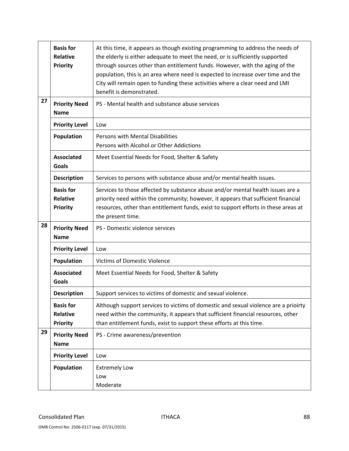|    | <b>Basis for</b><br><b>Relative</b><br><b>Priority</b> | At this time, it appears as though existing programming to address the needs of<br>the elderly is either adequate to meet the need, or is sufficiently supported<br>through sources other than entitlement funds. However, with the aging of the<br>population, this is an area where need is expected to increase over time and the<br>City will remain open to funding these activities where a clear need and LMI<br>benefit is demonstrated. |
|----|--------------------------------------------------------|--------------------------------------------------------------------------------------------------------------------------------------------------------------------------------------------------------------------------------------------------------------------------------------------------------------------------------------------------------------------------------------------------------------------------------------------------|
| 27 | <b>Priority Need</b><br><b>Name</b>                    | PS - Mental health and substance abuse services                                                                                                                                                                                                                                                                                                                                                                                                  |
|    | <b>Priority Level</b>                                  | Low                                                                                                                                                                                                                                                                                                                                                                                                                                              |
|    | Population                                             | Persons with Mental Disabilities<br>Persons with Alcohol or Other Addictions                                                                                                                                                                                                                                                                                                                                                                     |
|    | <b>Associated</b><br><b>Goals</b>                      | Meet Essential Needs for Food, Shelter & Safety                                                                                                                                                                                                                                                                                                                                                                                                  |
|    | <b>Description</b>                                     | Services to persons with substance abuse and/or mental health issues.                                                                                                                                                                                                                                                                                                                                                                            |
|    | <b>Basis for</b><br><b>Relative</b><br><b>Priority</b> | Services to those affected by substance abuse and/or mental health issues are a<br>priority need within the community; however, it appears that sufficient financial<br>resources, other than entitlement funds, exist to support efforts in these areas at<br>the present time.                                                                                                                                                                 |
| 28 | <b>Priority Need</b><br><b>Name</b>                    | PS - Domestic violence services                                                                                                                                                                                                                                                                                                                                                                                                                  |
|    | <b>Priority Level</b>                                  | Low                                                                                                                                                                                                                                                                                                                                                                                                                                              |
|    | Population                                             | <b>Victims of Domestic Violence</b>                                                                                                                                                                                                                                                                                                                                                                                                              |
|    | <b>Associated</b><br><b>Goals</b>                      | Meet Essential Needs for Food, Shelter & Safety                                                                                                                                                                                                                                                                                                                                                                                                  |
|    | <b>Description</b>                                     | Support services to victims of domestic and sexual violence.                                                                                                                                                                                                                                                                                                                                                                                     |
|    | <b>Basis for</b><br><b>Relative</b><br><b>Priority</b> | Although support services to victims of domestic and sexual violence are a prioirty<br>need within the community, it appears that sufficient financial resources, other<br>than entitlement funds, exist to support these efforts at this time.                                                                                                                                                                                                  |
| 29 | <b>Priority Need</b><br><b>Name</b>                    | PS - Crime awareness/prevention                                                                                                                                                                                                                                                                                                                                                                                                                  |
|    | <b>Priority Level</b>                                  | Low                                                                                                                                                                                                                                                                                                                                                                                                                                              |
|    | <b>Population</b>                                      | <b>Extremely Low</b><br>Low<br>Moderate                                                                                                                                                                                                                                                                                                                                                                                                          |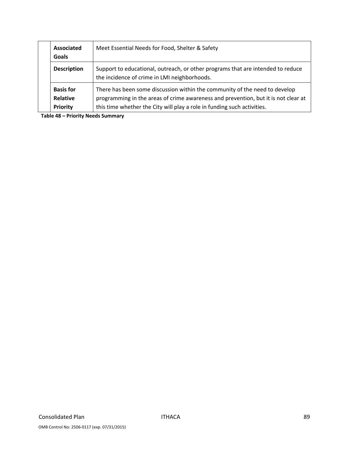| Associated<br>Goals                             | Meet Essential Needs for Food, Shelter & Safety                                                                                                                                                                                             |
|-------------------------------------------------|---------------------------------------------------------------------------------------------------------------------------------------------------------------------------------------------------------------------------------------------|
| <b>Description</b>                              | Support to educational, outreach, or other programs that are intended to reduce<br>the incidence of crime in LMI neighborhoods.                                                                                                             |
| <b>Basis for</b><br><b>Relative</b><br>Priority | There has been some discussion within the community of the need to develop<br>programming in the areas of crime awareness and prevention, but it is not clear at<br>this time whether the City will play a role in funding such activities. |

**Table 48 – Priority Needs Summary**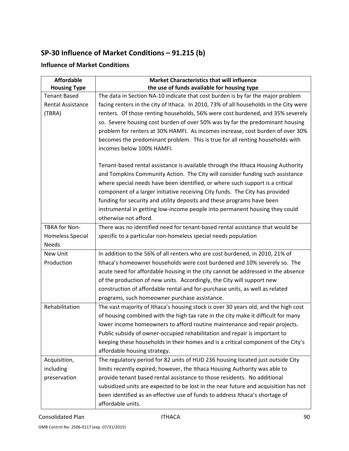# **SP‐30 Influence of Market Conditions – 91.215 (b)**

# **Influence of Market Conditions**

| <b>Affordable</b>        | <b>Market Characteristics that will influence</b>                                     |
|--------------------------|---------------------------------------------------------------------------------------|
| <b>Housing Type</b>      | the use of funds available for housing type                                           |
| <b>Tenant Based</b>      | The data in Section NA-10 indicate that cost burden is by far the major problem       |
| <b>Rental Assistance</b> | facing renters in the city of Ithaca. In 2010, 73% of all households in the City were |
| (TBRA)                   | renters. Of those renting households, 56% were cost burdened, and 35% severely        |
|                          | so. Severe housing cost burden of over 50% was by far the predominant housing         |
|                          | problem for renters at 30% HAMFI. As incomes increase, cost burden of over 30%        |
|                          | becomes the predominant problem. This is true for all renting households with         |
|                          | incomes below 100% HAMFI.                                                             |
|                          | Tenant-based rental assistance is available through the Ithaca Housing Authority      |
|                          | and Tompkins Community Action. The City will consider funding such assistance         |
|                          | where special needs have been identified, or where such support is a critical         |
|                          | component of a larger initiative receiving City funds. The City has provided          |
|                          | funding for security and utility deposits and these programs have been                |
|                          | instrumental in getting low-income people into permanent housing they could           |
|                          | otherwise not afford.                                                                 |
| TBRA for Non-            | There was no identified need for tenant-based rental assistance that would be         |
| <b>Homeless Special</b>  | specific to a particular non-homeless special needs population                        |
| <b>Needs</b>             |                                                                                       |
| <b>New Unit</b>          | In addition to the 56% of all renters who are cost burdened, in 2010, 21% of          |
| Production               | Ithaca's homeowner households were cost burdened and 10% severely so. The             |
|                          | acute need for affordable housing in the city cannot be addressed in the absence      |
|                          | of the production of new units. Accordingly, the City will support new                |
|                          | construction of affordable rental and for-purchase units, as well as related          |
|                          | programs, such homeowner purchase assistance.                                         |
| Rehabilitation           | The vast majority of Ithaca's housing stock is over 30 years old, and the high cost   |
|                          | of housing combined with the high tax rate in the city make it difficult for many     |
|                          | lower income homeowners to afford routine maintenance and repair projects.            |
|                          | Public subsidy of owner-occupied rehabilitation and repair is important to            |
|                          | keeping these households in their homes and is a critical component of the City's     |
|                          | affordable housing strategy.                                                          |
| Acquisition,             | The regulatory period for 82 units of HUD 236 housing located just outside City       |
| including                | limits recently expired; however, the Ithaca Housing Authority was able to            |
| preservation             | provide tenant based rental assistance to those residents. No additional              |
|                          | subsidized units are expected to be lost in the near future and acquisition has not   |
|                          | been identified as an effective use of funds to address Ithaca's shortage of          |
|                          | affordable units.                                                                     |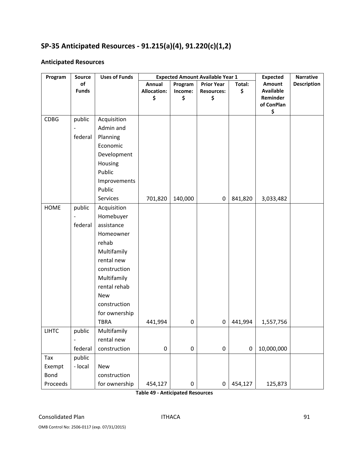# **SP‐35 Anticipated Resources ‐ 91.215(a)(4), 91.220(c)(1,2)**

### **Anticipated Resources**

| Program      | <b>Source</b>            | <b>Uses of Funds</b> | <b>Expected Amount Available Year 1</b> |         |                   | <b>Expected</b>  | <b>Narrative</b>       |                    |
|--------------|--------------------------|----------------------|-----------------------------------------|---------|-------------------|------------------|------------------------|--------------------|
|              | of                       |                      | <b>Annual</b>                           | Program | <b>Prior Year</b> | Total:           | <b>Amount</b>          | <b>Description</b> |
|              | <b>Funds</b>             |                      | <b>Allocation:</b>                      | Income: | <b>Resources:</b> | \$               | <b>Available</b>       |                    |
|              |                          |                      | \$                                      | \$      | \$                |                  | Reminder<br>of ConPlan |                    |
|              |                          |                      |                                         |         |                   |                  | \$                     |                    |
| <b>CDBG</b>  | public                   | Acquisition          |                                         |         |                   |                  |                        |                    |
|              |                          | Admin and            |                                         |         |                   |                  |                        |                    |
|              | federal                  | Planning             |                                         |         |                   |                  |                        |                    |
|              |                          | Economic             |                                         |         |                   |                  |                        |                    |
|              |                          | Development          |                                         |         |                   |                  |                        |                    |
|              |                          | Housing              |                                         |         |                   |                  |                        |                    |
|              |                          | Public               |                                         |         |                   |                  |                        |                    |
|              |                          | Improvements         |                                         |         |                   |                  |                        |                    |
|              |                          | Public               |                                         |         |                   |                  |                        |                    |
|              |                          | Services             | 701,820                                 | 140,000 | $\pmb{0}$         | 841,820          | 3,033,482              |                    |
| <b>HOME</b>  | public                   | Acquisition          |                                         |         |                   |                  |                        |                    |
|              |                          | Homebuyer            |                                         |         |                   |                  |                        |                    |
|              | federal                  | assistance           |                                         |         |                   |                  |                        |                    |
|              |                          | Homeowner            |                                         |         |                   |                  |                        |                    |
|              |                          | rehab                |                                         |         |                   |                  |                        |                    |
|              |                          | Multifamily          |                                         |         |                   |                  |                        |                    |
|              |                          | rental new           |                                         |         |                   |                  |                        |                    |
|              |                          | construction         |                                         |         |                   |                  |                        |                    |
|              |                          | Multifamily          |                                         |         |                   |                  |                        |                    |
|              |                          | rental rehab         |                                         |         |                   |                  |                        |                    |
|              |                          | <b>New</b>           |                                         |         |                   |                  |                        |                    |
|              |                          | construction         |                                         |         |                   |                  |                        |                    |
|              |                          | for ownership        |                                         |         |                   |                  |                        |                    |
|              |                          | <b>TBRA</b>          | 441,994                                 | 0       | $\pmb{0}$         | 441,994          | 1,557,756              |                    |
| <b>LIHTC</b> | public                   | Multifamily          |                                         |         |                   |                  |                        |                    |
|              | $\overline{\phantom{0}}$ | rental new           |                                         |         |                   |                  |                        |                    |
|              | federal                  | construction         | $\pmb{0}$                               | 0       | $\pmb{0}$         | $\boldsymbol{0}$ | 10,000,000             |                    |
| Tax          | public                   |                      |                                         |         |                   |                  |                        |                    |
| Exempt       | - local                  | <b>New</b>           |                                         |         |                   |                  |                        |                    |
| Bond         |                          | construction         |                                         |         |                   |                  |                        |                    |
| Proceeds     |                          | for ownership        | 454,127                                 | 0       | $\pmb{0}$         | 454,127          | 125,873                |                    |

**Table 49 ‐ Anticipated Resources**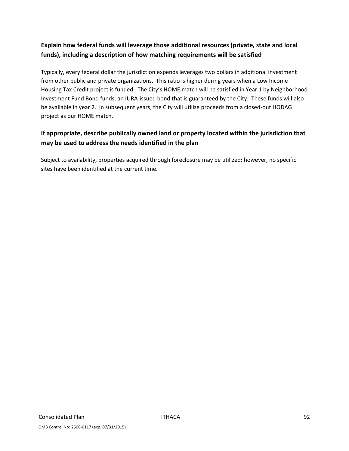# **Explain how federal funds will leverage those additional resources (private, state and local funds), including a description of how matching requirements will be satisfied**

Typically, every federal dollar the jurisdiction expends leverages two dollars in additional investment from other public and private organizations. This ratio is higher during years when a Low Income Housing Tax Credit project is funded. The City's HOME match will be satisfied in Year 1 by Neighborhood Investment Fund Bond funds, an IURA‐issued bond that is guaranteed by the City. These funds will also be available in year 2. In subsequent years, the City will utilize proceeds from a closed‐out HODAG project as our HOME match.

# **If appropriate, describe publically owned land or property located within the jurisdiction that may be used to address the needs identified in the plan**

Subject to availability, properties acquired through foreclosure may be utilized; however, no specific sites have been identified at the current time.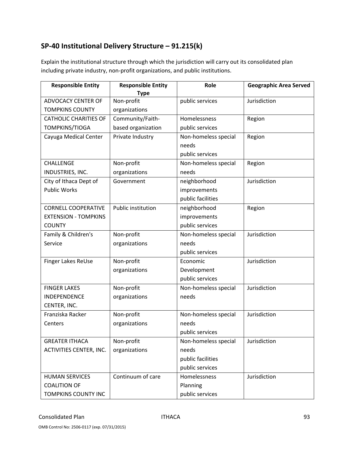# **SP‐40 Institutional Delivery Structure – 91.215(k)**

Explain the institutional structure through which the jurisdiction will carry out its consolidated plan including private industry, non‐profit organizations, and public institutions.

| <b>Responsible Entity</b>      | <b>Responsible Entity</b> | Role                 | <b>Geographic Area Served</b> |
|--------------------------------|---------------------------|----------------------|-------------------------------|
|                                | <b>Type</b>               |                      |                               |
| <b>ADVOCACY CENTER OF</b>      | Non-profit                | public services      | Jurisdiction                  |
| <b>TOMPKINS COUNTY</b>         | organizations             |                      |                               |
| <b>CATHOLIC CHARITIES OF</b>   | Community/Faith-          | Homelessness         | Region                        |
| TOMPKINS/TIOGA                 | based organization        | public services      |                               |
| Cayuga Medical Center          | Private Industry          | Non-homeless special | Region                        |
|                                |                           | needs                |                               |
|                                |                           | public services      |                               |
| CHALLENGE                      | Non-profit                | Non-homeless special | Region                        |
| INDUSTRIES, INC.               | organizations             | needs                |                               |
| City of Ithaca Dept of         | Government                | neighborhood         | Jurisdiction                  |
| <b>Public Works</b>            |                           | improvements         |                               |
|                                |                           | public facilities    |                               |
| <b>CORNELL COOPERATIVE</b>     | Public institution        | neighborhood         | Region                        |
| <b>EXTENSION - TOMPKINS</b>    |                           | improvements         |                               |
| <b>COUNTY</b>                  |                           | public services      |                               |
| Family & Children's            | Non-profit                | Non-homeless special | Jurisdiction                  |
| Service                        | organizations             | needs                |                               |
|                                |                           | public services      |                               |
| Finger Lakes ReUse             | Non-profit                | Economic             | Jurisdiction                  |
|                                | organizations             | Development          |                               |
|                                |                           | public services      |                               |
| <b>FINGER LAKES</b>            | Non-profit                | Non-homeless special | Jurisdiction                  |
| <b>INDEPENDENCE</b>            | organizations             | needs                |                               |
| CENTER, INC.                   |                           |                      |                               |
| Franziska Racker               | Non-profit                | Non-homeless special | Jurisdiction                  |
| Centers                        | organizations             | needs                |                               |
|                                |                           | public services      |                               |
| <b>GREATER ITHACA</b>          | Non-profit                | Non-homeless special | Jurisdiction                  |
| <b>ACTIVITIES CENTER, INC.</b> | organizations             | needs                |                               |
|                                |                           | public facilities    |                               |
|                                |                           | public services      |                               |
| <b>HUMAN SERVICES</b>          | Continuum of care         | Homelessness         | Jurisdiction                  |
| <b>COALITION OF</b>            |                           | Planning             |                               |
| TOMPKINS COUNTY INC            |                           | public services      |                               |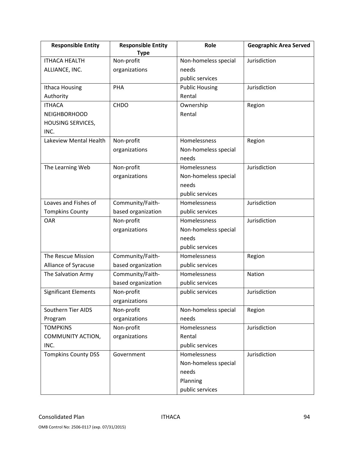| <b>Responsible Entity</b>   | <b>Responsible Entity</b> | Role                  | <b>Geographic Area Served</b> |
|-----------------------------|---------------------------|-----------------------|-------------------------------|
|                             | <b>Type</b>               |                       |                               |
| <b>ITHACA HEALTH</b>        | Non-profit                | Non-homeless special  | Jurisdiction                  |
| ALLIANCE, INC.              | organizations             | needs                 |                               |
|                             |                           | public services       |                               |
| Ithaca Housing              | PHA                       | <b>Public Housing</b> | Jurisdiction                  |
| Authority                   |                           | Rental                |                               |
| <b>ITHACA</b>               | <b>CHDO</b>               | Ownership             | Region                        |
| <b>NEIGHBORHOOD</b>         |                           | Rental                |                               |
| <b>HOUSING SERVICES,</b>    |                           |                       |                               |
| INC.                        |                           |                       |                               |
| Lakeview Mental Health      | Non-profit                | Homelessness          | Region                        |
|                             | organizations             | Non-homeless special  |                               |
|                             |                           | needs                 |                               |
| The Learning Web            | Non-profit                | Homelessness          | Jurisdiction                  |
|                             | organizations             | Non-homeless special  |                               |
|                             |                           | needs                 |                               |
|                             |                           | public services       |                               |
| Loaves and Fishes of        | Community/Faith-          | Homelessness          | Jurisdiction                  |
| <b>Tompkins County</b>      | based organization        | public services       |                               |
| <b>OAR</b>                  | Non-profit                | Homelessness          | Jurisdiction                  |
|                             | organizations             | Non-homeless special  |                               |
|                             |                           | needs                 |                               |
|                             |                           | public services       |                               |
| The Rescue Mission          | Community/Faith-          | Homelessness          | Region                        |
| Alliance of Syracuse        | based organization        | public services       |                               |
| The Salvation Army          | Community/Faith-          | Homelessness          | Nation                        |
|                             | based organization        | public services       |                               |
| <b>Significant Elements</b> | Non-profit                | public services       | Jurisdiction                  |
|                             | organizations             |                       |                               |
| Southern Tier AIDS          | Non-profit                | Non-homeless special  | Region                        |
| Program                     | organizations             | needs                 |                               |
| <b>TOMPKINS</b>             | Non-profit                | Homelessness          | Jurisdiction                  |
| COMMUNITY ACTION,           | organizations             | Rental                |                               |
| INC.                        |                           | public services       |                               |
| <b>Tompkins County DSS</b>  | Government                | Homelessness          | Jurisdiction                  |
|                             |                           | Non-homeless special  |                               |
|                             |                           | needs                 |                               |
|                             |                           | Planning              |                               |
|                             |                           | public services       |                               |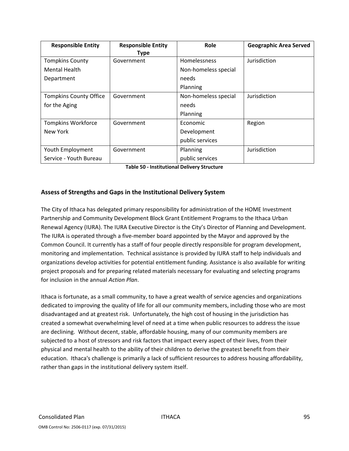| <b>Responsible Entity</b>     | <b>Responsible Entity</b> | Role                 | <b>Geographic Area Served</b> |
|-------------------------------|---------------------------|----------------------|-------------------------------|
|                               | <b>Type</b>               |                      |                               |
| <b>Tompkins County</b>        | Government                | Homelessness         | Jurisdiction                  |
| <b>Mental Health</b>          |                           | Non-homeless special |                               |
| Department                    |                           | needs                |                               |
|                               |                           | Planning             |                               |
| <b>Tompkins County Office</b> | Government                | Non-homeless special | Jurisdiction                  |
| for the Aging                 |                           | needs                |                               |
|                               |                           | Planning             |                               |
| <b>Tompkins Workforce</b>     | Government                | Economic             | Region                        |
| New York                      |                           | Development          |                               |
|                               |                           | public services      |                               |
| Youth Employment              | Government                | Planning             | Jurisdiction                  |
| Service - Youth Bureau        |                           | public services      |                               |

### **Assess of Strengths and Gaps in the Institutional Delivery System**

The City of Ithaca has delegated primary responsibility for administration of the HOME Investment Partnership and Community Development Block Grant Entitlement Programs to the Ithaca Urban Renewal Agency (IURA). The IURA Executive Director is the City's Director of Planning and Development. The IURA is operated through a five-member board appointed by the Mayor and approved by the Common Council. It currently has a staff of four people directly responsible for program development, monitoring and implementation. Technical assistance is provided by IURA staff to help individuals and organizations develop activities for potential entitlement funding. Assistance is also available for writing project proposals and for preparing related materials necessary for evaluating and selecting programs for inclusion in the annual *Action Plan*.

Ithaca is fortunate, as a small community, to have a great wealth of service agencies and organizations dedicated to improving the quality of life for all our community members, including those who are most disadvantaged and at greatest risk. Unfortunately, the high cost of housing in the jurisdiction has created a somewhat overwhelming level of need at a time when public resources to address the issue are declining. Without decent, stable, affordable housing, many of our community members are subjected to a host of stressors and risk factors that impact every aspect of their lives, from their physical and mental health to the ability of their children to derive the greatest benefit from their education. Ithaca's challenge is primarily a lack of sufficient resources to address housing affordability, rather than gaps in the institutional delivery system itself.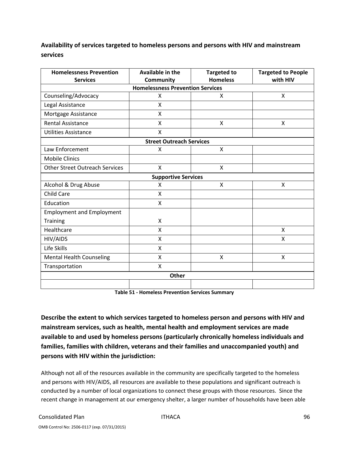# **Availability of services targeted to homeless persons and persons with HIV and mainstream services**

| <b>Homelessness Prevention</b>        | <b>Available in the</b>                 | <b>Targeted to</b> | <b>Targeted to People</b> |
|---------------------------------------|-----------------------------------------|--------------------|---------------------------|
| <b>Services</b>                       | Community                               | <b>Homeless</b>    | with HIV                  |
|                                       | <b>Homelessness Prevention Services</b> |                    |                           |
| Counseling/Advocacy                   | X                                       | X                  | X                         |
| Legal Assistance                      | X                                       |                    |                           |
| Mortgage Assistance                   | X                                       |                    |                           |
| <b>Rental Assistance</b>              | X                                       | X                  | X                         |
| <b>Utilities Assistance</b>           | X                                       |                    |                           |
|                                       | <b>Street Outreach Services</b>         |                    |                           |
| Law Enforcement                       | X                                       | X                  |                           |
| <b>Mobile Clinics</b>                 |                                         |                    |                           |
| <b>Other Street Outreach Services</b> | X                                       | X                  |                           |
|                                       | <b>Supportive Services</b>              |                    |                           |
| Alcohol & Drug Abuse                  | X                                       | X                  | Χ                         |
| <b>Child Care</b>                     | X                                       |                    |                           |
| Education                             | X                                       |                    |                           |
| <b>Employment and Employment</b>      |                                         |                    |                           |
| <b>Training</b>                       | X                                       |                    |                           |
| Healthcare                            | X                                       |                    | X                         |
| HIV/AIDS                              | X                                       |                    | X                         |
| Life Skills                           | X                                       |                    |                           |
| <b>Mental Health Counseling</b>       | X                                       | $\mathsf{x}$       | $\sf X$                   |
| Transportation                        | X                                       |                    |                           |
|                                       | <b>Other</b>                            |                    |                           |
|                                       |                                         |                    |                           |

**Table 51 ‐ Homeless Prevention Services Summary**

**Describe the extent to which services targeted to homeless person and persons with HIV and mainstream services, such as health, mental health and employment services are made available to and used by homeless persons (particularly chronically homeless individuals and families, families with children, veterans and their families and unaccompanied youth) and persons with HIV within the jurisdiction:**

Although not all of the resources available in the community are specifically targeted to the homeless and persons with HIV/AIDS, all resources are available to these populations and significant outreach is conducted by a number of local organizations to connect these groups with those resources. Since the recent change in management at our emergency shelter, a larger number of households have been able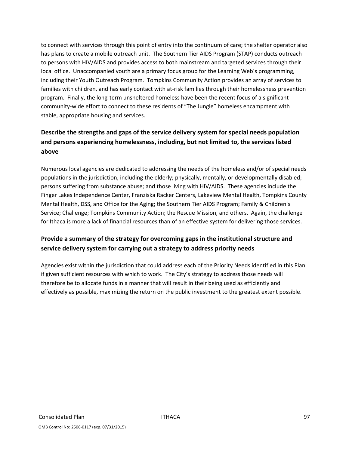to connect with services through this point of entry into the continuum of care; the shelter operator also has plans to create a mobile outreach unit. The Southern Tier AIDS Program (STAP) conducts outreach to persons with HIV/AIDS and provides access to both mainstream and targeted services through their local office. Unaccompanied youth are a primary focus group for the Learning Web's programming, including their Youth Outreach Program. Tompkins Community Action provides an array of services to families with children, and has early contact with at-risk families through their homelessness prevention program. Finally, the long‐term unsheltered homeless have been the recent focus of a significant community-wide effort to connect to these residents of "The Jungle" homeless encampment with stable, appropriate housing and services.

# **Describe the strengths and gaps of the service delivery system for special needs population and persons experiencing homelessness, including, but not limited to, the services listed above**

Numerous local agencies are dedicated to addressing the needs of the homeless and/or of special needs populations in the jurisdiction, including the elderly; physically, mentally, or developmentally disabled; persons suffering from substance abuse; and those living with HIV/AIDS. These agencies include the Finger Lakes Independence Center, Franziska Racker Centers, Lakeview Mental Health, Tompkins County Mental Health, DSS, and Office for the Aging; the Southern Tier AIDS Program; Family & Children's Service; Challenge; Tompkins Community Action; the Rescue Mission, and others. Again, the challenge for Ithaca is more a lack of financial resources than of an effective system for delivering those services.

# **Provide a summary of the strategy for overcoming gaps in the institutional structure and service delivery system for carrying out a strategy to address priority needs**

Agencies exist within the jurisdiction that could address each of the Priority Needs identified in this Plan if given sufficient resources with which to work. The City's strategy to address those needs will therefore be to allocate funds in a manner that will result in their being used as efficiently and effectively as possible, maximizing the return on the public investment to the greatest extent possible.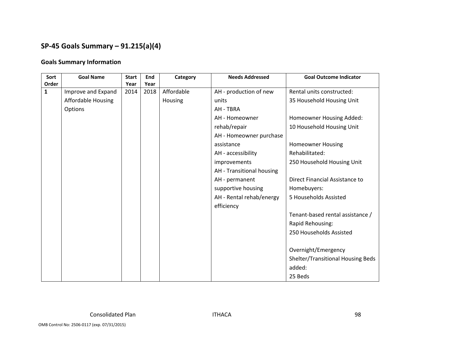# **SP‐45 Goals Summary – 91.215(a)(4)**

### **Goals Summary Information**

| Sort         | <b>Goal Name</b>          | <b>Start</b> | End  | Category   | <b>Needs Addressed</b>    | <b>Goal Outcome Indicator</b>     |
|--------------|---------------------------|--------------|------|------------|---------------------------|-----------------------------------|
| Order        |                           | Year         | Year |            |                           |                                   |
| $\mathbf{1}$ | Improve and Expand        | 2014         | 2018 | Affordable | AH - production of new    | Rental units constructed:         |
|              | <b>Affordable Housing</b> |              |      | Housing    | units                     | 35 Household Housing Unit         |
|              | Options                   |              |      |            | AH - TBRA                 |                                   |
|              |                           |              |      |            | AH - Homeowner            | Homeowner Housing Added:          |
|              |                           |              |      |            | rehab/repair              | 10 Household Housing Unit         |
|              |                           |              |      |            | AH - Homeowner purchase   |                                   |
|              |                           |              |      |            | assistance                | <b>Homeowner Housing</b>          |
|              |                           |              |      |            | AH - accessibility        | Rehabilitated:                    |
|              |                           |              |      |            | improvements              | 250 Household Housing Unit        |
|              |                           |              |      |            | AH - Transitional housing |                                   |
|              |                           |              |      |            | AH - permanent            | Direct Financial Assistance to    |
|              |                           |              |      |            | supportive housing        | Homebuyers:                       |
|              |                           |              |      |            | AH - Rental rehab/energy  | 5 Households Assisted             |
|              |                           |              |      |            | efficiency                |                                   |
|              |                           |              |      |            |                           | Tenant-based rental assistance /  |
|              |                           |              |      |            |                           | Rapid Rehousing:                  |
|              |                           |              |      |            |                           | 250 Households Assisted           |
|              |                           |              |      |            |                           |                                   |
|              |                           |              |      |            |                           | Overnight/Emergency               |
|              |                           |              |      |            |                           | Shelter/Transitional Housing Beds |
|              |                           |              |      |            |                           | added:                            |
|              |                           |              |      |            |                           | 25 Beds                           |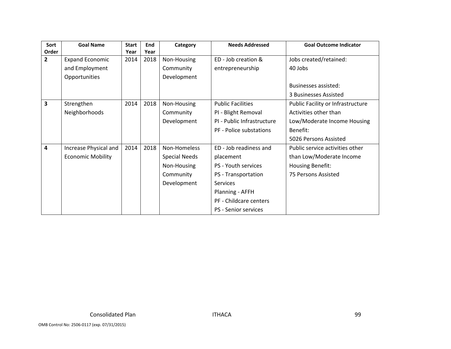| Sort                    | <b>Goal Name</b>         | <b>Start</b> | End  | Category             | <b>Needs Addressed</b>      | <b>Goal Outcome Indicator</b>     |
|-------------------------|--------------------------|--------------|------|----------------------|-----------------------------|-----------------------------------|
| Order                   |                          | Year         | Year |                      |                             |                                   |
| $\overline{2}$          | <b>Expand Economic</b>   | 2014         | 2018 | Non-Housing          | ED - Job creation &         | Jobs created/retained:            |
|                         | and Employment           |              |      | Community            | entrepreneurship            | 40 Jobs                           |
|                         | Opportunities            |              |      | Development          |                             |                                   |
|                         |                          |              |      |                      |                             | Businesses assisted:              |
|                         |                          |              |      |                      |                             | 3 Businesses Assisted             |
| $\overline{\mathbf{3}}$ | Strengthen               | 2014         | 2018 | Non-Housing          | <b>Public Facilities</b>    | Public Facility or Infrastructure |
|                         | Neighborhoods            |              |      | Community            | PI - Blight Removal         | Activities other than             |
|                         |                          |              |      | Development          | PI - Public Infrastructure  | Low/Moderate Income Housing       |
|                         |                          |              |      |                      | PF - Police substations     | Benefit:                          |
|                         |                          |              |      |                      |                             | 5026 Persons Assisted             |
| $\overline{4}$          | Increase Physical and    | 2014         | 2018 | Non-Homeless         | ED - Job readiness and      | Public service activities other   |
|                         | <b>Economic Mobility</b> |              |      | <b>Special Needs</b> | placement                   | than Low/Moderate Income          |
|                         |                          |              |      | Non-Housing          | PS - Youth services         | Housing Benefit:                  |
|                         |                          |              |      | Community            | PS - Transportation         | 75 Persons Assisted               |
|                         |                          |              |      | Development          | <b>Services</b>             |                                   |
|                         |                          |              |      |                      | Planning - AFFH             |                                   |
|                         |                          |              |      |                      | PF - Childcare centers      |                                   |
|                         |                          |              |      |                      | <b>PS</b> - Senior services |                                   |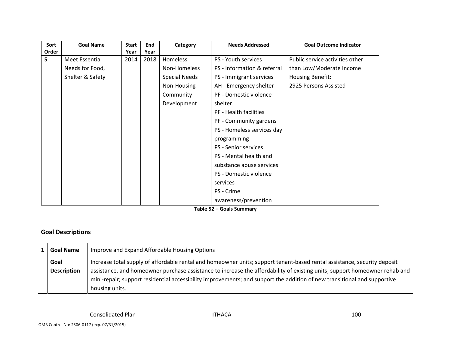| Sort  | <b>Goal Name</b> | <b>Start</b> | End  | Category             | <b>Needs Addressed</b>      | <b>Goal Outcome Indicator</b>   |
|-------|------------------|--------------|------|----------------------|-----------------------------|---------------------------------|
| Order |                  | Year         | Year |                      |                             |                                 |
| 5     | Meet Essential   | 2014         | 2018 | Homeless             | PS - Youth services         | Public service activities other |
|       | Needs for Food,  |              |      | Non-Homeless         | PS - Information & referral | than Low/Moderate Income        |
|       | Shelter & Safety |              |      | <b>Special Needs</b> | PS - Immigrant services     | Housing Benefit:                |
|       |                  |              |      | Non-Housing          | AH - Emergency shelter      | 2925 Persons Assisted           |
|       |                  |              |      | Community            | PF - Domestic violence      |                                 |
|       |                  |              |      | Development          | shelter                     |                                 |
|       |                  |              |      |                      | PF - Health facilities      |                                 |
|       |                  |              |      |                      | PF - Community gardens      |                                 |
|       |                  |              |      |                      | PS - Homeless services day  |                                 |
|       |                  |              |      |                      | programming                 |                                 |
|       |                  |              |      |                      | PS - Senior services        |                                 |
|       |                  |              |      |                      | PS - Mental health and      |                                 |
|       |                  |              |      |                      | substance abuse services    |                                 |
|       |                  |              |      |                      | PS - Domestic violence      |                                 |
|       |                  |              |      |                      | services                    |                                 |
|       |                  |              |      |                      | PS - Crime                  |                                 |
|       |                  |              |      |                      | awareness/prevention        |                                 |

**Table 52 – Goals Summary**

### **Goal Descriptions**

| <b>Goal Name</b>   | Improve and Expand Affordable Housing Options                                                                              |
|--------------------|----------------------------------------------------------------------------------------------------------------------------|
| Goal               | Increase total supply of affordable rental and homeowner units; support tenant-based rental assistance, security deposit   |
| <b>Description</b> | assistance, and homeowner purchase assistance to increase the affordability of existing units; support homeowner rehab and |
|                    | mini-repair; support residential accessibility improvements; and support the addition of new transitional and supportive   |
|                    | housing units.                                                                                                             |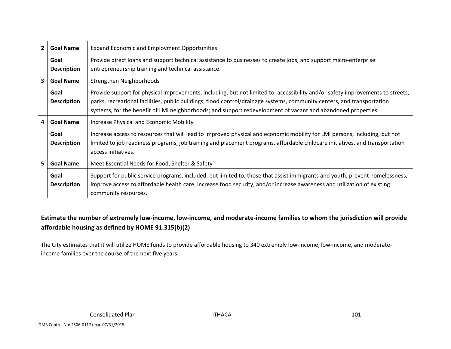| $\overline{2}$ | <b>Goal Name</b>           | <b>Expand Economic and Employment Opportunities</b>                                                                                                                                                                                                                                                                                                                       |
|----------------|----------------------------|---------------------------------------------------------------------------------------------------------------------------------------------------------------------------------------------------------------------------------------------------------------------------------------------------------------------------------------------------------------------------|
|                | Goal<br><b>Description</b> | Provide direct loans and support technical assistance to businesses to create jobs; and support micro-enterprise<br>entrepreneurship training and technical assistance.                                                                                                                                                                                                   |
| 3              | <b>Goal Name</b>           | Strengthen Neighborhoods                                                                                                                                                                                                                                                                                                                                                  |
|                | Goal<br><b>Description</b> | Provide support for physical improvements, including, but not limited to, accessibility and/or safety improvements to streets,<br>parks, recreational facilities, public buildings, flood control/drainage systems, community centers, and transportation<br>systems, for the benefit of LMI neighborhoods; and support redevelopment of vacant and abandoned properties. |
| 4              | <b>Goal Name</b>           | Increase Physical and Economic Mobility                                                                                                                                                                                                                                                                                                                                   |
|                | Goal<br><b>Description</b> | Increase access to resources that will lead to improved physical and economic mobility for LMI persons, including, but not<br>limited to job readiness programs, job training and placement programs, affordable childcare initiatives, and transportation<br>access initiatives.                                                                                         |
| 5.             | <b>Goal Name</b>           | Meet Essential Needs for Food, Shelter & Safety                                                                                                                                                                                                                                                                                                                           |
|                | Goal<br><b>Description</b> | Support for public service programs, included, but limited to, those that assist immigrants and youth, prevent homelessness,<br>improve access to affordable health care, increase food security, and/or increase awareness and utilization of existing<br>community resources.                                                                                           |

# Estimate the number of extremely low-income, low-income, and moderate-income families to whom the jurisdiction will provide **affordable housing as defined by HOME 91.315(b)(2)**

The City estimates that it will utilize HOME funds to provide affordable housing to 340 extremely low‐income, low‐income, and moderate‐ income families over the course of the next five years.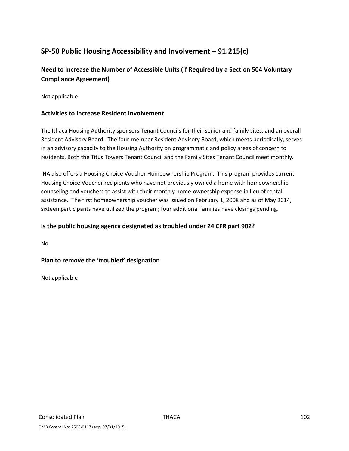# **SP‐50 Public Housing Accessibility and Involvement – 91.215(c)**

# **Need to Increase the Number of Accessible Units (if Required by a Section 504 Voluntary Compliance Agreement)**

Not applicable

### **Activities to Increase Resident Involvement**

The Ithaca Housing Authority sponsors Tenant Councils for their senior and family sites, and an overall Resident Advisory Board. The four‐member Resident Advisory Board, which meets periodically, serves in an advisory capacity to the Housing Authority on programmatic and policy areas of concern to residents. Both the Titus Towers Tenant Council and the Family Sites Tenant Council meet monthly.

IHA also offers a Housing Choice Voucher Homeownership Program. This program provides current Housing Choice Voucher recipients who have not previously owned a home with homeownership counseling and vouchers to assist with their monthly home‐ownership expense in lieu of rental assistance. The first homeownership voucher was issued on February 1, 2008 and as of May 2014, sixteen participants have utilized the program; four additional families have closings pending.

### **Is the public housing agency designated as troubled under 24 CFR part 902?**

No

### **Plan to remove the 'troubled' designation**

Not applicable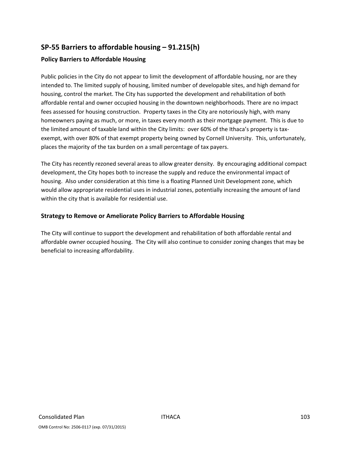# **SP‐55 Barriers to affordable housing – 91.215(h)**

### **Policy Barriers to Affordable Housing**

Public policies in the City do not appear to limit the development of affordable housing, nor are they intended to. The limited supply of housing, limited number of developable sites, and high demand for housing, control the market. The City has supported the development and rehabilitation of both affordable rental and owner occupied housing in the downtown neighborhoods. There are no impact fees assessed for housing construction. Property taxes in the City are notoriously high, with many homeowners paying as much, or more, in taxes every month as their mortgage payment. This is due to the limited amount of taxable land within the City limits: over 60% of the Ithaca's property is taxexempt, with over 80% of that exempt property being owned by Cornell University. This, unfortunately, places the majority of the tax burden on a small percentage of tax payers.

The City has recently rezoned several areas to allow greater density. By encouraging additional compact development, the City hopes both to increase the supply and reduce the environmental impact of housing. Also under consideration at this time is a floating Planned Unit Development zone, which would allow appropriate residential uses in industrial zones, potentially increasing the amount of land within the city that is available for residential use.

### **Strategy to Remove or Ameliorate Policy Barriers to Affordable Housing**

The City will continue to support the development and rehabilitation of both affordable rental and affordable owner occupied housing. The City will also continue to consider zoning changes that may be beneficial to increasing affordability.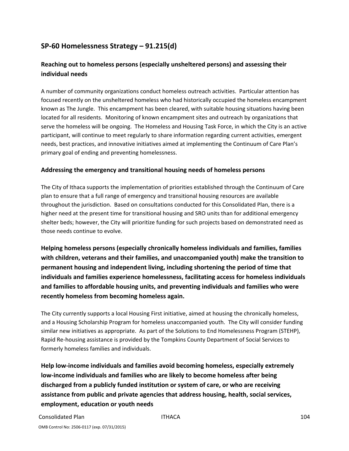# **SP‐60 Homelessness Strategy – 91.215(d)**

# **Reaching out to homeless persons (especially unsheltered persons) and assessing their individual needs**

A number of community organizations conduct homeless outreach activities. Particular attention has focused recently on the unsheltered homeless who had historically occupied the homeless encampment known as The Jungle. This encampment has been cleared, with suitable housing situations having been located for all residents. Monitoring of known encampment sites and outreach by organizations that serve the homeless will be ongoing. The Homeless and Housing Task Force, in which the City is an active participant, will continue to meet regularly to share information regarding current activities, emergent needs, best practices, and innovative initiatives aimed at implementing the Continuum of Care Plan's primary goal of ending and preventing homelessness.

### **Addressing the emergency and transitional housing needs of homeless persons**

The City of Ithaca supports the implementation of priorities established through the Continuum of Care plan to ensure that a full range of emergency and transitional housing resources are available throughout the jurisdiction. Based on consultations conducted for this Consolidated Plan, there is a higher need at the present time for transitional housing and SRO units than for additional emergency shelter beds; however, the City will prioritize funding for such projects based on demonstrated need as those needs continue to evolve.

**Helping homeless persons (especially chronically homeless individuals and families, families with children, veterans and their families, and unaccompanied youth) make the transition to permanent housing and independent living, including shortening the period of time that individuals and families experience homelessness, facilitating access for homeless individuals and families to affordable housing units, and preventing individuals and families who were recently homeless from becoming homeless again.**

The City currently supports a local Housing First initiative, aimed at housing the chronically homeless, and a Housing Scholarship Program for homeless unaccompanied youth. The City will consider funding similar new initiatives as appropriate. As part of the Solutions to End Homelessness Program (STEHP), Rapid Re‐housing assistance is provided by the Tompkins County Department of Social Services to formerly homeless families and individuals.

**Help low‐income individuals and families avoid becoming homeless, especially extremely low‐income individuals and families who are likely to become homeless after being discharged from a publicly funded institution or system of care, or who are receiving assistance from public and private agencies that address housing, health, social services, employment, education or youth needs**

Consolidated Plan **ITHACA Consolidated Plan** IO4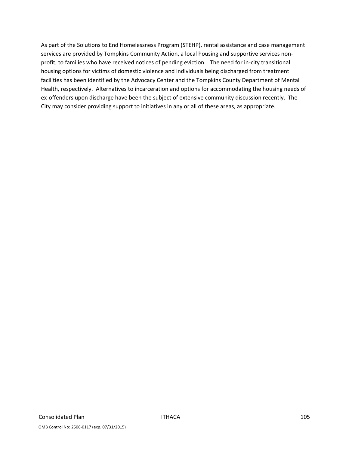As part of the Solutions to End Homelessness Program (STEHP), rental assistance and case management services are provided by Tompkins Community Action, a local housing and supportive services nonprofit, to families who have received notices of pending eviction. The need for in‐city transitional housing options for victims of domestic violence and individuals being discharged from treatment facilities has been identified by the Advocacy Center and the Tompkins County Department of Mental Health, respectively. Alternatives to incarceration and options for accommodating the housing needs of ex-offenders upon discharge have been the subject of extensive community discussion recently. The City may consider providing support to initiatives in any or all of these areas, as appropriate.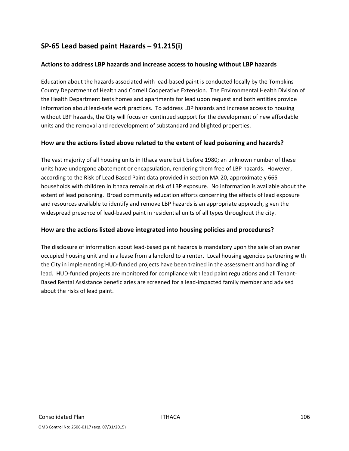## **SP‐65 Lead based paint Hazards – 91.215(i)**

### **Actions to address LBP hazards and increase access to housing without LBP hazards**

Education about the hazards associated with lead‐based paint is conducted locally by the Tompkins County Department of Health and Cornell Cooperative Extension. The Environmental Health Division of the Health Department tests homes and apartments for lead upon request and both entities provide information about lead-safe work practices. To address LBP hazards and increase access to housing without LBP hazards, the City will focus on continued support for the development of new affordable units and the removal and redevelopment of substandard and blighted properties.

### **How are the actions listed above related to the extent of lead poisoning and hazards?**

The vast majority of all housing units in Ithaca were built before 1980; an unknown number of these units have undergone abatement or encapsulation, rendering them free of LBP hazards. However, according to the Risk of Lead Based Paint data provided in section MA‐20, approximately 665 households with children in Ithaca remain at risk of LBP exposure. No information is available about the extent of lead poisoning. Broad community education efforts concerning the effects of lead exposure and resources available to identify and remove LBP hazards is an appropriate approach, given the widespread presence of lead-based paint in residential units of all types throughout the city.

#### **How are the actions listed above integrated into housing policies and procedures?**

The disclosure of information about lead‐based paint hazards is mandatory upon the sale of an owner occupied housing unit and in a lease from a landlord to a renter. Local housing agencies partnering with the City in implementing HUD‐funded projects have been trained in the assessment and handling of lead. HUD‐funded projects are monitored for compliance with lead paint regulations and all Tenant‐ Based Rental Assistance beneficiaries are screened for a lead‐impacted family member and advised about the risks of lead paint.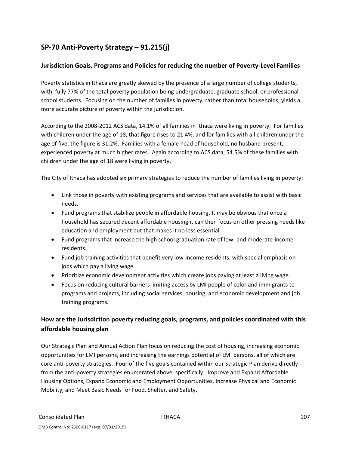# **SP‐70 Anti‐Poverty Strategy – 91.215(j)**

### **Jurisdiction Goals, Programs and Policies for reducing the number of Poverty‐Level Families**

Poverty statistics in Ithaca are greatly skewed by the presence of a large number of college students, with fully 77% of the total poverty population being undergraduate, graduate school, or professional school students. Focusing on the number of families in poverty, rather than total households, yields a more accurate picture of poverty within the jurisdiction.

According to the 2008‐2012 ACS data, 14.1% of all families in Ithaca were living in poverty. For families with children under the age of 18, that figure rises to 21.4%, and for families with all children under the age of five, the figure is 31.2%. Families with a female head of household, no husband present, experienced poverty at much higher rates. Again according to ACS data, 54.5% of these families with children under the age of 18 were living in poverty.

The City of Ithaca has adopted six primary strategies to reduce the number of families living in poverty:

- Link those in poverty with existing programs and services that are available to assist with basic needs.
- Fund programs that stabilize people in affordable housing. It may be obvious that once a household has secured decent affordable housing it can then focus on other pressing needs like education and employment but that makes it no less essential.
- Fund programs that increase the high school graduation rate of low‐ and moderate‐income residents.
- Fund job training activities that benefit very low‐income residents, with special emphasis on jobs which pay a living wage.
- Prioritize economic development activities which create jobs paying at least a living wage.
- Focus on reducing cultural barriers limiting access by LMI people of color and immigrants to programs and projects, including social services, housing, and economic development and job training programs.

### **How are the Jurisdiction poverty reducing goals, programs, and policies coordinated with this affordable housing plan**

Our Strategic Plan and Annual Action Plan focus on reducing the cost of housing, increasing economic opportunities for LMI persons, and increasing the earnings potential of LMI persons, all of which are core anti-poverty strategies. Four of the five goals contained within our Strategic Plan derive directly from the anti-poverty strategies enumerated above, specifically: Improve and Expand Affordable Housing Options, Expand Economic and Employment Opportunities, Increase Physical and Economic Mobility, and Meet Basic Needs for Food, Shelter, and Safety.